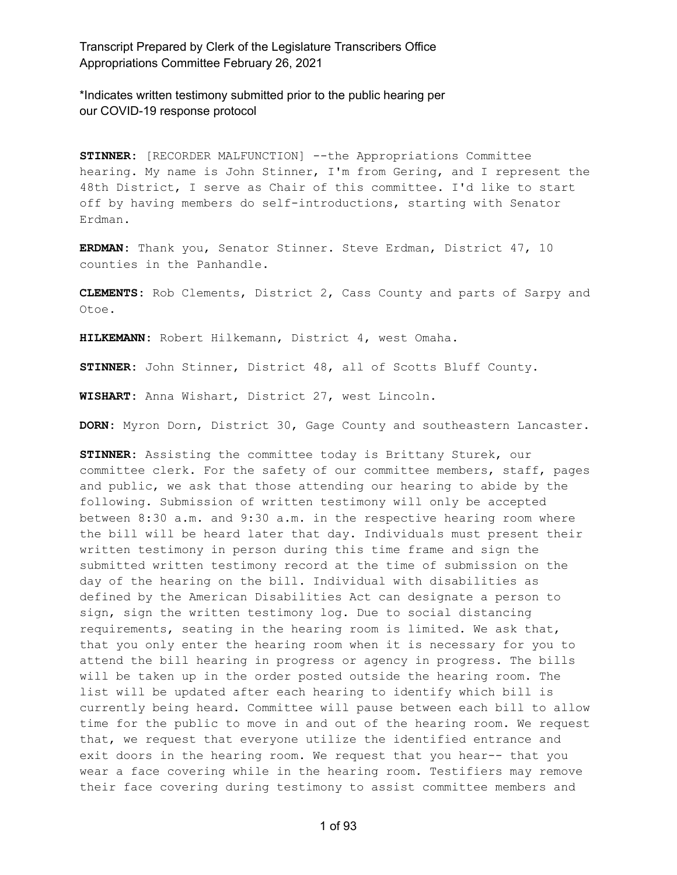\*Indicates written testimony submitted prior to the public hearing per our COVID-19 response protocol

**STINNER:** [RECORDER MALFUNCTION] --the Appropriations Committee hearing. My name is John Stinner, I'm from Gering, and I represent the 48th District, I serve as Chair of this committee. I'd like to start off by having members do self-introductions, starting with Senator Erdman.

**ERDMAN:** Thank you, Senator Stinner. Steve Erdman, District 47, 10 counties in the Panhandle.

**CLEMENTS:** Rob Clements, District 2, Cass County and parts of Sarpy and Otoe.

**HILKEMANN:** Robert Hilkemann, District 4, west Omaha.

**STINNER:** John Stinner, District 48, all of Scotts Bluff County.

**WISHART:** Anna Wishart, District 27, west Lincoln.

DORN: Myron Dorn, District 30, Gage County and southeastern Lancaster.

**STINNER:** Assisting the committee today is Brittany Sturek, our committee clerk. For the safety of our committee members, staff, pages and public, we ask that those attending our hearing to abide by the following. Submission of written testimony will only be accepted between 8:30 a.m. and 9:30 a.m. in the respective hearing room where the bill will be heard later that day. Individuals must present their written testimony in person during this time frame and sign the submitted written testimony record at the time of submission on the day of the hearing on the bill. Individual with disabilities as defined by the American Disabilities Act can designate a person to sign, sign the written testimony log. Due to social distancing requirements, seating in the hearing room is limited. We ask that, that you only enter the hearing room when it is necessary for you to attend the bill hearing in progress or agency in progress. The bills will be taken up in the order posted outside the hearing room. The list will be updated after each hearing to identify which bill is currently being heard. Committee will pause between each bill to allow time for the public to move in and out of the hearing room. We request that, we request that everyone utilize the identified entrance and exit doors in the hearing room. We request that you hear-- that you wear a face covering while in the hearing room. Testifiers may remove their face covering during testimony to assist committee members and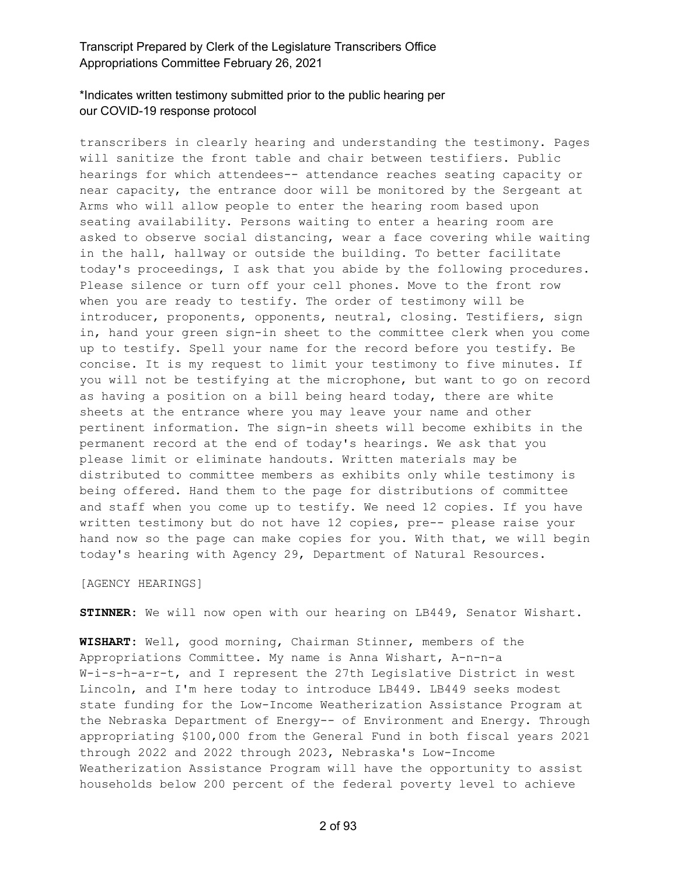#### \*Indicates written testimony submitted prior to the public hearing per our COVID-19 response protocol

transcribers in clearly hearing and understanding the testimony. Pages will sanitize the front table and chair between testifiers. Public hearings for which attendees-- attendance reaches seating capacity or near capacity, the entrance door will be monitored by the Sergeant at Arms who will allow people to enter the hearing room based upon seating availability. Persons waiting to enter a hearing room are asked to observe social distancing, wear a face covering while waiting in the hall, hallway or outside the building. To better facilitate today's proceedings, I ask that you abide by the following procedures. Please silence or turn off your cell phones. Move to the front row when you are ready to testify. The order of testimony will be introducer, proponents, opponents, neutral, closing. Testifiers, sign in, hand your green sign-in sheet to the committee clerk when you come up to testify. Spell your name for the record before you testify. Be concise. It is my request to limit your testimony to five minutes. If you will not be testifying at the microphone, but want to go on record as having a position on a bill being heard today, there are white sheets at the entrance where you may leave your name and other pertinent information. The sign-in sheets will become exhibits in the permanent record at the end of today's hearings. We ask that you please limit or eliminate handouts. Written materials may be distributed to committee members as exhibits only while testimony is being offered. Hand them to the page for distributions of committee and staff when you come up to testify. We need 12 copies. If you have written testimony but do not have 12 copies, pre-- please raise your hand now so the page can make copies for you. With that, we will begin today's hearing with Agency 29, Department of Natural Resources.

#### [AGENCY HEARINGS]

**STINNER:** We will now open with our hearing on LB449, Senator Wishart.

**WISHART:** Well, good morning, Chairman Stinner, members of the Appropriations Committee. My name is Anna Wishart, A-n-n-a W-i-s-h-a-r-t, and I represent the 27th Legislative District in west Lincoln, and I'm here today to introduce LB449. LB449 seeks modest state funding for the Low-Income Weatherization Assistance Program at the Nebraska Department of Energy-- of Environment and Energy. Through appropriating \$100,000 from the General Fund in both fiscal years 2021 through 2022 and 2022 through 2023, Nebraska's Low-Income Weatherization Assistance Program will have the opportunity to assist households below 200 percent of the federal poverty level to achieve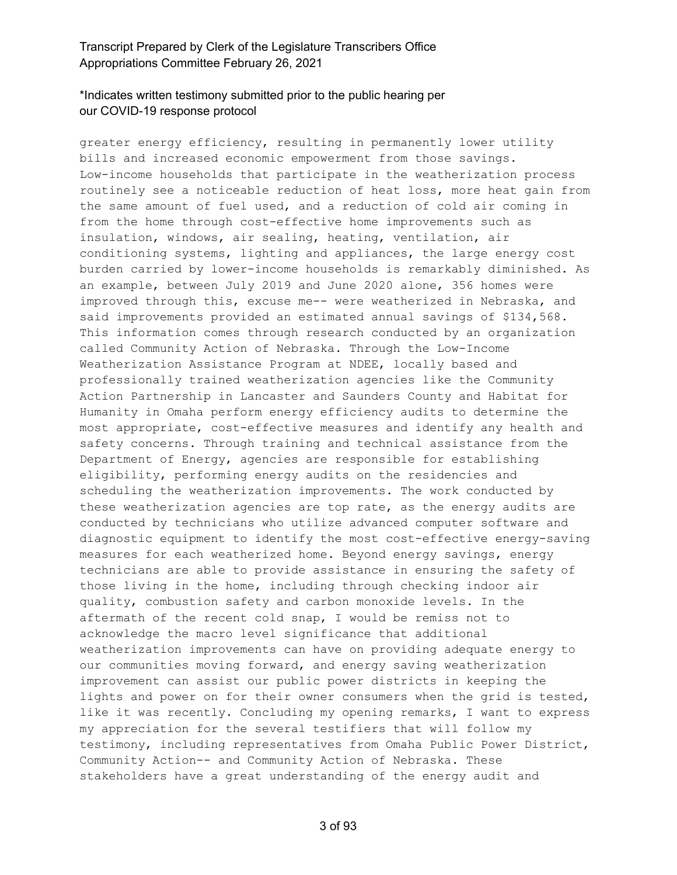## \*Indicates written testimony submitted prior to the public hearing per our COVID-19 response protocol

greater energy efficiency, resulting in permanently lower utility bills and increased economic empowerment from those savings. Low-income households that participate in the weatherization process routinely see a noticeable reduction of heat loss, more heat gain from the same amount of fuel used, and a reduction of cold air coming in from the home through cost-effective home improvements such as insulation, windows, air sealing, heating, ventilation, air conditioning systems, lighting and appliances, the large energy cost burden carried by lower-income households is remarkably diminished. As an example, between July 2019 and June 2020 alone, 356 homes were improved through this, excuse me-- were weatherized in Nebraska, and said improvements provided an estimated annual savings of \$134,568. This information comes through research conducted by an organization called Community Action of Nebraska. Through the Low-Income Weatherization Assistance Program at NDEE, locally based and professionally trained weatherization agencies like the Community Action Partnership in Lancaster and Saunders County and Habitat for Humanity in Omaha perform energy efficiency audits to determine the most appropriate, cost-effective measures and identify any health and safety concerns. Through training and technical assistance from the Department of Energy, agencies are responsible for establishing eligibility, performing energy audits on the residencies and scheduling the weatherization improvements. The work conducted by these weatherization agencies are top rate, as the energy audits are conducted by technicians who utilize advanced computer software and diagnostic equipment to identify the most cost-effective energy-saving measures for each weatherized home. Beyond energy savings, energy technicians are able to provide assistance in ensuring the safety of those living in the home, including through checking indoor air quality, combustion safety and carbon monoxide levels. In the aftermath of the recent cold snap, I would be remiss not to acknowledge the macro level significance that additional weatherization improvements can have on providing adequate energy to our communities moving forward, and energy saving weatherization improvement can assist our public power districts in keeping the lights and power on for their owner consumers when the grid is tested, like it was recently. Concluding my opening remarks, I want to express my appreciation for the several testifiers that will follow my testimony, including representatives from Omaha Public Power District, Community Action-- and Community Action of Nebraska. These stakeholders have a great understanding of the energy audit and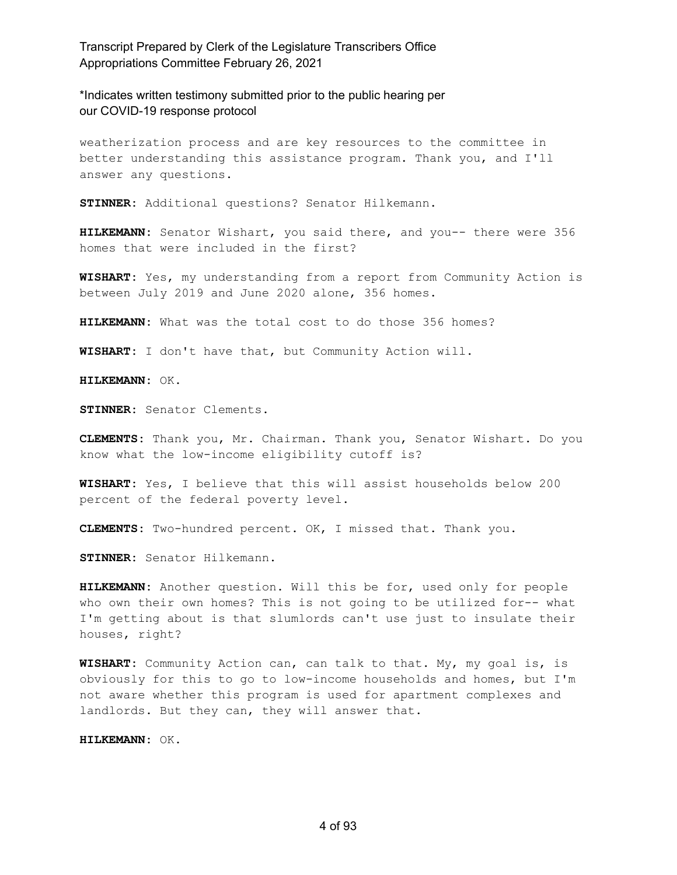\*Indicates written testimony submitted prior to the public hearing per our COVID-19 response protocol

weatherization process and are key resources to the committee in better understanding this assistance program. Thank you, and I'll answer any questions.

**STINNER:** Additional questions? Senator Hilkemann.

**HILKEMANN:** Senator Wishart, you said there, and you-- there were 356 homes that were included in the first?

**WISHART:** Yes, my understanding from a report from Community Action is between July 2019 and June 2020 alone, 356 homes.

**HILKEMANN:** What was the total cost to do those 356 homes?

**WISHART:** I don't have that, but Community Action will.

**HILKEMANN:** OK.

**STINNER:** Senator Clements.

**CLEMENTS:** Thank you, Mr. Chairman. Thank you, Senator Wishart. Do you know what the low-income eligibility cutoff is?

**WISHART:** Yes, I believe that this will assist households below 200 percent of the federal poverty level.

**CLEMENTS:** Two-hundred percent. OK, I missed that. Thank you.

**STINNER:** Senator Hilkemann.

**HILKEMANN:** Another question. Will this be for, used only for people who own their own homes? This is not going to be utilized for-- what I'm getting about is that slumlords can't use just to insulate their houses, right?

**WISHART:** Community Action can, can talk to that. My, my goal is, is obviously for this to go to low-income households and homes, but I'm not aware whether this program is used for apartment complexes and landlords. But they can, they will answer that.

**HILKEMANN:** OK.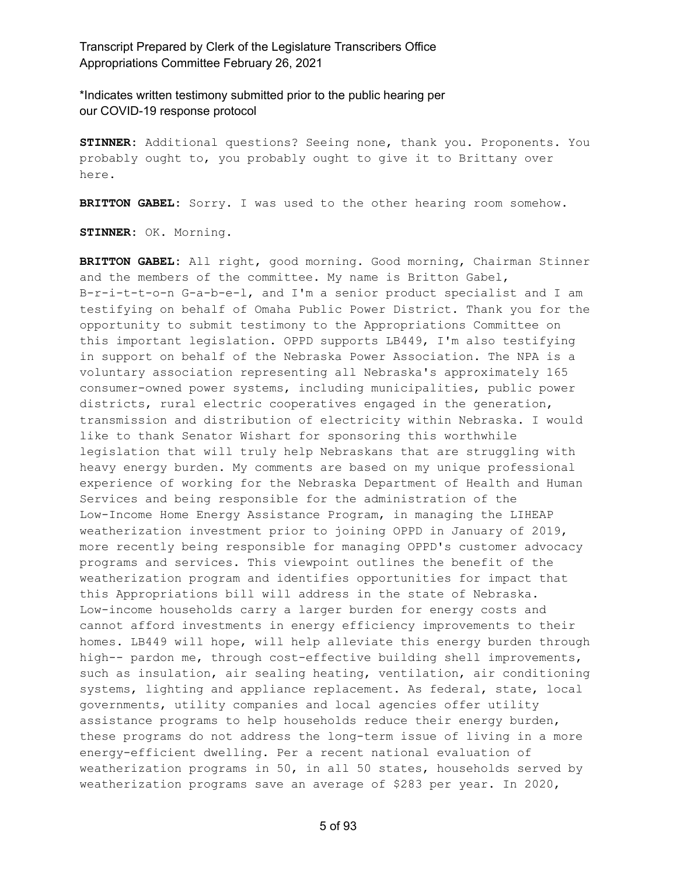\*Indicates written testimony submitted prior to the public hearing per our COVID-19 response protocol

**STINNER:** Additional questions? Seeing none, thank you. Proponents. You probably ought to, you probably ought to give it to Brittany over here.

**BRITTON GABEL:** Sorry. I was used to the other hearing room somehow.

**STINNER:** OK. Morning.

**BRITTON GABEL:** All right, good morning. Good morning, Chairman Stinner and the members of the committee. My name is Britton Gabel, B-r-i-t-t-o-n G-a-b-e-l, and I'm a senior product specialist and I am testifying on behalf of Omaha Public Power District. Thank you for the opportunity to submit testimony to the Appropriations Committee on this important legislation. OPPD supports LB449, I'm also testifying in support on behalf of the Nebraska Power Association. The NPA is a voluntary association representing all Nebraska's approximately 165 consumer-owned power systems, including municipalities, public power districts, rural electric cooperatives engaged in the generation, transmission and distribution of electricity within Nebraska. I would like to thank Senator Wishart for sponsoring this worthwhile legislation that will truly help Nebraskans that are struggling with heavy energy burden. My comments are based on my unique professional experience of working for the Nebraska Department of Health and Human Services and being responsible for the administration of the Low-Income Home Energy Assistance Program, in managing the LIHEAP weatherization investment prior to joining OPPD in January of 2019, more recently being responsible for managing OPPD's customer advocacy programs and services. This viewpoint outlines the benefit of the weatherization program and identifies opportunities for impact that this Appropriations bill will address in the state of Nebraska. Low-income households carry a larger burden for energy costs and cannot afford investments in energy efficiency improvements to their homes. LB449 will hope, will help alleviate this energy burden through high-- pardon me, through cost-effective building shell improvements, such as insulation, air sealing heating, ventilation, air conditioning systems, lighting and appliance replacement. As federal, state, local governments, utility companies and local agencies offer utility assistance programs to help households reduce their energy burden, these programs do not address the long-term issue of living in a more energy-efficient dwelling. Per a recent national evaluation of weatherization programs in 50, in all 50 states, households served by weatherization programs save an average of \$283 per year. In 2020,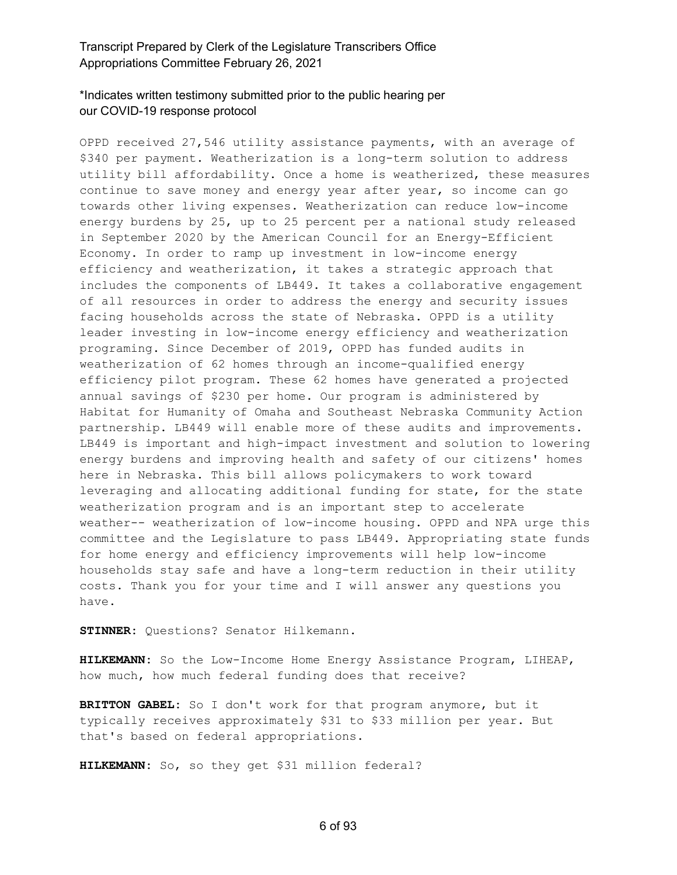## \*Indicates written testimony submitted prior to the public hearing per our COVID-19 response protocol

OPPD received 27,546 utility assistance payments, with an average of \$340 per payment. Weatherization is a long-term solution to address utility bill affordability. Once a home is weatherized, these measures continue to save money and energy year after year, so income can go towards other living expenses. Weatherization can reduce low-income energy burdens by 25, up to 25 percent per a national study released in September 2020 by the American Council for an Energy-Efficient Economy. In order to ramp up investment in low-income energy efficiency and weatherization, it takes a strategic approach that includes the components of LB449. It takes a collaborative engagement of all resources in order to address the energy and security issues facing households across the state of Nebraska. OPPD is a utility leader investing in low-income energy efficiency and weatherization programing. Since December of 2019, OPPD has funded audits in weatherization of 62 homes through an income-qualified energy efficiency pilot program. These 62 homes have generated a projected annual savings of \$230 per home. Our program is administered by Habitat for Humanity of Omaha and Southeast Nebraska Community Action partnership. LB449 will enable more of these audits and improvements. LB449 is important and high-impact investment and solution to lowering energy burdens and improving health and safety of our citizens' homes here in Nebraska. This bill allows policymakers to work toward leveraging and allocating additional funding for state, for the state weatherization program and is an important step to accelerate weather-- weatherization of low-income housing. OPPD and NPA urge this committee and the Legislature to pass LB449. Appropriating state funds for home energy and efficiency improvements will help low-income households stay safe and have a long-term reduction in their utility costs. Thank you for your time and I will answer any questions you have.

**STINNER:** Questions? Senator Hilkemann.

**HILKEMANN:** So the Low-Income Home Energy Assistance Program, LIHEAP, how much, how much federal funding does that receive?

**BRITTON GABEL:** So I don't work for that program anymore, but it typically receives approximately \$31 to \$33 million per year. But that's based on federal appropriations.

**HILKEMANN:** So, so they get \$31 million federal?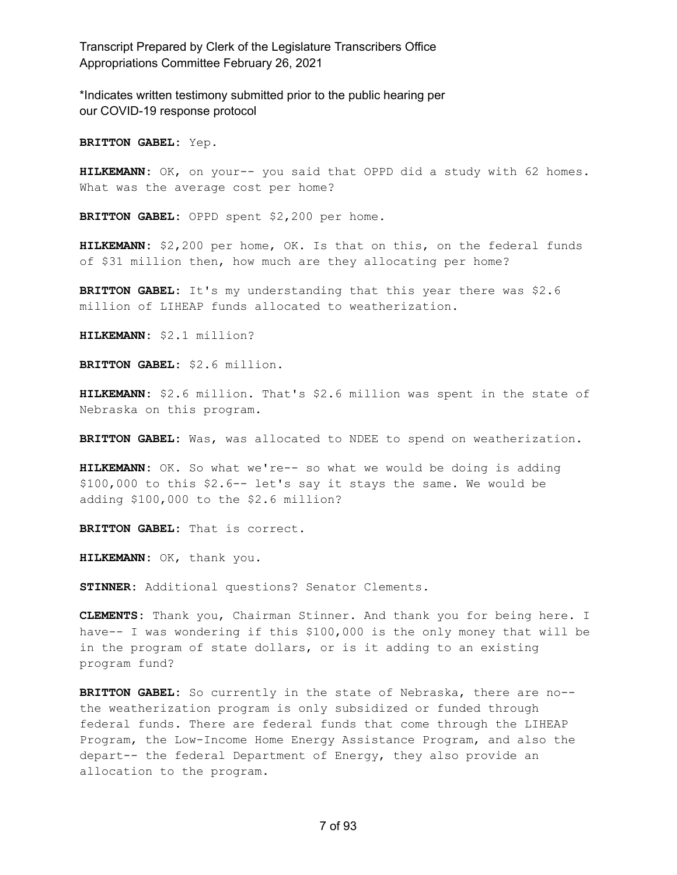\*Indicates written testimony submitted prior to the public hearing per our COVID-19 response protocol

**BRITTON GABEL:** Yep.

**HILKEMANN:** OK, on your-- you said that OPPD did a study with 62 homes. What was the average cost per home?

**BRITTON GABEL:** OPPD spent \$2,200 per home.

**HILKEMANN:** \$2,200 per home, OK. Is that on this, on the federal funds of \$31 million then, how much are they allocating per home?

**BRITTON GABEL:** It's my understanding that this year there was \$2.6 million of LIHEAP funds allocated to weatherization.

**HILKEMANN:** \$2.1 million?

**BRITTON GABEL:** \$2.6 million.

**HILKEMANN:** \$2.6 million. That's \$2.6 million was spent in the state of Nebraska on this program.

**BRITTON GABEL:** Was, was allocated to NDEE to spend on weatherization.

**HILKEMANN:** OK. So what we're-- so what we would be doing is adding \$100,000 to this \$2.6-- let's say it stays the same. We would be adding \$100,000 to the \$2.6 million?

**BRITTON GABEL:** That is correct.

**HILKEMANN:** OK, thank you.

**STINNER:** Additional questions? Senator Clements.

**CLEMENTS:** Thank you, Chairman Stinner. And thank you for being here. I have-- I was wondering if this \$100,000 is the only money that will be in the program of state dollars, or is it adding to an existing program fund?

**BRITTON GABEL:** So currently in the state of Nebraska, there are no- the weatherization program is only subsidized or funded through federal funds. There are federal funds that come through the LIHEAP Program, the Low-Income Home Energy Assistance Program, and also the depart-- the federal Department of Energy, they also provide an allocation to the program.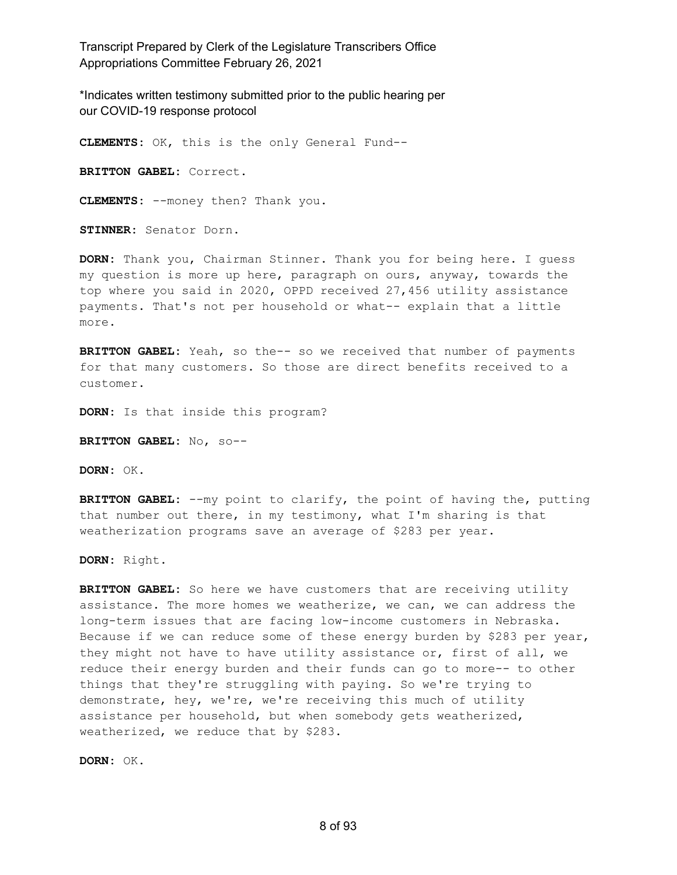\*Indicates written testimony submitted prior to the public hearing per our COVID-19 response protocol

**CLEMENTS:** OK, this is the only General Fund-- **BRITTON GABEL:** Correct. **CLEMENTS:** --money then? Thank you. **STINNER:** Senator Dorn.

**DORN:** Thank you, Chairman Stinner. Thank you for being here. I guess my question is more up here, paragraph on ours, anyway, towards the top where you said in 2020, OPPD received 27,456 utility assistance payments. That's not per household or what-- explain that a little more.

**BRITTON GABEL:** Yeah, so the-- so we received that number of payments for that many customers. So those are direct benefits received to a customer.

**DORN:** Is that inside this program?

**BRITTON GABEL:** No, so--

**DORN:** OK.

**BRITTON GABEL:** --my point to clarify, the point of having the, putting that number out there, in my testimony, what I'm sharing is that weatherization programs save an average of \$283 per year.

**DORN:** Right.

**BRITTON GABEL:** So here we have customers that are receiving utility assistance. The more homes we weatherize, we can, we can address the long-term issues that are facing low-income customers in Nebraska. Because if we can reduce some of these energy burden by \$283 per year, they might not have to have utility assistance or, first of all, we reduce their energy burden and their funds can go to more-- to other things that they're struggling with paying. So we're trying to demonstrate, hey, we're, we're receiving this much of utility assistance per household, but when somebody gets weatherized, weatherized, we reduce that by \$283.

**DORN:** OK.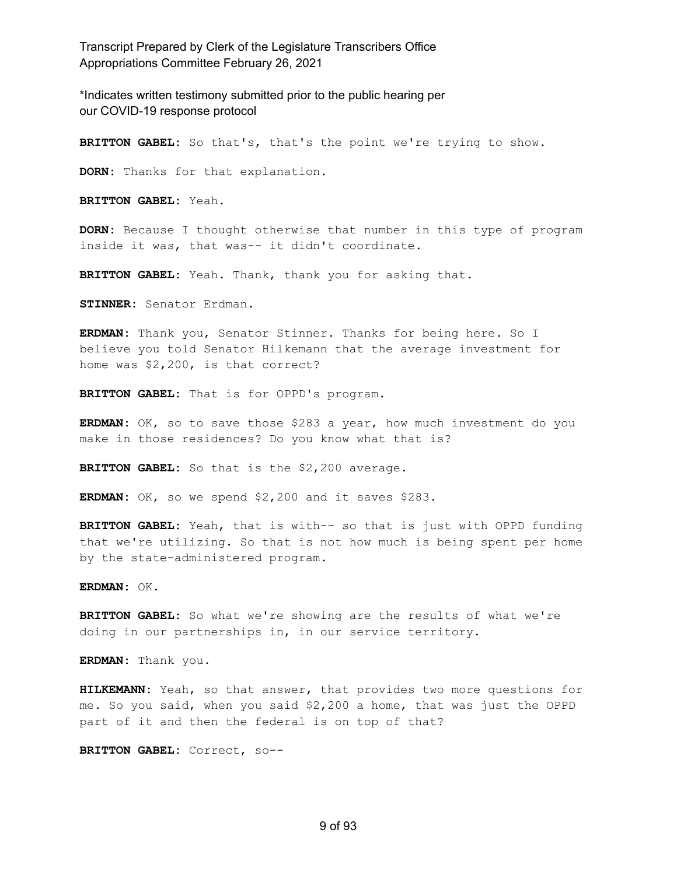\*Indicates written testimony submitted prior to the public hearing per our COVID-19 response protocol

**BRITTON GABEL:** So that's, that's the point we're trying to show.

**DORN:** Thanks for that explanation.

**BRITTON GABEL:** Yeah.

**DORN:** Because I thought otherwise that number in this type of program inside it was, that was-- it didn't coordinate.

**BRITTON GABEL:** Yeah. Thank, thank you for asking that.

**STINNER:** Senator Erdman.

**ERDMAN:** Thank you, Senator Stinner. Thanks for being here. So I believe you told Senator Hilkemann that the average investment for home was \$2,200, is that correct?

**BRITTON GABEL:** That is for OPPD's program.

**ERDMAN:** OK, so to save those \$283 a year, how much investment do you make in those residences? Do you know what that is?

**BRITTON GABEL:** So that is the \$2,200 average.

**ERDMAN:** OK, so we spend \$2,200 and it saves \$283.

**BRITTON GABEL:** Yeah, that is with-- so that is just with OPPD funding that we're utilizing. So that is not how much is being spent per home by the state-administered program.

**ERDMAN:** OK.

**BRITTON GABEL:** So what we're showing are the results of what we're doing in our partnerships in, in our service territory.

**ERDMAN:** Thank you.

**HILKEMANN:** Yeah, so that answer, that provides two more questions for me. So you said, when you said \$2,200 a home, that was just the OPPD part of it and then the federal is on top of that?

**BRITTON GABEL:** Correct, so--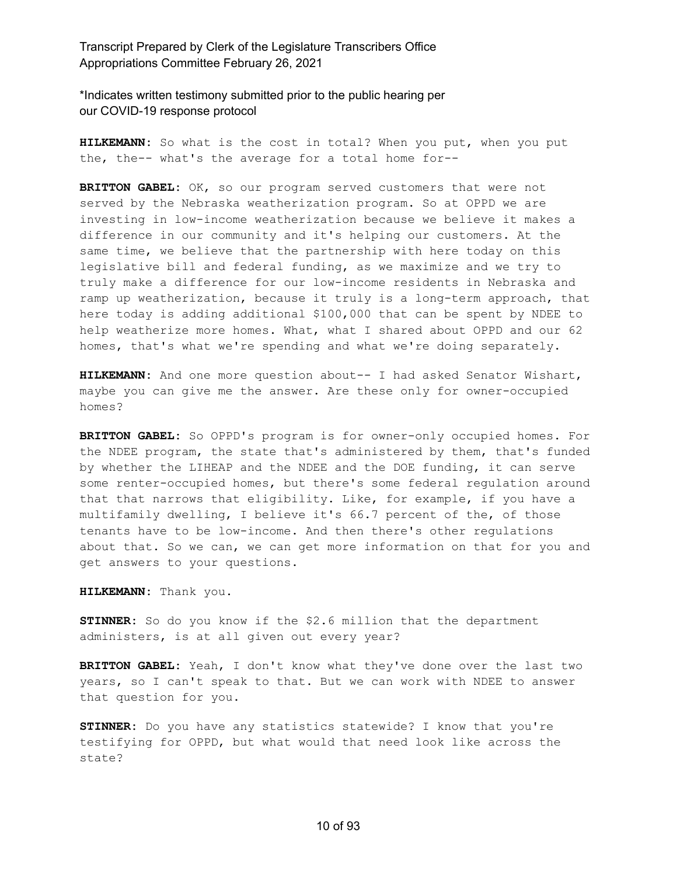\*Indicates written testimony submitted prior to the public hearing per our COVID-19 response protocol

**HILKEMANN:** So what is the cost in total? When you put, when you put the, the-- what's the average for a total home for--

**BRITTON GABEL:** OK, so our program served customers that were not served by the Nebraska weatherization program. So at OPPD we are investing in low-income weatherization because we believe it makes a difference in our community and it's helping our customers. At the same time, we believe that the partnership with here today on this legislative bill and federal funding, as we maximize and we try to truly make a difference for our low-income residents in Nebraska and ramp up weatherization, because it truly is a long-term approach, that here today is adding additional \$100,000 that can be spent by NDEE to help weatherize more homes. What, what I shared about OPPD and our 62 homes, that's what we're spending and what we're doing separately.

**HILKEMANN:** And one more question about-- I had asked Senator Wishart, maybe you can give me the answer. Are these only for owner-occupied homes?

**BRITTON GABEL:** So OPPD's program is for owner-only occupied homes. For the NDEE program, the state that's administered by them, that's funded by whether the LIHEAP and the NDEE and the DOE funding, it can serve some renter-occupied homes, but there's some federal regulation around that that narrows that eligibility. Like, for example, if you have a multifamily dwelling, I believe it's 66.7 percent of the, of those tenants have to be low-income. And then there's other regulations about that. So we can, we can get more information on that for you and get answers to your questions.

**HILKEMANN:** Thank you.

**STINNER:** So do you know if the \$2.6 million that the department administers, is at all given out every year?

**BRITTON GABEL:** Yeah, I don't know what they've done over the last two years, so I can't speak to that. But we can work with NDEE to answer that question for you.

**STINNER:** Do you have any statistics statewide? I know that you're testifying for OPPD, but what would that need look like across the state?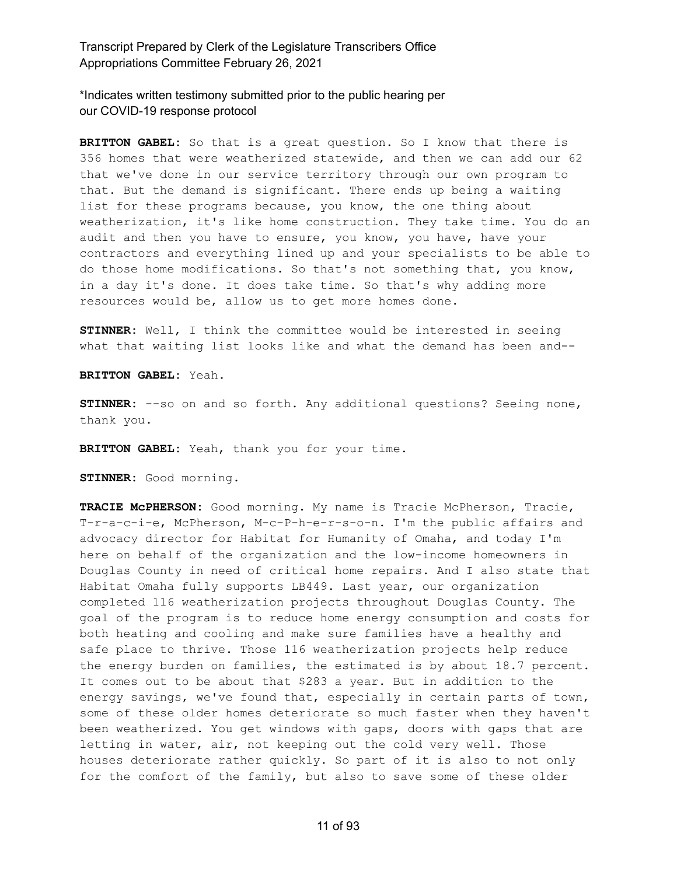\*Indicates written testimony submitted prior to the public hearing per our COVID-19 response protocol

**BRITTON GABEL:** So that is a great question. So I know that there is 356 homes that were weatherized statewide, and then we can add our 62 that we've done in our service territory through our own program to that. But the demand is significant. There ends up being a waiting list for these programs because, you know, the one thing about weatherization, it's like home construction. They take time. You do an audit and then you have to ensure, you know, you have, have your contractors and everything lined up and your specialists to be able to do those home modifications. So that's not something that, you know, in a day it's done. It does take time. So that's why adding more resources would be, allow us to get more homes done.

**STINNER:** Well, I think the committee would be interested in seeing what that waiting list looks like and what the demand has been and--

**BRITTON GABEL:** Yeah.

**STINNER:** --so on and so forth. Any additional questions? Seeing none, thank you.

**BRITTON GABEL:** Yeah, thank you for your time.

**STINNER:** Good morning.

TRACIE McPHERSON: Good morning. My name is Tracie McPherson, Tracie, T-r-a-c-i-e, McPherson, M-c-P-h-e-r-s-o-n. I'm the public affairs and advocacy director for Habitat for Humanity of Omaha, and today I'm here on behalf of the organization and the low-income homeowners in Douglas County in need of critical home repairs. And I also state that Habitat Omaha fully supports LB449. Last year, our organization completed 116 weatherization projects throughout Douglas County. The goal of the program is to reduce home energy consumption and costs for both heating and cooling and make sure families have a healthy and safe place to thrive. Those 116 weatherization projects help reduce the energy burden on families, the estimated is by about 18.7 percent. It comes out to be about that \$283 a year. But in addition to the energy savings, we've found that, especially in certain parts of town, some of these older homes deteriorate so much faster when they haven't been weatherized. You get windows with gaps, doors with gaps that are letting in water, air, not keeping out the cold very well. Those houses deteriorate rather quickly. So part of it is also to not only for the comfort of the family, but also to save some of these older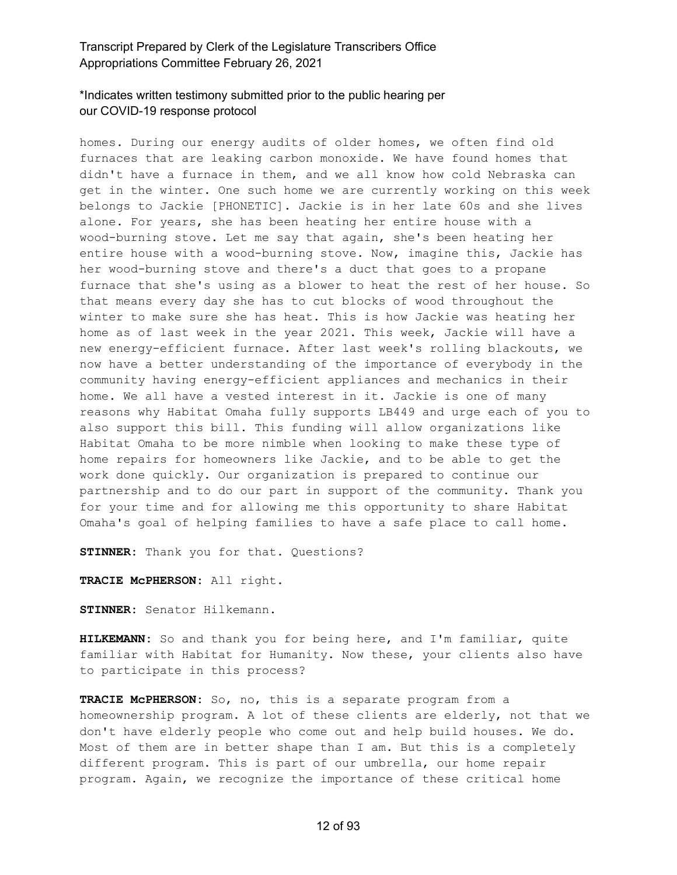#### \*Indicates written testimony submitted prior to the public hearing per our COVID-19 response protocol

homes. During our energy audits of older homes, we often find old furnaces that are leaking carbon monoxide. We have found homes that didn't have a furnace in them, and we all know how cold Nebraska can get in the winter. One such home we are currently working on this week belongs to Jackie [PHONETIC]. Jackie is in her late 60s and she lives alone. For years, she has been heating her entire house with a wood-burning stove. Let me say that again, she's been heating her entire house with a wood-burning stove. Now, imagine this, Jackie has her wood-burning stove and there's a duct that goes to a propane furnace that she's using as a blower to heat the rest of her house. So that means every day she has to cut blocks of wood throughout the winter to make sure she has heat. This is how Jackie was heating her home as of last week in the year 2021. This week, Jackie will have a new energy-efficient furnace. After last week's rolling blackouts, we now have a better understanding of the importance of everybody in the community having energy-efficient appliances and mechanics in their home. We all have a vested interest in it. Jackie is one of many reasons why Habitat Omaha fully supports LB449 and urge each of you to also support this bill. This funding will allow organizations like Habitat Omaha to be more nimble when looking to make these type of home repairs for homeowners like Jackie, and to be able to get the work done quickly. Our organization is prepared to continue our partnership and to do our part in support of the community. Thank you for your time and for allowing me this opportunity to share Habitat Omaha's goal of helping families to have a safe place to call home.

**STINNER:** Thank you for that. Questions?

**TRACIE McPHERSON:** All right.

**STINNER:** Senator Hilkemann.

**HILKEMANN:** So and thank you for being here, and I'm familiar, quite familiar with Habitat for Humanity. Now these, your clients also have to participate in this process?

**TRACIE McPHERSON:** So, no, this is a separate program from a homeownership program. A lot of these clients are elderly, not that we don't have elderly people who come out and help build houses. We do. Most of them are in better shape than I am. But this is a completely different program. This is part of our umbrella, our home repair program. Again, we recognize the importance of these critical home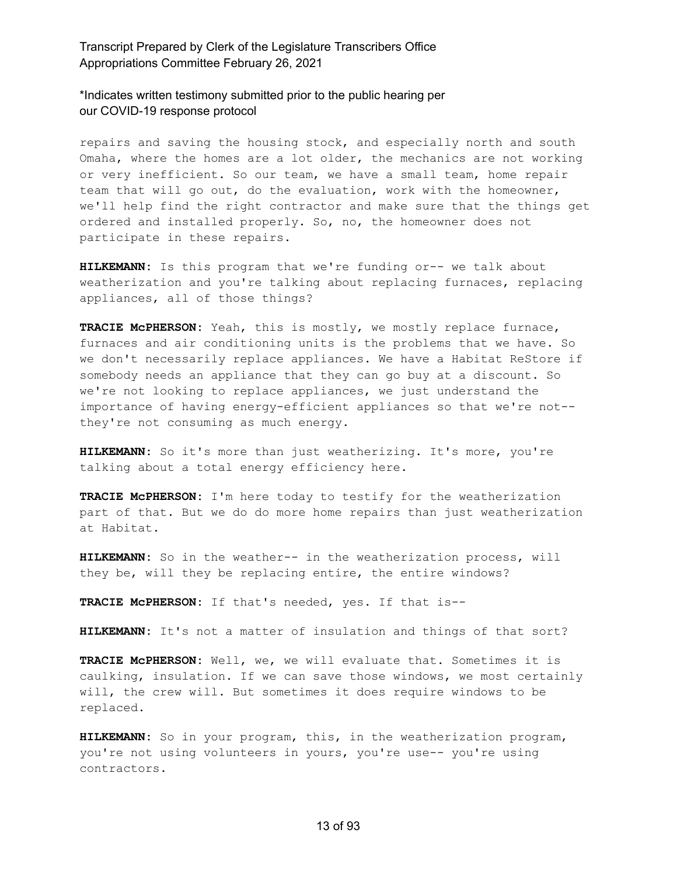\*Indicates written testimony submitted prior to the public hearing per our COVID-19 response protocol

repairs and saving the housing stock, and especially north and south Omaha, where the homes are a lot older, the mechanics are not working or very inefficient. So our team, we have a small team, home repair team that will go out, do the evaluation, work with the homeowner, we'll help find the right contractor and make sure that the things get ordered and installed properly. So, no, the homeowner does not participate in these repairs.

**HILKEMANN:** Is this program that we're funding or-- we talk about weatherization and you're talking about replacing furnaces, replacing appliances, all of those things?

**TRACIE McPHERSON:** Yeah, this is mostly, we mostly replace furnace, furnaces and air conditioning units is the problems that we have. So we don't necessarily replace appliances. We have a Habitat ReStore if somebody needs an appliance that they can go buy at a discount. So we're not looking to replace appliances, we just understand the importance of having energy-efficient appliances so that we're not- they're not consuming as much energy.

**HILKEMANN:** So it's more than just weatherizing. It's more, you're talking about a total energy efficiency here.

**TRACIE McPHERSON:** I'm here today to testify for the weatherization part of that. But we do do more home repairs than just weatherization at Habitat.

**HILKEMANN:** So in the weather-- in the weatherization process, will they be, will they be replacing entire, the entire windows?

**TRACIE McPHERSON:** If that's needed, yes. If that is--

**HILKEMANN:** It's not a matter of insulation and things of that sort?

**TRACIE McPHERSON:** Well, we, we will evaluate that. Sometimes it is caulking, insulation. If we can save those windows, we most certainly will, the crew will. But sometimes it does require windows to be replaced.

**HILKEMANN:** So in your program, this, in the weatherization program, you're not using volunteers in yours, you're use-- you're using contractors.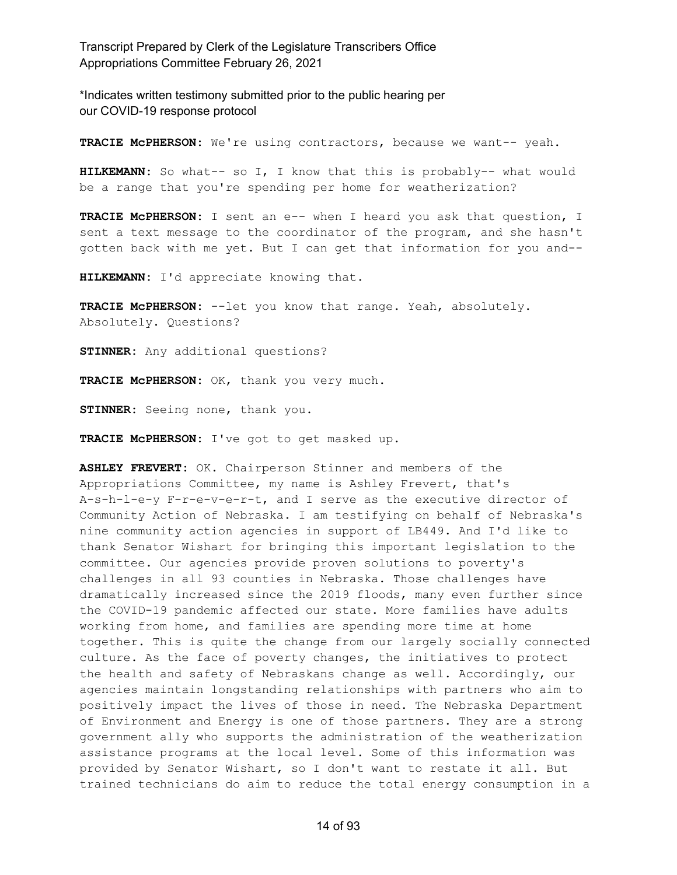\*Indicates written testimony submitted prior to the public hearing per our COVID-19 response protocol

**TRACIE McPHERSON:** We're using contractors, because we want-- yeah.

**HILKEMANN:** So what-- so I, I know that this is probably-- what would be a range that you're spending per home for weatherization?

**TRACIE McPHERSON:** I sent an e-- when I heard you ask that question, I sent a text message to the coordinator of the program, and she hasn't gotten back with me yet. But I can get that information for you and--

**HILKEMANN:** I'd appreciate knowing that.

**TRACIE McPHERSON:** --let you know that range. Yeah, absolutely. Absolutely. Questions?

**STINNER:** Any additional questions?

**TRACIE McPHERSON:** OK, thank you very much.

**STINNER:** Seeing none, thank you.

**TRACIE McPHERSON:** I've got to get masked up.

**ASHLEY FREVERT:** OK. Chairperson Stinner and members of the Appropriations Committee, my name is Ashley Frevert, that's A-s-h-l-e-y F-r-e-v-e-r-t, and I serve as the executive director of Community Action of Nebraska. I am testifying on behalf of Nebraska's nine community action agencies in support of LB449. And I'd like to thank Senator Wishart for bringing this important legislation to the committee. Our agencies provide proven solutions to poverty's challenges in all 93 counties in Nebraska. Those challenges have dramatically increased since the 2019 floods, many even further since the COVID-19 pandemic affected our state. More families have adults working from home, and families are spending more time at home together. This is quite the change from our largely socially connected culture. As the face of poverty changes, the initiatives to protect the health and safety of Nebraskans change as well. Accordingly, our agencies maintain longstanding relationships with partners who aim to positively impact the lives of those in need. The Nebraska Department of Environment and Energy is one of those partners. They are a strong government ally who supports the administration of the weatherization assistance programs at the local level. Some of this information was provided by Senator Wishart, so I don't want to restate it all. But trained technicians do aim to reduce the total energy consumption in a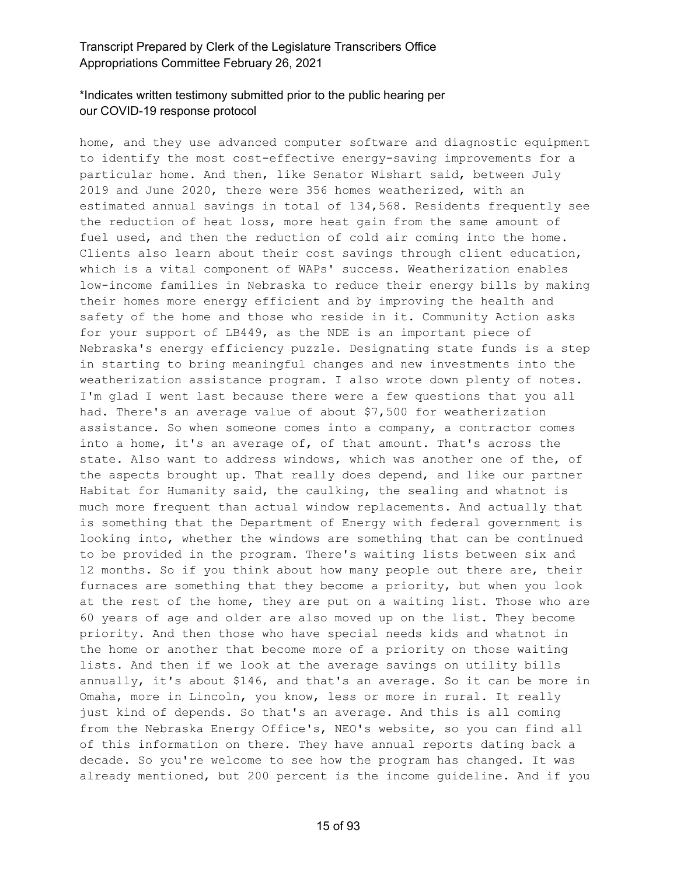# \*Indicates written testimony submitted prior to the public hearing per our COVID-19 response protocol

home, and they use advanced computer software and diagnostic equipment to identify the most cost-effective energy-saving improvements for a particular home. And then, like Senator Wishart said, between July 2019 and June 2020, there were 356 homes weatherized, with an estimated annual savings in total of 134,568. Residents frequently see the reduction of heat loss, more heat gain from the same amount of fuel used, and then the reduction of cold air coming into the home. Clients also learn about their cost savings through client education, which is a vital component of WAPs' success. Weatherization enables low-income families in Nebraska to reduce their energy bills by making their homes more energy efficient and by improving the health and safety of the home and those who reside in it. Community Action asks for your support of LB449, as the NDE is an important piece of Nebraska's energy efficiency puzzle. Designating state funds is a step in starting to bring meaningful changes and new investments into the weatherization assistance program. I also wrote down plenty of notes. I'm glad I went last because there were a few questions that you all had. There's an average value of about \$7,500 for weatherization assistance. So when someone comes into a company, a contractor comes into a home, it's an average of, of that amount. That's across the state. Also want to address windows, which was another one of the, of the aspects brought up. That really does depend, and like our partner Habitat for Humanity said, the caulking, the sealing and whatnot is much more frequent than actual window replacements. And actually that is something that the Department of Energy with federal government is looking into, whether the windows are something that can be continued to be provided in the program. There's waiting lists between six and 12 months. So if you think about how many people out there are, their furnaces are something that they become a priority, but when you look at the rest of the home, they are put on a waiting list. Those who are 60 years of age and older are also moved up on the list. They become priority. And then those who have special needs kids and whatnot in the home or another that become more of a priority on those waiting lists. And then if we look at the average savings on utility bills annually, it's about \$146, and that's an average. So it can be more in Omaha, more in Lincoln, you know, less or more in rural. It really just kind of depends. So that's an average. And this is all coming from the Nebraska Energy Office's, NEO's website, so you can find all of this information on there. They have annual reports dating back a decade. So you're welcome to see how the program has changed. It was already mentioned, but 200 percent is the income guideline. And if you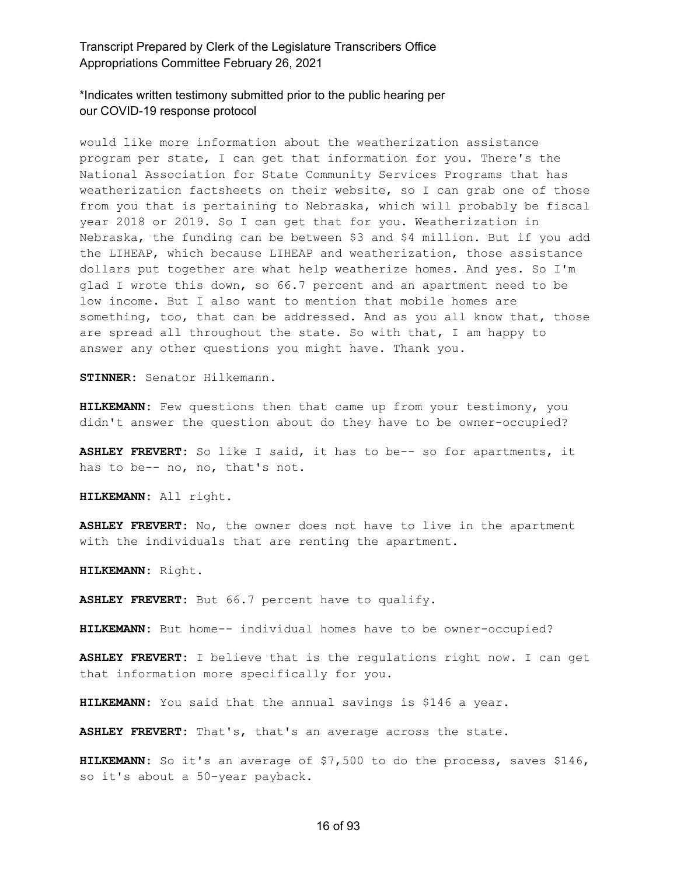\*Indicates written testimony submitted prior to the public hearing per our COVID-19 response protocol

would like more information about the weatherization assistance program per state, I can get that information for you. There's the National Association for State Community Services Programs that has weatherization factsheets on their website, so I can grab one of those from you that is pertaining to Nebraska, which will probably be fiscal year 2018 or 2019. So I can get that for you. Weatherization in Nebraska, the funding can be between \$3 and \$4 million. But if you add the LIHEAP, which because LIHEAP and weatherization, those assistance dollars put together are what help weatherize homes. And yes. So I'm glad I wrote this down, so 66.7 percent and an apartment need to be low income. But I also want to mention that mobile homes are something, too, that can be addressed. And as you all know that, those are spread all throughout the state. So with that, I am happy to answer any other questions you might have. Thank you.

**STINNER:** Senator Hilkemann.

**HILKEMANN:** Few questions then that came up from your testimony, you didn't answer the question about do they have to be owner-occupied?

**ASHLEY FREVERT:** So like I said, it has to be-- so for apartments, it has to be-- no, no, that's not.

**HILKEMANN:** All right.

**ASHLEY FREVERT:** No, the owner does not have to live in the apartment with the individuals that are renting the apartment.

**HILKEMANN:** Right.

**ASHLEY FREVERT:** But 66.7 percent have to qualify.

**HILKEMANN:** But home-- individual homes have to be owner-occupied?

**ASHLEY FREVERT:** I believe that is the regulations right now. I can get that information more specifically for you.

**HILKEMANN:** You said that the annual savings is \$146 a year.

**ASHLEY FREVERT:** That's, that's an average across the state.

**HILKEMANN:** So it's an average of \$7,500 to do the process, saves \$146, so it's about a 50-year payback.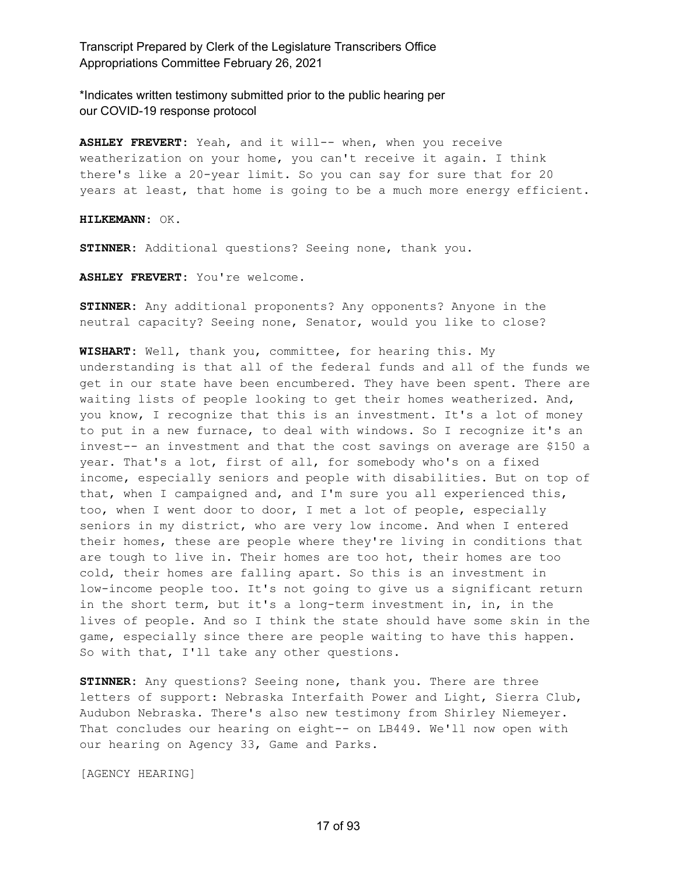\*Indicates written testimony submitted prior to the public hearing per our COVID-19 response protocol

**ASHLEY FREVERT:** Yeah, and it will-- when, when you receive weatherization on your home, you can't receive it again. I think there's like a 20-year limit. So you can say for sure that for 20 years at least, that home is going to be a much more energy efficient.

**HILKEMANN:** OK.

**STINNER:** Additional questions? Seeing none, thank you.

**ASHLEY FREVERT:** You're welcome.

**STINNER:** Any additional proponents? Any opponents? Anyone in the neutral capacity? Seeing none, Senator, would you like to close?

**WISHART:** Well, thank you, committee, for hearing this. My understanding is that all of the federal funds and all of the funds we get in our state have been encumbered. They have been spent. There are waiting lists of people looking to get their homes weatherized. And, you know, I recognize that this is an investment. It's a lot of money to put in a new furnace, to deal with windows. So I recognize it's an invest-- an investment and that the cost savings on average are \$150 a year. That's a lot, first of all, for somebody who's on a fixed income, especially seniors and people with disabilities. But on top of that, when I campaigned and, and I'm sure you all experienced this, too, when I went door to door, I met a lot of people, especially seniors in my district, who are very low income. And when I entered their homes, these are people where they're living in conditions that are tough to live in. Their homes are too hot, their homes are too cold, their homes are falling apart. So this is an investment in low-income people too. It's not going to give us a significant return in the short term, but it's a long-term investment in, in, in the lives of people. And so I think the state should have some skin in the game, especially since there are people waiting to have this happen. So with that, I'll take any other questions.

**STINNER:** Any questions? Seeing none, thank you. There are three letters of support: Nebraska Interfaith Power and Light, Sierra Club, Audubon Nebraska. There's also new testimony from Shirley Niemeyer. That concludes our hearing on eight-- on LB449. We'll now open with our hearing on Agency 33, Game and Parks.

[AGENCY HEARING]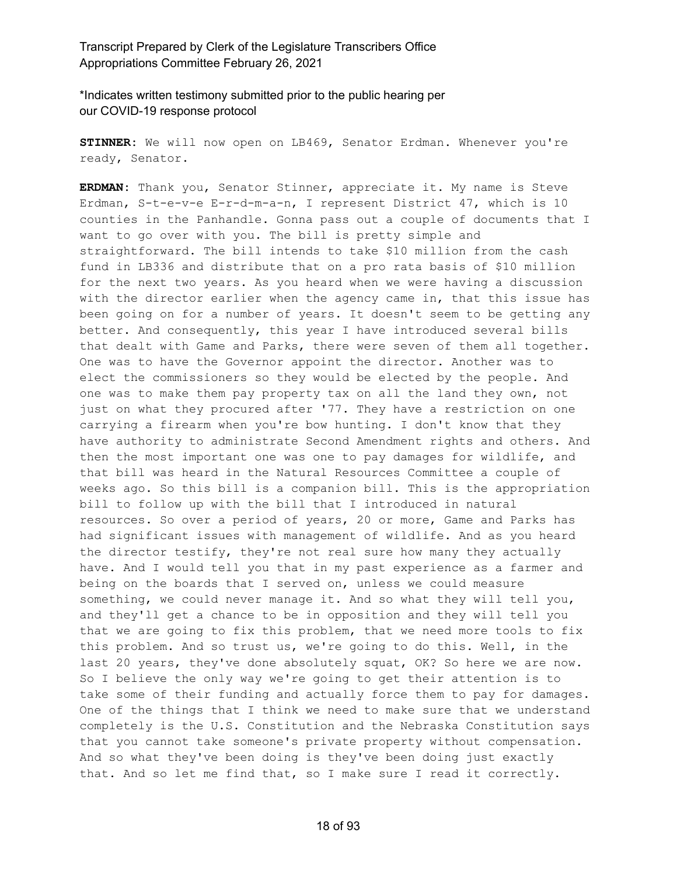\*Indicates written testimony submitted prior to the public hearing per our COVID-19 response protocol

**STINNER:** We will now open on LB469, Senator Erdman. Whenever you're ready, Senator.

**ERDMAN:** Thank you, Senator Stinner, appreciate it. My name is Steve Erdman, S-t-e-v-e E-r-d-m-a-n, I represent District 47, which is 10 counties in the Panhandle. Gonna pass out a couple of documents that I want to go over with you. The bill is pretty simple and straightforward. The bill intends to take \$10 million from the cash fund in LB336 and distribute that on a pro rata basis of \$10 million for the next two years. As you heard when we were having a discussion with the director earlier when the agency came in, that this issue has been going on for a number of years. It doesn't seem to be getting any better. And consequently, this year I have introduced several bills that dealt with Game and Parks, there were seven of them all together. One was to have the Governor appoint the director. Another was to elect the commissioners so they would be elected by the people. And one was to make them pay property tax on all the land they own, not just on what they procured after '77. They have a restriction on one carrying a firearm when you're bow hunting. I don't know that they have authority to administrate Second Amendment rights and others. And then the most important one was one to pay damages for wildlife, and that bill was heard in the Natural Resources Committee a couple of weeks ago. So this bill is a companion bill. This is the appropriation bill to follow up with the bill that I introduced in natural resources. So over a period of years, 20 or more, Game and Parks has had significant issues with management of wildlife. And as you heard the director testify, they're not real sure how many they actually have. And I would tell you that in my past experience as a farmer and being on the boards that I served on, unless we could measure something, we could never manage it. And so what they will tell you, and they'll get a chance to be in opposition and they will tell you that we are going to fix this problem, that we need more tools to fix this problem. And so trust us, we're going to do this. Well, in the last 20 years, they've done absolutely squat, OK? So here we are now. So I believe the only way we're going to get their attention is to take some of their funding and actually force them to pay for damages. One of the things that I think we need to make sure that we understand completely is the U.S. Constitution and the Nebraska Constitution says that you cannot take someone's private property without compensation. And so what they've been doing is they've been doing just exactly that. And so let me find that, so I make sure I read it correctly.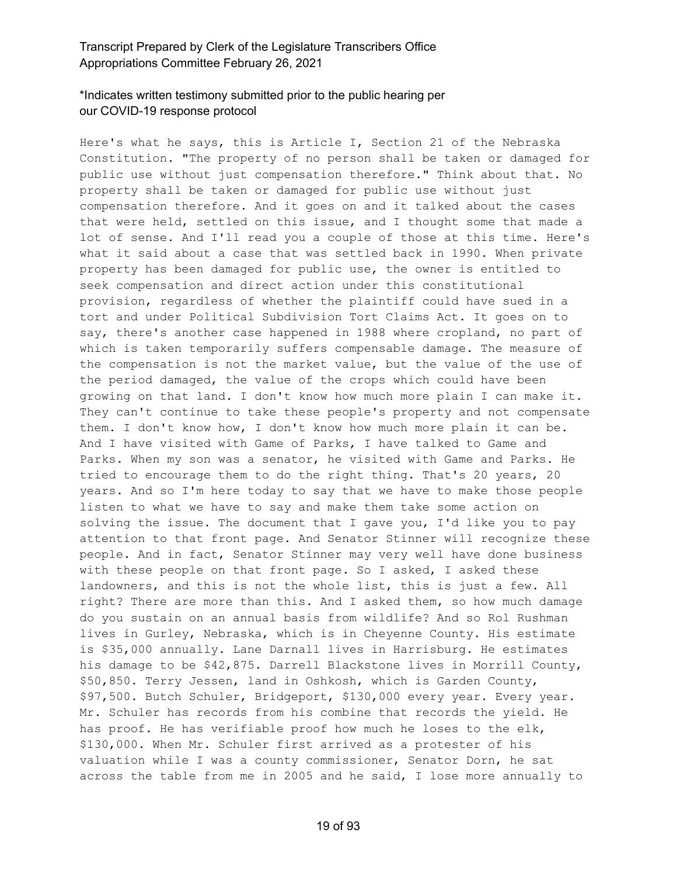#### \*Indicates written testimony submitted prior to the public hearing per our COVID-19 response protocol

Here's what he says, this is Article I, Section 21 of the Nebraska Constitution. "The property of no person shall be taken or damaged for public use without just compensation therefore." Think about that. No property shall be taken or damaged for public use without just compensation therefore. And it goes on and it talked about the cases that were held, settled on this issue, and I thought some that made a lot of sense. And I'll read you a couple of those at this time. Here's what it said about a case that was settled back in 1990. When private property has been damaged for public use, the owner is entitled to seek compensation and direct action under this constitutional provision, regardless of whether the plaintiff could have sued in a tort and under Political Subdivision Tort Claims Act. It goes on to say, there's another case happened in 1988 where cropland, no part of which is taken temporarily suffers compensable damage. The measure of the compensation is not the market value, but the value of the use of the period damaged, the value of the crops which could have been growing on that land. I don't know how much more plain I can make it. They can't continue to take these people's property and not compensate them. I don't know how, I don't know how much more plain it can be. And I have visited with Game of Parks, I have talked to Game and Parks. When my son was a senator, he visited with Game and Parks. He tried to encourage them to do the right thing. That's 20 years, 20 years. And so I'm here today to say that we have to make those people listen to what we have to say and make them take some action on solving the issue. The document that I gave you, I'd like you to pay attention to that front page. And Senator Stinner will recognize these people. And in fact, Senator Stinner may very well have done business with these people on that front page. So I asked, I asked these landowners, and this is not the whole list, this is just a few. All right? There are more than this. And I asked them, so how much damage do you sustain on an annual basis from wildlife? And so Rol Rushman lives in Gurley, Nebraska, which is in Cheyenne County. His estimate is \$35,000 annually. Lane Darnall lives in Harrisburg. He estimates his damage to be \$42,875. Darrell Blackstone lives in Morrill County, \$50,850. Terry Jessen, land in Oshkosh, which is Garden County, \$97,500. Butch Schuler, Bridgeport, \$130,000 every year. Every year. Mr. Schuler has records from his combine that records the yield. He has proof. He has verifiable proof how much he loses to the elk, \$130,000. When Mr. Schuler first arrived as a protester of his valuation while I was a county commissioner, Senator Dorn, he sat across the table from me in 2005 and he said, I lose more annually to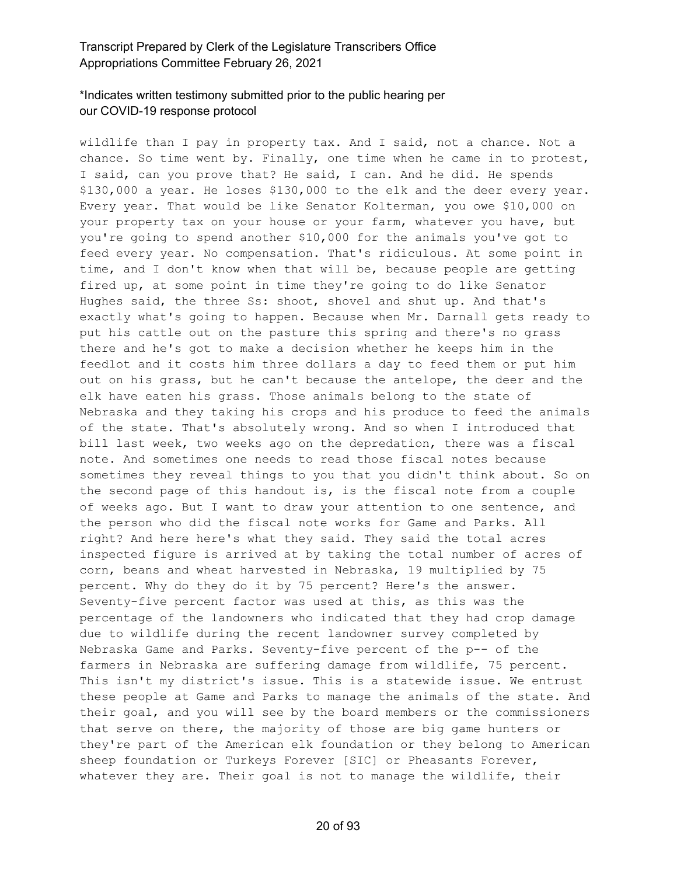# \*Indicates written testimony submitted prior to the public hearing per our COVID-19 response protocol

wildlife than I pay in property tax. And I said, not a chance. Not a chance. So time went by. Finally, one time when he came in to protest, I said, can you prove that? He said, I can. And he did. He spends \$130,000 a year. He loses \$130,000 to the elk and the deer every year. Every year. That would be like Senator Kolterman, you owe \$10,000 on your property tax on your house or your farm, whatever you have, but you're going to spend another \$10,000 for the animals you've got to feed every year. No compensation. That's ridiculous. At some point in time, and I don't know when that will be, because people are getting fired up, at some point in time they're going to do like Senator Hughes said, the three Ss: shoot, shovel and shut up. And that's exactly what's going to happen. Because when Mr. Darnall gets ready to put his cattle out on the pasture this spring and there's no grass there and he's got to make a decision whether he keeps him in the feedlot and it costs him three dollars a day to feed them or put him out on his grass, but he can't because the antelope, the deer and the elk have eaten his grass. Those animals belong to the state of Nebraska and they taking his crops and his produce to feed the animals of the state. That's absolutely wrong. And so when I introduced that bill last week, two weeks ago on the depredation, there was a fiscal note. And sometimes one needs to read those fiscal notes because sometimes they reveal things to you that you didn't think about. So on the second page of this handout is, is the fiscal note from a couple of weeks ago. But I want to draw your attention to one sentence, and the person who did the fiscal note works for Game and Parks. All right? And here here's what they said. They said the total acres inspected figure is arrived at by taking the total number of acres of corn, beans and wheat harvested in Nebraska, 19 multiplied by 75 percent. Why do they do it by 75 percent? Here's the answer. Seventy-five percent factor was used at this, as this was the percentage of the landowners who indicated that they had crop damage due to wildlife during the recent landowner survey completed by Nebraska Game and Parks. Seventy-five percent of the p-- of the farmers in Nebraska are suffering damage from wildlife, 75 percent. This isn't my district's issue. This is a statewide issue. We entrust these people at Game and Parks to manage the animals of the state. And their goal, and you will see by the board members or the commissioners that serve on there, the majority of those are big game hunters or they're part of the American elk foundation or they belong to American sheep foundation or Turkeys Forever [SIC] or Pheasants Forever, whatever they are. Their goal is not to manage the wildlife, their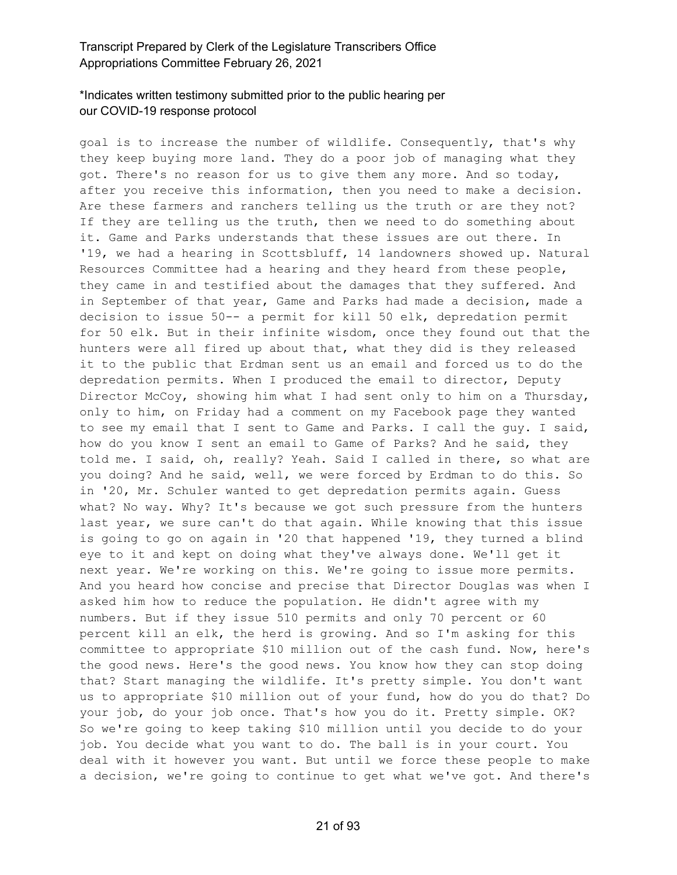# \*Indicates written testimony submitted prior to the public hearing per our COVID-19 response protocol

goal is to increase the number of wildlife. Consequently, that's why they keep buying more land. They do a poor job of managing what they got. There's no reason for us to give them any more. And so today, after you receive this information, then you need to make a decision. Are these farmers and ranchers telling us the truth or are they not? If they are telling us the truth, then we need to do something about it. Game and Parks understands that these issues are out there. In '19, we had a hearing in Scottsbluff, 14 landowners showed up. Natural Resources Committee had a hearing and they heard from these people, they came in and testified about the damages that they suffered. And in September of that year, Game and Parks had made a decision, made a decision to issue 50-- a permit for kill 50 elk, depredation permit for 50 elk. But in their infinite wisdom, once they found out that the hunters were all fired up about that, what they did is they released it to the public that Erdman sent us an email and forced us to do the depredation permits. When I produced the email to director, Deputy Director McCoy, showing him what I had sent only to him on a Thursday, only to him, on Friday had a comment on my Facebook page they wanted to see my email that I sent to Game and Parks. I call the guy. I said, how do you know I sent an email to Game of Parks? And he said, they told me. I said, oh, really? Yeah. Said I called in there, so what are you doing? And he said, well, we were forced by Erdman to do this. So in '20, Mr. Schuler wanted to get depredation permits again. Guess what? No way. Why? It's because we got such pressure from the hunters last year, we sure can't do that again. While knowing that this issue is going to go on again in '20 that happened '19, they turned a blind eye to it and kept on doing what they've always done. We'll get it next year. We're working on this. We're going to issue more permits. And you heard how concise and precise that Director Douglas was when I asked him how to reduce the population. He didn't agree with my numbers. But if they issue 510 permits and only 70 percent or 60 percent kill an elk, the herd is growing. And so I'm asking for this committee to appropriate \$10 million out of the cash fund. Now, here's the good news. Here's the good news. You know how they can stop doing that? Start managing the wildlife. It's pretty simple. You don't want us to appropriate \$10 million out of your fund, how do you do that? Do your job, do your job once. That's how you do it. Pretty simple. OK? So we're going to keep taking \$10 million until you decide to do your job. You decide what you want to do. The ball is in your court. You deal with it however you want. But until we force these people to make a decision, we're going to continue to get what we've got. And there's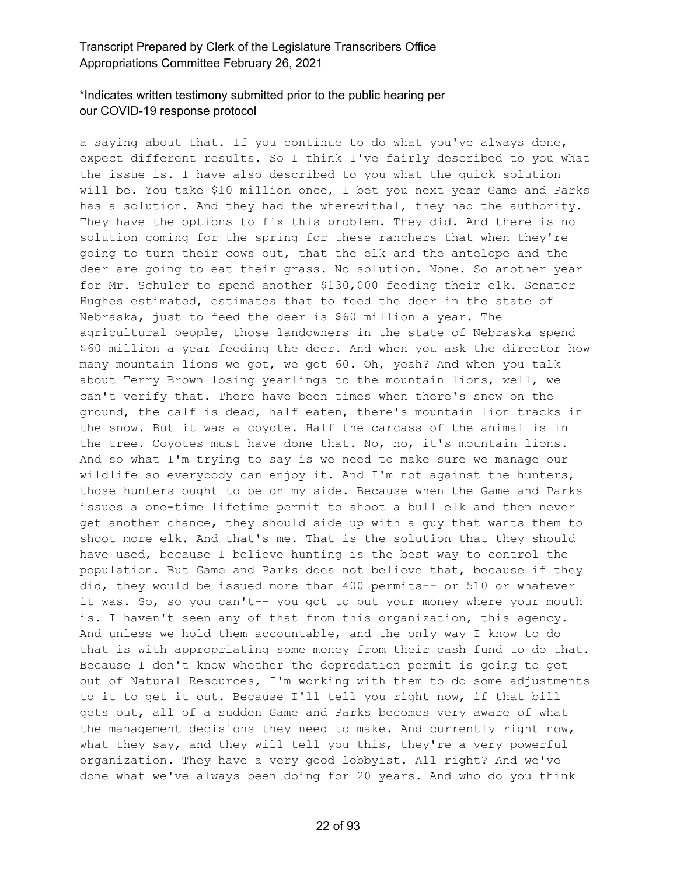# \*Indicates written testimony submitted prior to the public hearing per our COVID-19 response protocol

a saying about that. If you continue to do what you've always done, expect different results. So I think I've fairly described to you what the issue is. I have also described to you what the quick solution will be. You take \$10 million once, I bet you next year Game and Parks has a solution. And they had the wherewithal, they had the authority. They have the options to fix this problem. They did. And there is no solution coming for the spring for these ranchers that when they're going to turn their cows out, that the elk and the antelope and the deer are going to eat their grass. No solution. None. So another year for Mr. Schuler to spend another \$130,000 feeding their elk. Senator Hughes estimated, estimates that to feed the deer in the state of Nebraska, just to feed the deer is \$60 million a year. The agricultural people, those landowners in the state of Nebraska spend \$60 million a year feeding the deer. And when you ask the director how many mountain lions we got, we got 60. Oh, yeah? And when you talk about Terry Brown losing yearlings to the mountain lions, well, we can't verify that. There have been times when there's snow on the ground, the calf is dead, half eaten, there's mountain lion tracks in the snow. But it was a coyote. Half the carcass of the animal is in the tree. Coyotes must have done that. No, no, it's mountain lions. And so what I'm trying to say is we need to make sure we manage our wildlife so everybody can enjoy it. And I'm not against the hunters, those hunters ought to be on my side. Because when the Game and Parks issues a one-time lifetime permit to shoot a bull elk and then never get another chance, they should side up with a guy that wants them to shoot more elk. And that's me. That is the solution that they should have used, because I believe hunting is the best way to control the population. But Game and Parks does not believe that, because if they did, they would be issued more than 400 permits-- or 510 or whatever it was. So, so you can't-- you got to put your money where your mouth is. I haven't seen any of that from this organization, this agency. And unless we hold them accountable, and the only way I know to do that is with appropriating some money from their cash fund to do that. Because I don't know whether the depredation permit is going to get out of Natural Resources, I'm working with them to do some adjustments to it to get it out. Because I'll tell you right now, if that bill gets out, all of a sudden Game and Parks becomes very aware of what the management decisions they need to make. And currently right now, what they say, and they will tell you this, they're a very powerful organization. They have a very good lobbyist. All right? And we've done what we've always been doing for 20 years. And who do you think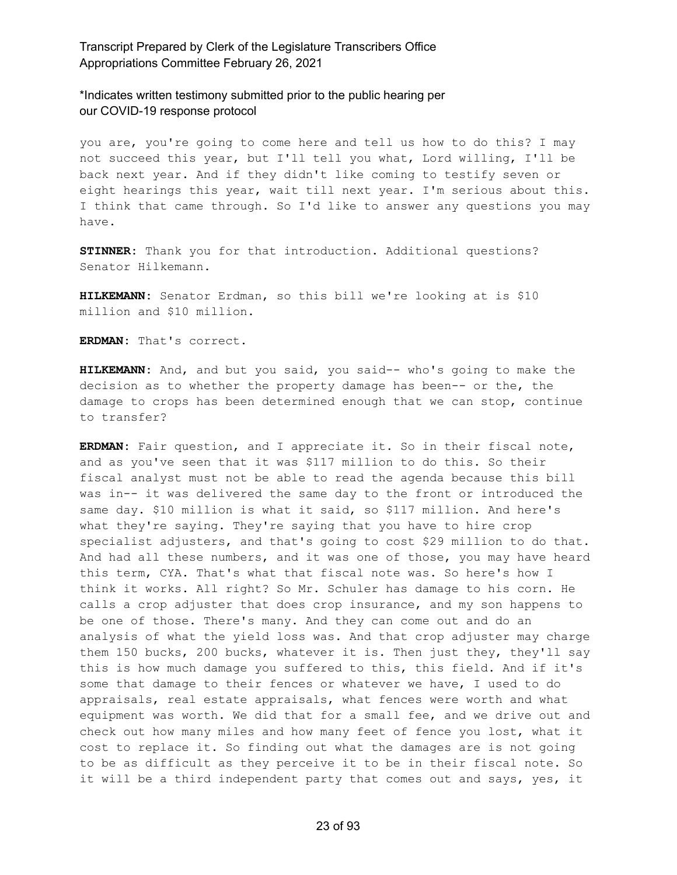\*Indicates written testimony submitted prior to the public hearing per our COVID-19 response protocol

you are, you're going to come here and tell us how to do this? I may not succeed this year, but I'll tell you what, Lord willing, I'll be back next year. And if they didn't like coming to testify seven or eight hearings this year, wait till next year. I'm serious about this. I think that came through. So I'd like to answer any questions you may have.

**STINNER:** Thank you for that introduction. Additional questions? Senator Hilkemann.

**HILKEMANN:** Senator Erdman, so this bill we're looking at is \$10 million and \$10 million.

**ERDMAN:** That's correct.

**HILKEMANN:** And, and but you said, you said-- who's going to make the decision as to whether the property damage has been-- or the, the damage to crops has been determined enough that we can stop, continue to transfer?

**ERDMAN:** Fair question, and I appreciate it. So in their fiscal note, and as you've seen that it was \$117 million to do this. So their fiscal analyst must not be able to read the agenda because this bill was in-- it was delivered the same day to the front or introduced the same day. \$10 million is what it said, so \$117 million. And here's what they're saying. They're saying that you have to hire crop specialist adjusters, and that's going to cost \$29 million to do that. And had all these numbers, and it was one of those, you may have heard this term, CYA. That's what that fiscal note was. So here's how I think it works. All right? So Mr. Schuler has damage to his corn. He calls a crop adjuster that does crop insurance, and my son happens to be one of those. There's many. And they can come out and do an analysis of what the yield loss was. And that crop adjuster may charge them 150 bucks, 200 bucks, whatever it is. Then just they, they'll say this is how much damage you suffered to this, this field. And if it's some that damage to their fences or whatever we have, I used to do appraisals, real estate appraisals, what fences were worth and what equipment was worth. We did that for a small fee, and we drive out and check out how many miles and how many feet of fence you lost, what it cost to replace it. So finding out what the damages are is not going to be as difficult as they perceive it to be in their fiscal note. So it will be a third independent party that comes out and says, yes, it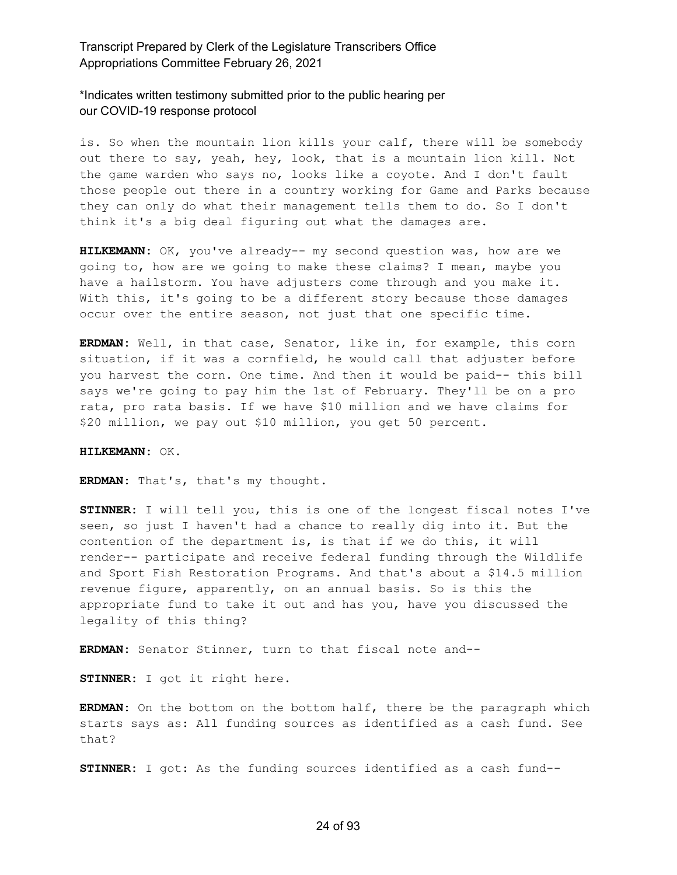## \*Indicates written testimony submitted prior to the public hearing per our COVID-19 response protocol

is. So when the mountain lion kills your calf, there will be somebody out there to say, yeah, hey, look, that is a mountain lion kill. Not the game warden who says no, looks like a coyote. And I don't fault those people out there in a country working for Game and Parks because they can only do what their management tells them to do. So I don't think it's a big deal figuring out what the damages are.

**HILKEMANN:** OK, you've already-- my second question was, how are we going to, how are we going to make these claims? I mean, maybe you have a hailstorm. You have adjusters come through and you make it. With this, it's going to be a different story because those damages occur over the entire season, not just that one specific time.

**ERDMAN:** Well, in that case, Senator, like in, for example, this corn situation, if it was a cornfield, he would call that adjuster before you harvest the corn. One time. And then it would be paid-- this bill says we're going to pay him the 1st of February. They'll be on a pro rata, pro rata basis. If we have \$10 million and we have claims for \$20 million, we pay out \$10 million, you get 50 percent.

**HILKEMANN:** OK.

**ERDMAN:** That's, that's my thought.

**STINNER:** I will tell you, this is one of the longest fiscal notes I've seen, so just I haven't had a chance to really dig into it. But the contention of the department is, is that if we do this, it will render-- participate and receive federal funding through the Wildlife and Sport Fish Restoration Programs. And that's about a \$14.5 million revenue figure, apparently, on an annual basis. So is this the appropriate fund to take it out and has you, have you discussed the legality of this thing?

**ERDMAN:** Senator Stinner, turn to that fiscal note and--

**STINNER:** I got it right here.

**ERDMAN:** On the bottom on the bottom half, there be the paragraph which starts says as: All funding sources as identified as a cash fund. See that?

**STINNER:** I got: As the funding sources identified as a cash fund--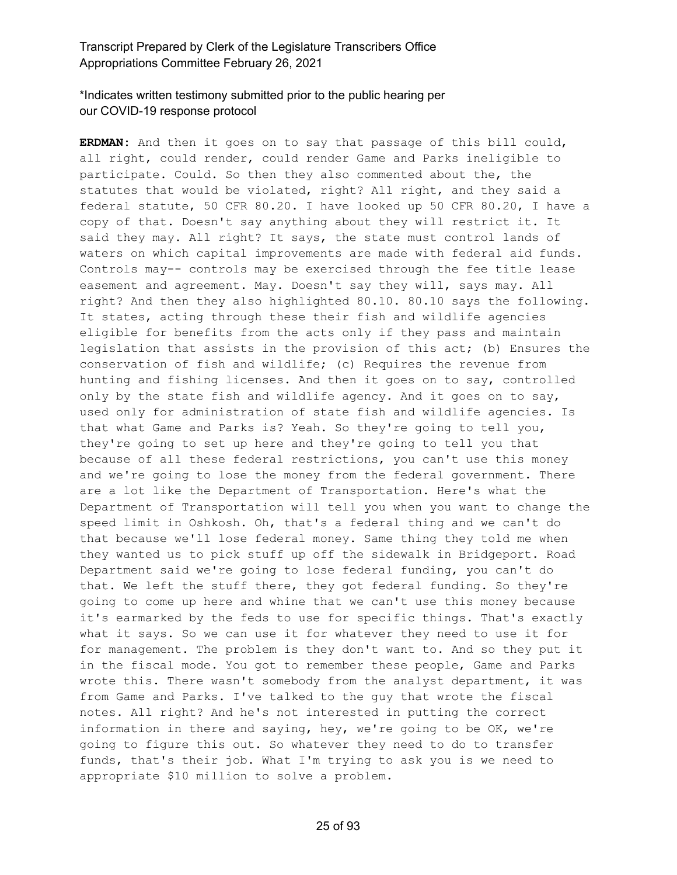## \*Indicates written testimony submitted prior to the public hearing per our COVID-19 response protocol

**ERDMAN:** And then it goes on to say that passage of this bill could, all right, could render, could render Game and Parks ineligible to participate. Could. So then they also commented about the, the statutes that would be violated, right? All right, and they said a federal statute, 50 CFR 80.20. I have looked up 50 CFR 80.20, I have a copy of that. Doesn't say anything about they will restrict it. It said they may. All right? It says, the state must control lands of waters on which capital improvements are made with federal aid funds. Controls may-- controls may be exercised through the fee title lease easement and agreement. May. Doesn't say they will, says may. All right? And then they also highlighted 80.10. 80.10 says the following. It states, acting through these their fish and wildlife agencies eligible for benefits from the acts only if they pass and maintain legislation that assists in the provision of this act; (b) Ensures the conservation of fish and wildlife; (c) Requires the revenue from hunting and fishing licenses. And then it goes on to say, controlled only by the state fish and wildlife agency. And it goes on to say, used only for administration of state fish and wildlife agencies. Is that what Game and Parks is? Yeah. So they're going to tell you, they're going to set up here and they're going to tell you that because of all these federal restrictions, you can't use this money and we're going to lose the money from the federal government. There are a lot like the Department of Transportation. Here's what the Department of Transportation will tell you when you want to change the speed limit in Oshkosh. Oh, that's a federal thing and we can't do that because we'll lose federal money. Same thing they told me when they wanted us to pick stuff up off the sidewalk in Bridgeport. Road Department said we're going to lose federal funding, you can't do that. We left the stuff there, they got federal funding. So they're going to come up here and whine that we can't use this money because it's earmarked by the feds to use for specific things. That's exactly what it says. So we can use it for whatever they need to use it for for management. The problem is they don't want to. And so they put it in the fiscal mode. You got to remember these people, Game and Parks wrote this. There wasn't somebody from the analyst department, it was from Game and Parks. I've talked to the guy that wrote the fiscal notes. All right? And he's not interested in putting the correct information in there and saying, hey, we're going to be OK, we're going to figure this out. So whatever they need to do to transfer funds, that's their job. What I'm trying to ask you is we need to appropriate \$10 million to solve a problem.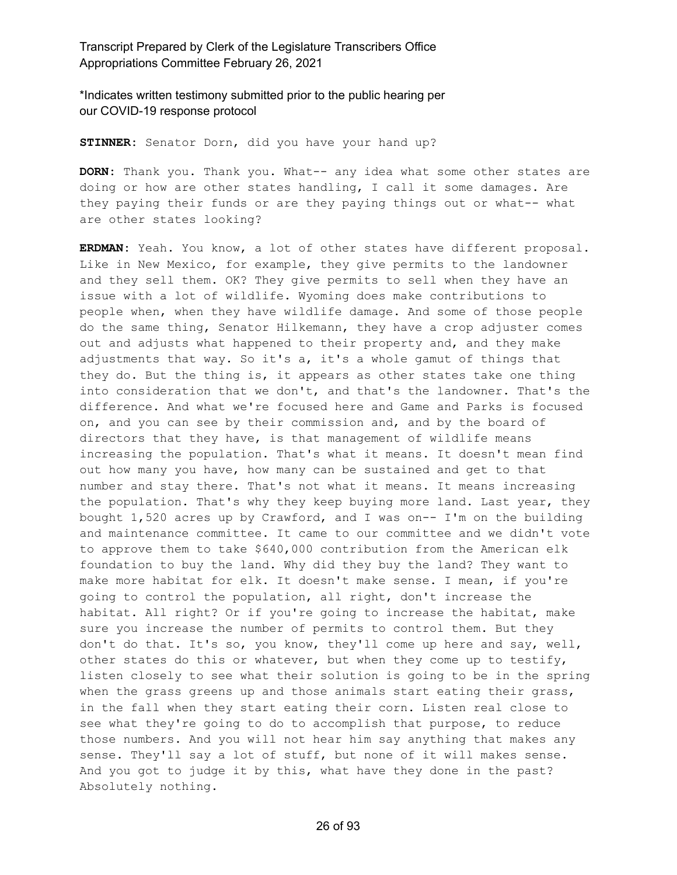\*Indicates written testimony submitted prior to the public hearing per our COVID-19 response protocol

**STINNER:** Senator Dorn, did you have your hand up?

**DORN:** Thank you. Thank you. What-- any idea what some other states are doing or how are other states handling, I call it some damages. Are they paying their funds or are they paying things out or what-- what are other states looking?

**ERDMAN:** Yeah. You know, a lot of other states have different proposal. Like in New Mexico, for example, they give permits to the landowner and they sell them. OK? They give permits to sell when they have an issue with a lot of wildlife. Wyoming does make contributions to people when, when they have wildlife damage. And some of those people do the same thing, Senator Hilkemann, they have a crop adjuster comes out and adjusts what happened to their property and, and they make adjustments that way. So it's a, it's a whole gamut of things that they do. But the thing is, it appears as other states take one thing into consideration that we don't, and that's the landowner. That's the difference. And what we're focused here and Game and Parks is focused on, and you can see by their commission and, and by the board of directors that they have, is that management of wildlife means increasing the population. That's what it means. It doesn't mean find out how many you have, how many can be sustained and get to that number and stay there. That's not what it means. It means increasing the population. That's why they keep buying more land. Last year, they bought 1,520 acres up by Crawford, and I was on-- I'm on the building and maintenance committee. It came to our committee and we didn't vote to approve them to take \$640,000 contribution from the American elk foundation to buy the land. Why did they buy the land? They want to make more habitat for elk. It doesn't make sense. I mean, if you're going to control the population, all right, don't increase the habitat. All right? Or if you're going to increase the habitat, make sure you increase the number of permits to control them. But they don't do that. It's so, you know, they'll come up here and say, well, other states do this or whatever, but when they come up to testify, listen closely to see what their solution is going to be in the spring when the grass greens up and those animals start eating their grass, in the fall when they start eating their corn. Listen real close to see what they're going to do to accomplish that purpose, to reduce those numbers. And you will not hear him say anything that makes any sense. They'll say a lot of stuff, but none of it will makes sense. And you got to judge it by this, what have they done in the past? Absolutely nothing.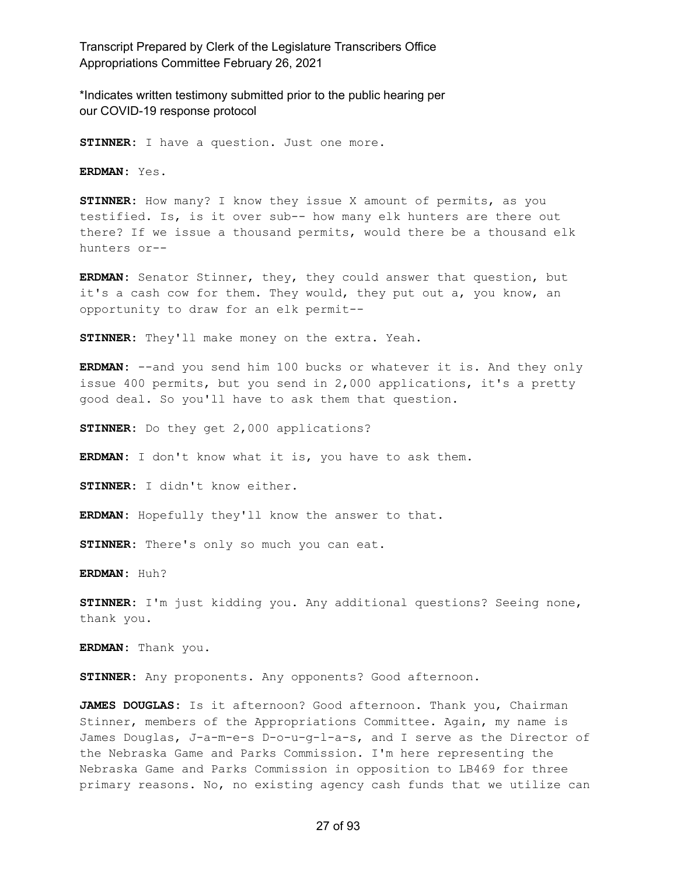\*Indicates written testimony submitted prior to the public hearing per our COVID-19 response protocol

**STINNER:** I have a question. Just one more.

**ERDMAN:** Yes.

**STINNER:** How many? I know they issue X amount of permits, as you testified. Is, is it over sub-- how many elk hunters are there out there? If we issue a thousand permits, would there be a thousand elk hunters or--

**ERDMAN:** Senator Stinner, they, they could answer that question, but it's a cash cow for them. They would, they put out a, you know, an opportunity to draw for an elk permit--

**STINNER:** They'll make money on the extra. Yeah.

**ERDMAN:** --and you send him 100 bucks or whatever it is. And they only issue 400 permits, but you send in 2,000 applications, it's a pretty good deal. So you'll have to ask them that question.

**STINNER:** Do they get 2,000 applications?

**ERDMAN:** I don't know what it is, you have to ask them.

**STINNER:** I didn't know either.

**ERDMAN:** Hopefully they'll know the answer to that.

**STINNER:** There's only so much you can eat.

**ERDMAN:** Huh?

**STINNER:** I'm just kidding you. Any additional questions? Seeing none, thank you.

**ERDMAN:** Thank you.

**STINNER:** Any proponents. Any opponents? Good afternoon.

**JAMES DOUGLAS:** Is it afternoon? Good afternoon. Thank you, Chairman Stinner, members of the Appropriations Committee. Again, my name is James Douglas, J-a-m-e-s D-o-u-g-l-a-s, and I serve as the Director of the Nebraska Game and Parks Commission. I'm here representing the Nebraska Game and Parks Commission in opposition to LB469 for three primary reasons. No, no existing agency cash funds that we utilize can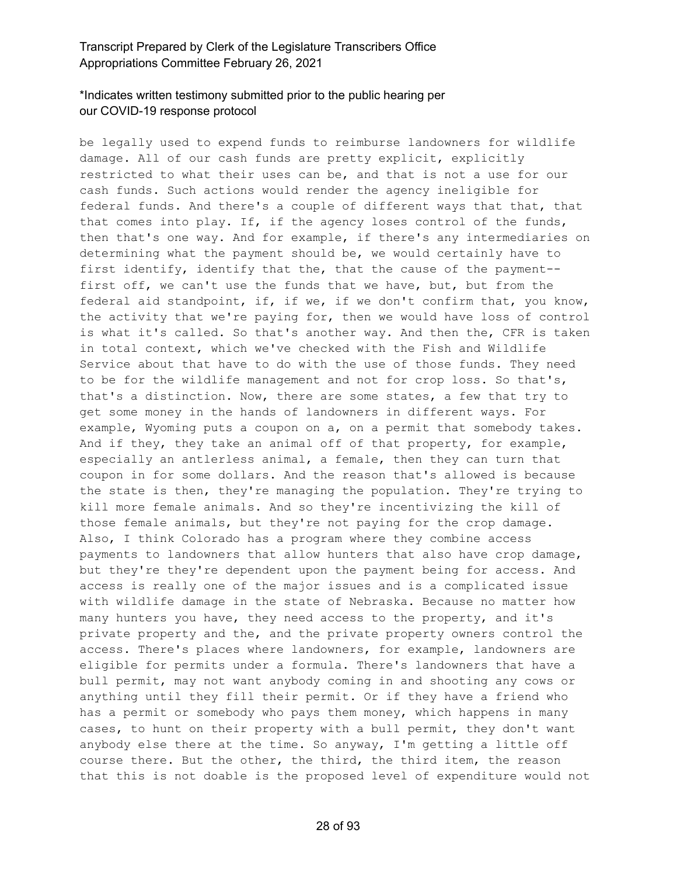# \*Indicates written testimony submitted prior to the public hearing per our COVID-19 response protocol

be legally used to expend funds to reimburse landowners for wildlife damage. All of our cash funds are pretty explicit, explicitly restricted to what their uses can be, and that is not a use for our cash funds. Such actions would render the agency ineligible for federal funds. And there's a couple of different ways that that, that that comes into play. If, if the agency loses control of the funds, then that's one way. And for example, if there's any intermediaries on determining what the payment should be, we would certainly have to first identify, identify that the, that the cause of the payment- first off, we can't use the funds that we have, but, but from the federal aid standpoint, if, if we, if we don't confirm that, you know, the activity that we're paying for, then we would have loss of control is what it's called. So that's another way. And then the, CFR is taken in total context, which we've checked with the Fish and Wildlife Service about that have to do with the use of those funds. They need to be for the wildlife management and not for crop loss. So that's, that's a distinction. Now, there are some states, a few that try to get some money in the hands of landowners in different ways. For example, Wyoming puts a coupon on a, on a permit that somebody takes. And if they, they take an animal off of that property, for example, especially an antlerless animal, a female, then they can turn that coupon in for some dollars. And the reason that's allowed is because the state is then, they're managing the population. They're trying to kill more female animals. And so they're incentivizing the kill of those female animals, but they're not paying for the crop damage. Also, I think Colorado has a program where they combine access payments to landowners that allow hunters that also have crop damage, but they're they're dependent upon the payment being for access. And access is really one of the major issues and is a complicated issue with wildlife damage in the state of Nebraska. Because no matter how many hunters you have, they need access to the property, and it's private property and the, and the private property owners control the access. There's places where landowners, for example, landowners are eligible for permits under a formula. There's landowners that have a bull permit, may not want anybody coming in and shooting any cows or anything until they fill their permit. Or if they have a friend who has a permit or somebody who pays them money, which happens in many cases, to hunt on their property with a bull permit, they don't want anybody else there at the time. So anyway, I'm getting a little off course there. But the other, the third, the third item, the reason that this is not doable is the proposed level of expenditure would not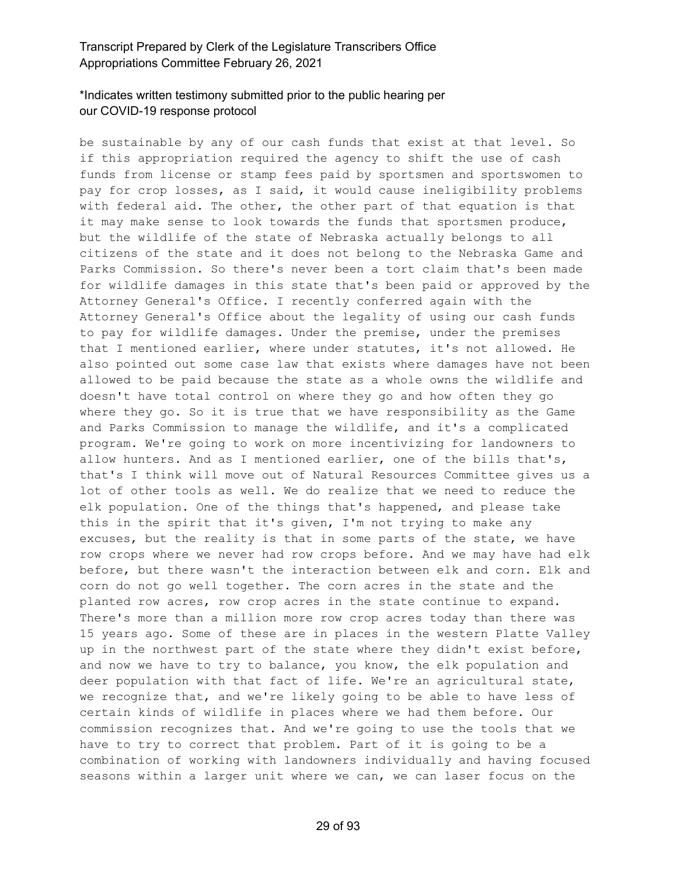#### \*Indicates written testimony submitted prior to the public hearing per our COVID-19 response protocol

be sustainable by any of our cash funds that exist at that level. So if this appropriation required the agency to shift the use of cash funds from license or stamp fees paid by sportsmen and sportswomen to pay for crop losses, as I said, it would cause ineligibility problems with federal aid. The other, the other part of that equation is that it may make sense to look towards the funds that sportsmen produce, but the wildlife of the state of Nebraska actually belongs to all citizens of the state and it does not belong to the Nebraska Game and Parks Commission. So there's never been a tort claim that's been made for wildlife damages in this state that's been paid or approved by the Attorney General's Office. I recently conferred again with the Attorney General's Office about the legality of using our cash funds to pay for wildlife damages. Under the premise, under the premises that I mentioned earlier, where under statutes, it's not allowed. He also pointed out some case law that exists where damages have not been allowed to be paid because the state as a whole owns the wildlife and doesn't have total control on where they go and how often they go where they go. So it is true that we have responsibility as the Game and Parks Commission to manage the wildlife, and it's a complicated program. We're going to work on more incentivizing for landowners to allow hunters. And as I mentioned earlier, one of the bills that's, that's I think will move out of Natural Resources Committee gives us a lot of other tools as well. We do realize that we need to reduce the elk population. One of the things that's happened, and please take this in the spirit that it's given, I'm not trying to make any excuses, but the reality is that in some parts of the state, we have row crops where we never had row crops before. And we may have had elk before, but there wasn't the interaction between elk and corn. Elk and corn do not go well together. The corn acres in the state and the planted row acres, row crop acres in the state continue to expand. There's more than a million more row crop acres today than there was 15 years ago. Some of these are in places in the western Platte Valley up in the northwest part of the state where they didn't exist before, and now we have to try to balance, you know, the elk population and deer population with that fact of life. We're an agricultural state, we recognize that, and we're likely going to be able to have less of certain kinds of wildlife in places where we had them before. Our commission recognizes that. And we're going to use the tools that we have to try to correct that problem. Part of it is going to be a combination of working with landowners individually and having focused seasons within a larger unit where we can, we can laser focus on the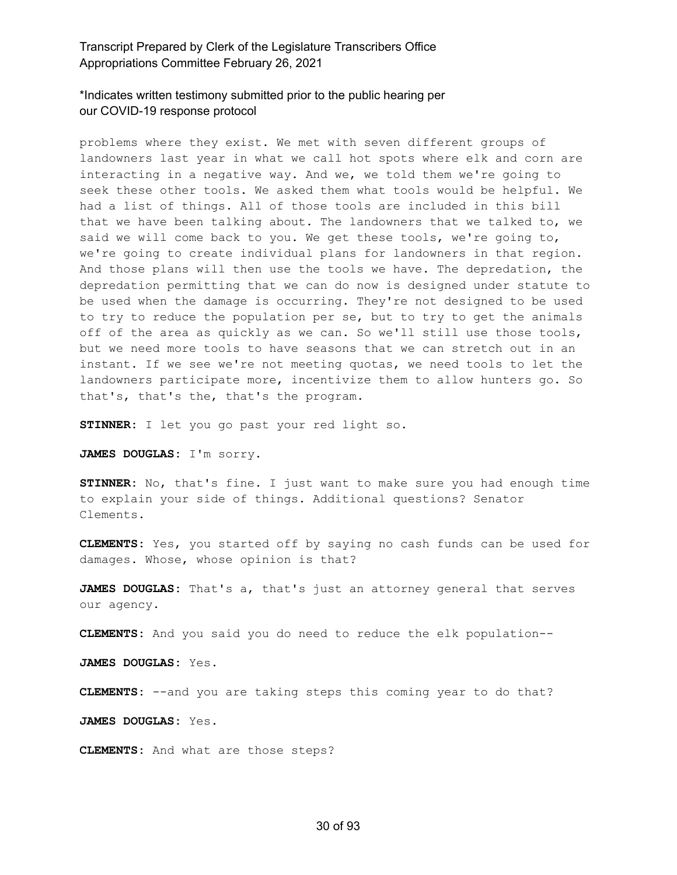## \*Indicates written testimony submitted prior to the public hearing per our COVID-19 response protocol

problems where they exist. We met with seven different groups of landowners last year in what we call hot spots where elk and corn are interacting in a negative way. And we, we told them we're going to seek these other tools. We asked them what tools would be helpful. We had a list of things. All of those tools are included in this bill that we have been talking about. The landowners that we talked to, we said we will come back to you. We get these tools, we're going to, we're going to create individual plans for landowners in that region. And those plans will then use the tools we have. The depredation, the depredation permitting that we can do now is designed under statute to be used when the damage is occurring. They're not designed to be used to try to reduce the population per se, but to try to get the animals off of the area as quickly as we can. So we'll still use those tools, but we need more tools to have seasons that we can stretch out in an instant. If we see we're not meeting quotas, we need tools to let the landowners participate more, incentivize them to allow hunters go. So that's, that's the, that's the program.

**STINNER:** I let you go past your red light so.

**JAMES DOUGLAS:** I'm sorry.

**STINNER:** No, that's fine. I just want to make sure you had enough time to explain your side of things. Additional questions? Senator Clements.

**CLEMENTS:** Yes, you started off by saying no cash funds can be used for damages. Whose, whose opinion is that?

**JAMES DOUGLAS:** That's a, that's just an attorney general that serves our agency.

**CLEMENTS:** And you said you do need to reduce the elk population--

**JAMES DOUGLAS:** Yes.

**CLEMENTS:** --and you are taking steps this coming year to do that?

**JAMES DOUGLAS:** Yes.

**CLEMENTS:** And what are those steps?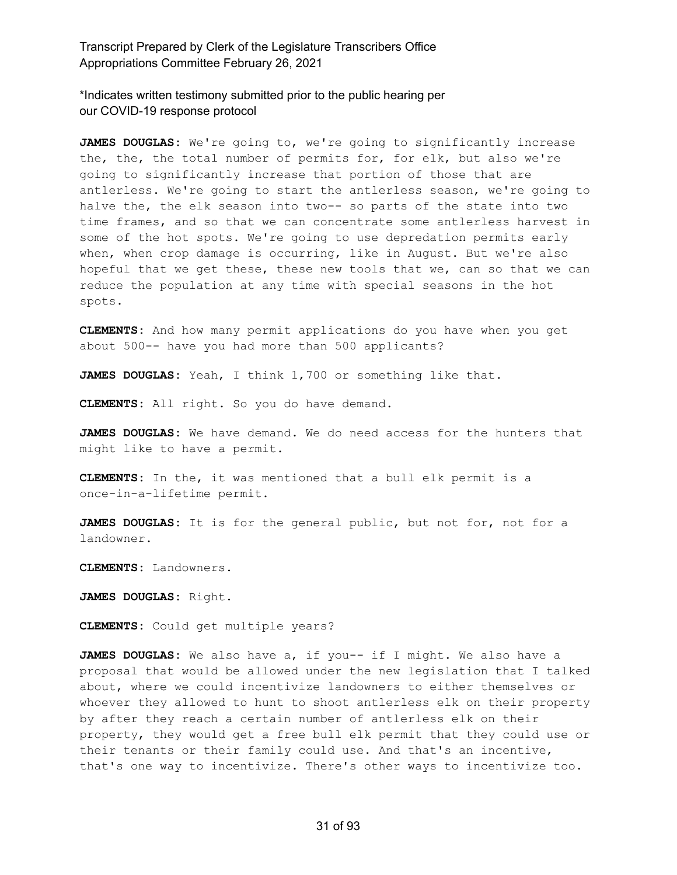\*Indicates written testimony submitted prior to the public hearing per our COVID-19 response protocol

**JAMES DOUGLAS:** We're going to, we're going to significantly increase the, the, the total number of permits for, for elk, but also we're going to significantly increase that portion of those that are antlerless. We're going to start the antlerless season, we're going to halve the, the elk season into two-- so parts of the state into two time frames, and so that we can concentrate some antlerless harvest in some of the hot spots. We're going to use depredation permits early when, when crop damage is occurring, like in August. But we're also hopeful that we get these, these new tools that we, can so that we can reduce the population at any time with special seasons in the hot spots.

**CLEMENTS:** And how many permit applications do you have when you get about 500-- have you had more than 500 applicants?

**JAMES DOUGLAS:** Yeah, I think 1,700 or something like that.

**CLEMENTS:** All right. So you do have demand.

**JAMES DOUGLAS:** We have demand. We do need access for the hunters that might like to have a permit.

**CLEMENTS:** In the, it was mentioned that a bull elk permit is a once-in-a-lifetime permit.

**JAMES DOUGLAS:** It is for the general public, but not for, not for a landowner.

**CLEMENTS:** Landowners.

**JAMES DOUGLAS:** Right.

**CLEMENTS:** Could get multiple years?

**JAMES DOUGLAS:** We also have a, if you-- if I might. We also have a proposal that would be allowed under the new legislation that I talked about, where we could incentivize landowners to either themselves or whoever they allowed to hunt to shoot antlerless elk on their property by after they reach a certain number of antlerless elk on their property, they would get a free bull elk permit that they could use or their tenants or their family could use. And that's an incentive, that's one way to incentivize. There's other ways to incentivize too.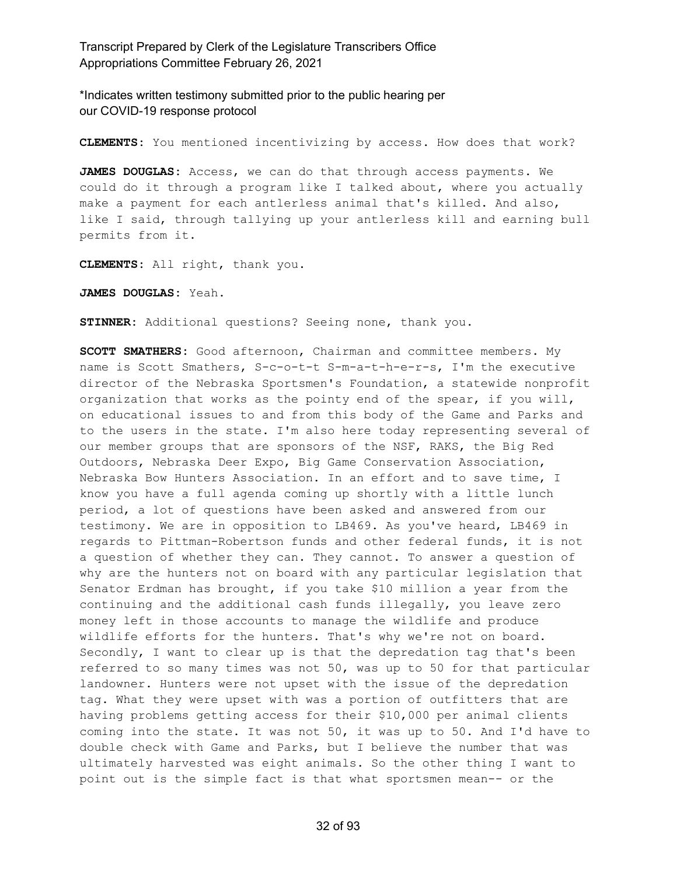\*Indicates written testimony submitted prior to the public hearing per our COVID-19 response protocol

**CLEMENTS:** You mentioned incentivizing by access. How does that work?

**JAMES DOUGLAS:** Access, we can do that through access payments. We could do it through a program like I talked about, where you actually make a payment for each antlerless animal that's killed. And also, like I said, through tallying up your antlerless kill and earning bull permits from it.

**CLEMENTS:** All right, thank you.

**JAMES DOUGLAS:** Yeah.

**STINNER:** Additional questions? Seeing none, thank you.

**SCOTT SMATHERS:** Good afternoon, Chairman and committee members. My name is Scott Smathers, S-c-o-t-t S-m-a-t-h-e-r-s, I'm the executive director of the Nebraska Sportsmen's Foundation, a statewide nonprofit organization that works as the pointy end of the spear, if you will, on educational issues to and from this body of the Game and Parks and to the users in the state. I'm also here today representing several of our member groups that are sponsors of the NSF, RAKS, the Big Red Outdoors, Nebraska Deer Expo, Big Game Conservation Association, Nebraska Bow Hunters Association. In an effort and to save time, I know you have a full agenda coming up shortly with a little lunch period, a lot of questions have been asked and answered from our testimony. We are in opposition to LB469. As you've heard, LB469 in regards to Pittman-Robertson funds and other federal funds, it is not a question of whether they can. They cannot. To answer a question of why are the hunters not on board with any particular legislation that Senator Erdman has brought, if you take \$10 million a year from the continuing and the additional cash funds illegally, you leave zero money left in those accounts to manage the wildlife and produce wildlife efforts for the hunters. That's why we're not on board. Secondly, I want to clear up is that the depredation tag that's been referred to so many times was not 50, was up to 50 for that particular landowner. Hunters were not upset with the issue of the depredation tag. What they were upset with was a portion of outfitters that are having problems getting access for their \$10,000 per animal clients coming into the state. It was not 50, it was up to 50. And I'd have to double check with Game and Parks, but I believe the number that was ultimately harvested was eight animals. So the other thing I want to point out is the simple fact is that what sportsmen mean-- or the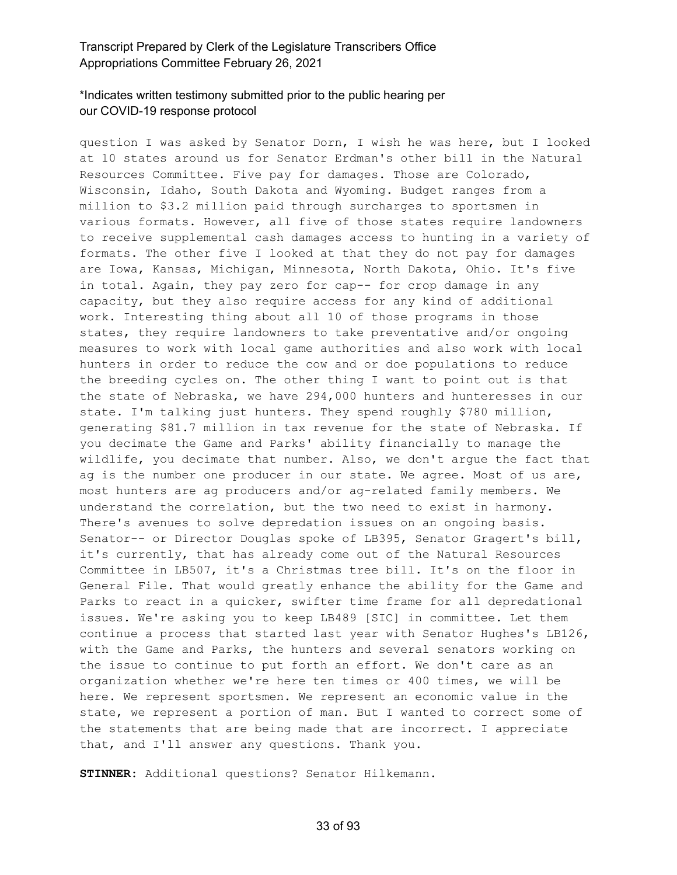#### \*Indicates written testimony submitted prior to the public hearing per our COVID-19 response protocol

question I was asked by Senator Dorn, I wish he was here, but I looked at 10 states around us for Senator Erdman's other bill in the Natural Resources Committee. Five pay for damages. Those are Colorado, Wisconsin, Idaho, South Dakota and Wyoming. Budget ranges from a million to \$3.2 million paid through surcharges to sportsmen in various formats. However, all five of those states require landowners to receive supplemental cash damages access to hunting in a variety of formats. The other five I looked at that they do not pay for damages are Iowa, Kansas, Michigan, Minnesota, North Dakota, Ohio. It's five in total. Again, they pay zero for cap-- for crop damage in any capacity, but they also require access for any kind of additional work. Interesting thing about all 10 of those programs in those states, they require landowners to take preventative and/or ongoing measures to work with local game authorities and also work with local hunters in order to reduce the cow and or doe populations to reduce the breeding cycles on. The other thing I want to point out is that the state of Nebraska, we have 294,000 hunters and hunteresses in our state. I'm talking just hunters. They spend roughly \$780 million, generating \$81.7 million in tax revenue for the state of Nebraska. If you decimate the Game and Parks' ability financially to manage the wildlife, you decimate that number. Also, we don't argue the fact that ag is the number one producer in our state. We agree. Most of us are, most hunters are ag producers and/or ag-related family members. We understand the correlation, but the two need to exist in harmony. There's avenues to solve depredation issues on an ongoing basis. Senator-- or Director Douglas spoke of LB395, Senator Gragert's bill, it's currently, that has already come out of the Natural Resources Committee in LB507, it's a Christmas tree bill. It's on the floor in General File. That would greatly enhance the ability for the Game and Parks to react in a quicker, swifter time frame for all depredational issues. We're asking you to keep LB489 [SIC] in committee. Let them continue a process that started last year with Senator Hughes's LB126, with the Game and Parks, the hunters and several senators working on the issue to continue to put forth an effort. We don't care as an organization whether we're here ten times or 400 times, we will be here. We represent sportsmen. We represent an economic value in the state, we represent a portion of man. But I wanted to correct some of the statements that are being made that are incorrect. I appreciate that, and I'll answer any questions. Thank you.

**STINNER:** Additional questions? Senator Hilkemann.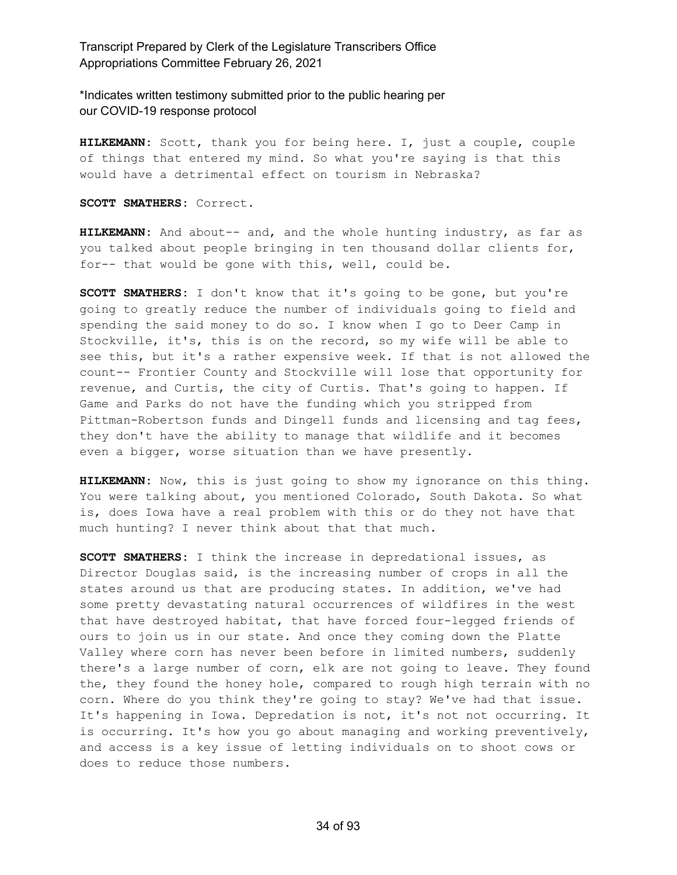\*Indicates written testimony submitted prior to the public hearing per our COVID-19 response protocol

**HILKEMANN:** Scott, thank you for being here. I, just a couple, couple of things that entered my mind. So what you're saying is that this would have a detrimental effect on tourism in Nebraska?

**SCOTT SMATHERS:** Correct.

**HILKEMANN:** And about-- and, and the whole hunting industry, as far as you talked about people bringing in ten thousand dollar clients for, for-- that would be gone with this, well, could be.

**SCOTT SMATHERS:** I don't know that it's going to be gone, but you're going to greatly reduce the number of individuals going to field and spending the said money to do so. I know when I go to Deer Camp in Stockville, it's, this is on the record, so my wife will be able to see this, but it's a rather expensive week. If that is not allowed the count-- Frontier County and Stockville will lose that opportunity for revenue, and Curtis, the city of Curtis. That's going to happen. If Game and Parks do not have the funding which you stripped from Pittman-Robertson funds and Dingell funds and licensing and tag fees, they don't have the ability to manage that wildlife and it becomes even a bigger, worse situation than we have presently.

**HILKEMANN:** Now, this is just going to show my ignorance on this thing. You were talking about, you mentioned Colorado, South Dakota. So what is, does Iowa have a real problem with this or do they not have that much hunting? I never think about that that much.

**SCOTT SMATHERS:** I think the increase in depredational issues, as Director Douglas said, is the increasing number of crops in all the states around us that are producing states. In addition, we've had some pretty devastating natural occurrences of wildfires in the west that have destroyed habitat, that have forced four-legged friends of ours to join us in our state. And once they coming down the Platte Valley where corn has never been before in limited numbers, suddenly there's a large number of corn, elk are not going to leave. They found the, they found the honey hole, compared to rough high terrain with no corn. Where do you think they're going to stay? We've had that issue. It's happening in Iowa. Depredation is not, it's not not occurring. It is occurring. It's how you go about managing and working preventively, and access is a key issue of letting individuals on to shoot cows or does to reduce those numbers.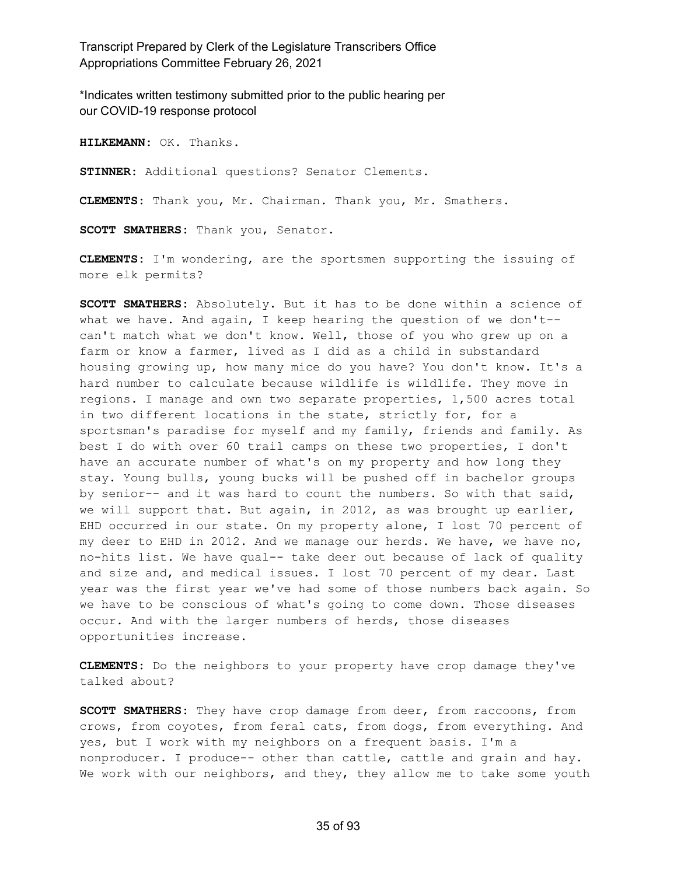\*Indicates written testimony submitted prior to the public hearing per our COVID-19 response protocol

**HILKEMANN:** OK. Thanks.

**STINNER:** Additional questions? Senator Clements.

**CLEMENTS:** Thank you, Mr. Chairman. Thank you, Mr. Smathers.

**SCOTT SMATHERS:** Thank you, Senator.

**CLEMENTS:** I'm wondering, are the sportsmen supporting the issuing of more elk permits?

**SCOTT SMATHERS:** Absolutely. But it has to be done within a science of what we have. And again, I keep hearing the question of we don't- can't match what we don't know. Well, those of you who grew up on a farm or know a farmer, lived as I did as a child in substandard housing growing up, how many mice do you have? You don't know. It's a hard number to calculate because wildlife is wildlife. They move in regions. I manage and own two separate properties, 1,500 acres total in two different locations in the state, strictly for, for a sportsman's paradise for myself and my family, friends and family. As best I do with over 60 trail camps on these two properties, I don't have an accurate number of what's on my property and how long they stay. Young bulls, young bucks will be pushed off in bachelor groups by senior-- and it was hard to count the numbers. So with that said, we will support that. But again, in 2012, as was brought up earlier, EHD occurred in our state. On my property alone, I lost 70 percent of my deer to EHD in 2012. And we manage our herds. We have, we have no, no-hits list. We have qual-- take deer out because of lack of quality and size and, and medical issues. I lost 70 percent of my dear. Last year was the first year we've had some of those numbers back again. So we have to be conscious of what's going to come down. Those diseases occur. And with the larger numbers of herds, those diseases opportunities increase.

**CLEMENTS:** Do the neighbors to your property have crop damage they've talked about?

**SCOTT SMATHERS:** They have crop damage from deer, from raccoons, from crows, from coyotes, from feral cats, from dogs, from everything. And yes, but I work with my neighbors on a frequent basis. I'm a nonproducer. I produce-- other than cattle, cattle and grain and hay. We work with our neighbors, and they, they allow me to take some youth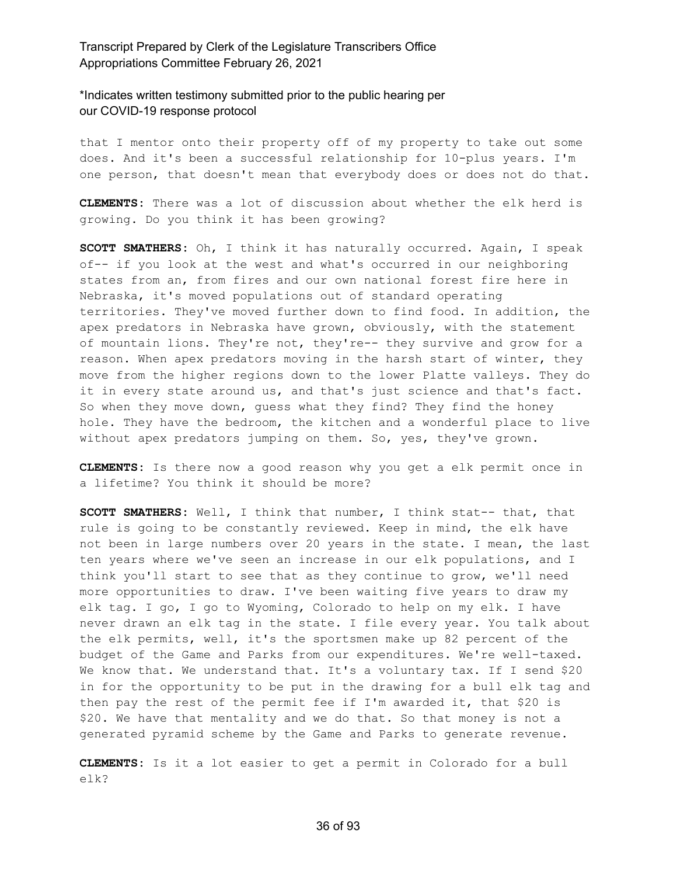\*Indicates written testimony submitted prior to the public hearing per our COVID-19 response protocol

that I mentor onto their property off of my property to take out some does. And it's been a successful relationship for 10-plus years. I'm one person, that doesn't mean that everybody does or does not do that.

**CLEMENTS:** There was a lot of discussion about whether the elk herd is growing. Do you think it has been growing?

**SCOTT SMATHERS:** Oh, I think it has naturally occurred. Again, I speak of-- if you look at the west and what's occurred in our neighboring states from an, from fires and our own national forest fire here in Nebraska, it's moved populations out of standard operating territories. They've moved further down to find food. In addition, the apex predators in Nebraska have grown, obviously, with the statement of mountain lions. They're not, they're-- they survive and grow for a reason. When apex predators moving in the harsh start of winter, they move from the higher regions down to the lower Platte valleys. They do it in every state around us, and that's just science and that's fact. So when they move down, guess what they find? They find the honey hole. They have the bedroom, the kitchen and a wonderful place to live without apex predators jumping on them. So, yes, they've grown.

**CLEMENTS:** Is there now a good reason why you get a elk permit once in a lifetime? You think it should be more?

**SCOTT SMATHERS:** Well, I think that number, I think stat-- that, that rule is going to be constantly reviewed. Keep in mind, the elk have not been in large numbers over 20 years in the state. I mean, the last ten years where we've seen an increase in our elk populations, and I think you'll start to see that as they continue to grow, we'll need more opportunities to draw. I've been waiting five years to draw my elk tag. I go, I go to Wyoming, Colorado to help on my elk. I have never drawn an elk tag in the state. I file every year. You talk about the elk permits, well, it's the sportsmen make up 82 percent of the budget of the Game and Parks from our expenditures. We're well-taxed. We know that. We understand that. It's a voluntary tax. If I send \$20 in for the opportunity to be put in the drawing for a bull elk tag and then pay the rest of the permit fee if I'm awarded it, that \$20 is \$20. We have that mentality and we do that. So that money is not a generated pyramid scheme by the Game and Parks to generate revenue.

**CLEMENTS:** Is it a lot easier to get a permit in Colorado for a bull elk?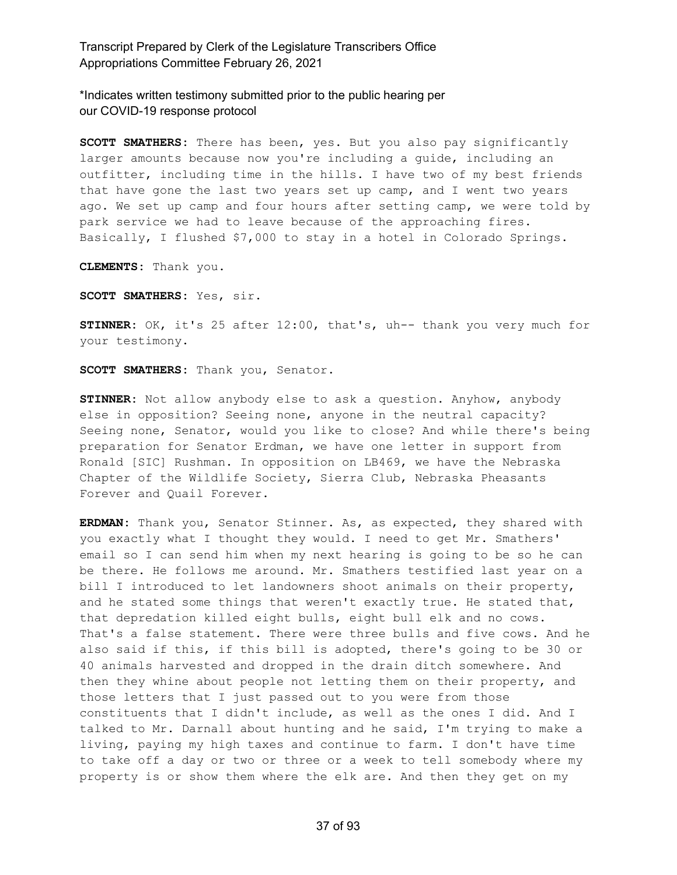\*Indicates written testimony submitted prior to the public hearing per our COVID-19 response protocol

**SCOTT SMATHERS:** There has been, yes. But you also pay significantly larger amounts because now you're including a guide, including an outfitter, including time in the hills. I have two of my best friends that have gone the last two years set up camp, and I went two years ago. We set up camp and four hours after setting camp, we were told by park service we had to leave because of the approaching fires. Basically, I flushed \$7,000 to stay in a hotel in Colorado Springs.

**CLEMENTS:** Thank you.

**SCOTT SMATHERS:** Yes, sir.

**STINNER:** OK, it's 25 after 12:00, that's, uh-- thank you very much for your testimony.

**SCOTT SMATHERS:** Thank you, Senator.

**STINNER:** Not allow anybody else to ask a question. Anyhow, anybody else in opposition? Seeing none, anyone in the neutral capacity? Seeing none, Senator, would you like to close? And while there's being preparation for Senator Erdman, we have one letter in support from Ronald [SIC] Rushman. In opposition on LB469, we have the Nebraska Chapter of the Wildlife Society, Sierra Club, Nebraska Pheasants Forever and Quail Forever.

**ERDMAN:** Thank you, Senator Stinner. As, as expected, they shared with you exactly what I thought they would. I need to get Mr. Smathers' email so I can send him when my next hearing is going to be so he can be there. He follows me around. Mr. Smathers testified last year on a bill I introduced to let landowners shoot animals on their property, and he stated some things that weren't exactly true. He stated that, that depredation killed eight bulls, eight bull elk and no cows. That's a false statement. There were three bulls and five cows. And he also said if this, if this bill is adopted, there's going to be 30 or 40 animals harvested and dropped in the drain ditch somewhere. And then they whine about people not letting them on their property, and those letters that I just passed out to you were from those constituents that I didn't include, as well as the ones I did. And I talked to Mr. Darnall about hunting and he said, I'm trying to make a living, paying my high taxes and continue to farm. I don't have time to take off a day or two or three or a week to tell somebody where my property is or show them where the elk are. And then they get on my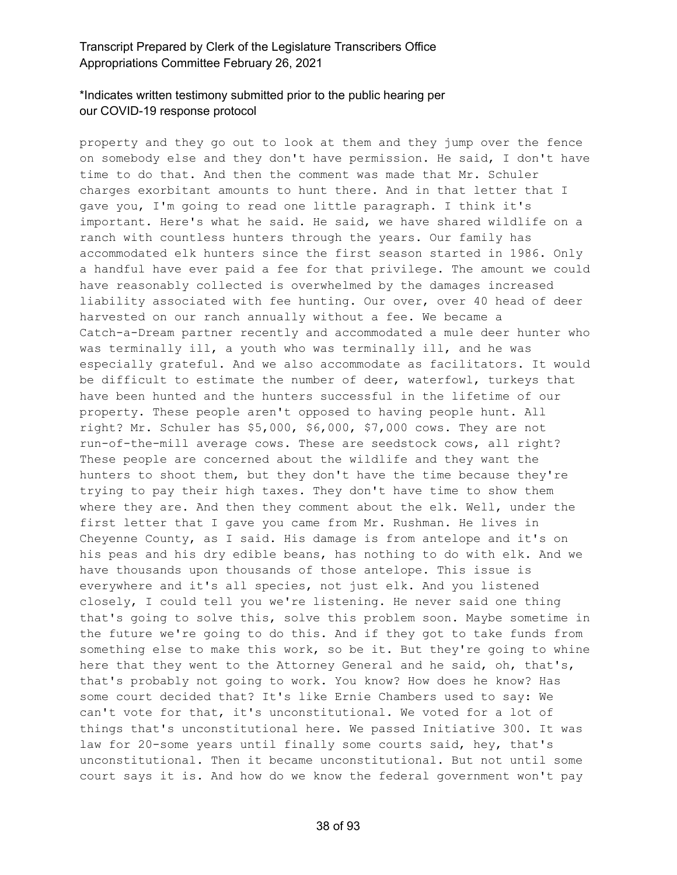## \*Indicates written testimony submitted prior to the public hearing per our COVID-19 response protocol

property and they go out to look at them and they jump over the fence on somebody else and they don't have permission. He said, I don't have time to do that. And then the comment was made that Mr. Schuler charges exorbitant amounts to hunt there. And in that letter that I gave you, I'm going to read one little paragraph. I think it's important. Here's what he said. He said, we have shared wildlife on a ranch with countless hunters through the years. Our family has accommodated elk hunters since the first season started in 1986. Only a handful have ever paid a fee for that privilege. The amount we could have reasonably collected is overwhelmed by the damages increased liability associated with fee hunting. Our over, over 40 head of deer harvested on our ranch annually without a fee. We became a Catch-a-Dream partner recently and accommodated a mule deer hunter who was terminally ill, a youth who was terminally ill, and he was especially grateful. And we also accommodate as facilitators. It would be difficult to estimate the number of deer, waterfowl, turkeys that have been hunted and the hunters successful in the lifetime of our property. These people aren't opposed to having people hunt. All right? Mr. Schuler has \$5,000, \$6,000, \$7,000 cows. They are not run-of-the-mill average cows. These are seedstock cows, all right? These people are concerned about the wildlife and they want the hunters to shoot them, but they don't have the time because they're trying to pay their high taxes. They don't have time to show them where they are. And then they comment about the elk. Well, under the first letter that I gave you came from Mr. Rushman. He lives in Cheyenne County, as I said. His damage is from antelope and it's on his peas and his dry edible beans, has nothing to do with elk. And we have thousands upon thousands of those antelope. This issue is everywhere and it's all species, not just elk. And you listened closely, I could tell you we're listening. He never said one thing that's going to solve this, solve this problem soon. Maybe sometime in the future we're going to do this. And if they got to take funds from something else to make this work, so be it. But they're going to whine here that they went to the Attorney General and he said, oh, that's, that's probably not going to work. You know? How does he know? Has some court decided that? It's like Ernie Chambers used to say: We can't vote for that, it's unconstitutional. We voted for a lot of things that's unconstitutional here. We passed Initiative 300. It was law for 20-some years until finally some courts said, hey, that's unconstitutional. Then it became unconstitutional. But not until some court says it is. And how do we know the federal government won't pay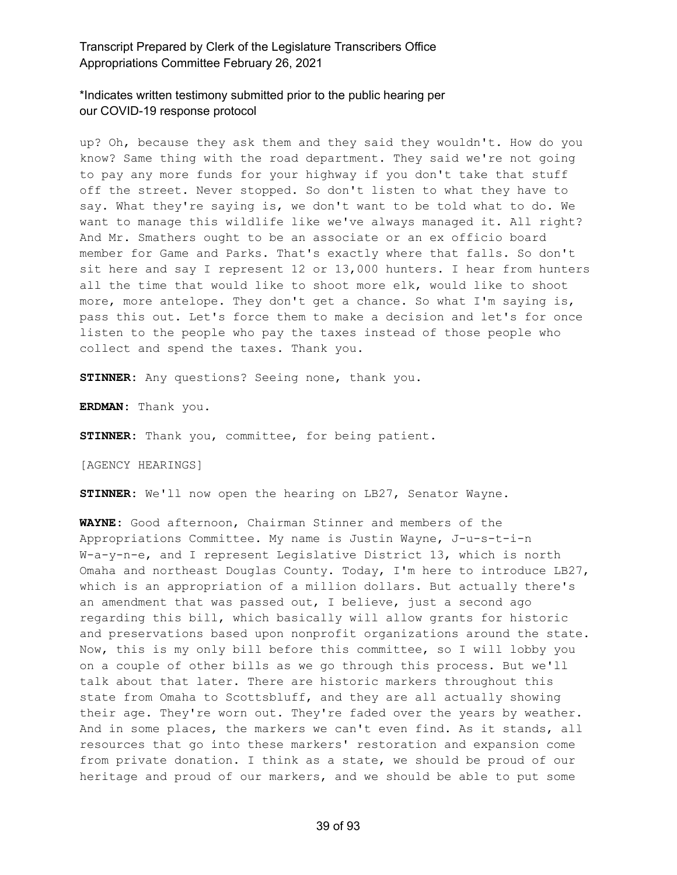# \*Indicates written testimony submitted prior to the public hearing per our COVID-19 response protocol

up? Oh, because they ask them and they said they wouldn't. How do you know? Same thing with the road department. They said we're not going to pay any more funds for your highway if you don't take that stuff off the street. Never stopped. So don't listen to what they have to say. What they're saying is, we don't want to be told what to do. We want to manage this wildlife like we've always managed it. All right? And Mr. Smathers ought to be an associate or an ex officio board member for Game and Parks. That's exactly where that falls. So don't sit here and say I represent 12 or 13,000 hunters. I hear from hunters all the time that would like to shoot more elk, would like to shoot more, more antelope. They don't get a chance. So what I'm saying is, pass this out. Let's force them to make a decision and let's for once listen to the people who pay the taxes instead of those people who collect and spend the taxes. Thank you.

**STINNER:** Any questions? Seeing none, thank you.

**ERDMAN:** Thank you.

**STINNER:** Thank you, committee, for being patient.

[AGENCY HEARINGS]

**STINNER:** We'll now open the hearing on LB27, Senator Wayne.

**WAYNE:** Good afternoon, Chairman Stinner and members of the Appropriations Committee. My name is Justin Wayne, J-u-s-t-i-n W-a-y-n-e, and I represent Legislative District 13, which is north Omaha and northeast Douglas County. Today, I'm here to introduce LB27, which is an appropriation of a million dollars. But actually there's an amendment that was passed out, I believe, just a second ago regarding this bill, which basically will allow grants for historic and preservations based upon nonprofit organizations around the state. Now, this is my only bill before this committee, so I will lobby you on a couple of other bills as we go through this process. But we'll talk about that later. There are historic markers throughout this state from Omaha to Scottsbluff, and they are all actually showing their age. They're worn out. They're faded over the years by weather. And in some places, the markers we can't even find. As it stands, all resources that go into these markers' restoration and expansion come from private donation. I think as a state, we should be proud of our heritage and proud of our markers, and we should be able to put some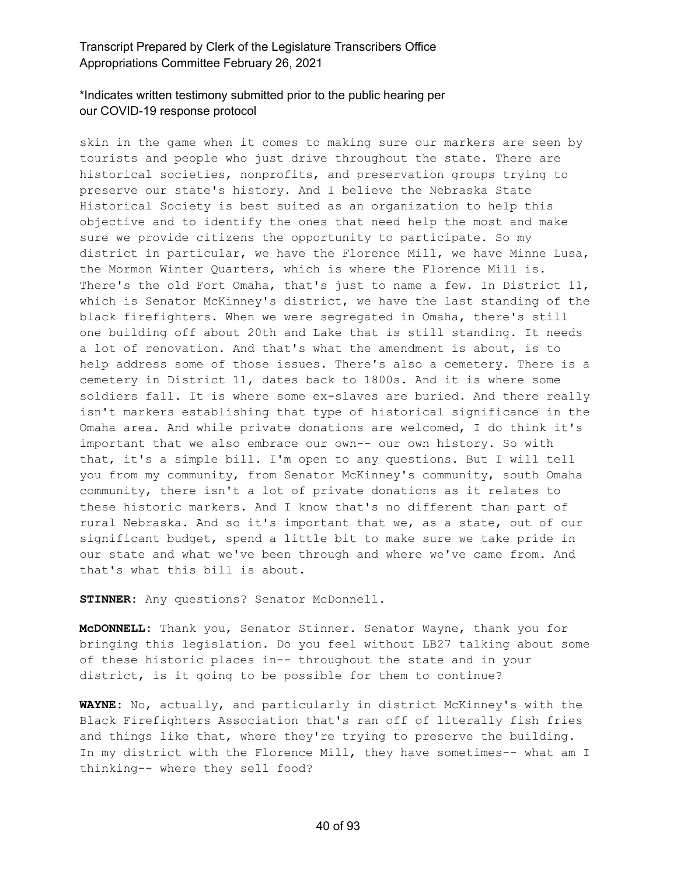## \*Indicates written testimony submitted prior to the public hearing per our COVID-19 response protocol

skin in the game when it comes to making sure our markers are seen by tourists and people who just drive throughout the state. There are historical societies, nonprofits, and preservation groups trying to preserve our state's history. And I believe the Nebraska State Historical Society is best suited as an organization to help this objective and to identify the ones that need help the most and make sure we provide citizens the opportunity to participate. So my district in particular, we have the Florence Mill, we have Minne Lusa, the Mormon Winter Quarters, which is where the Florence Mill is. There's the old Fort Omaha, that's just to name a few. In District 11, which is Senator McKinney's district, we have the last standing of the black firefighters. When we were segregated in Omaha, there's still one building off about 20th and Lake that is still standing. It needs a lot of renovation. And that's what the amendment is about, is to help address some of those issues. There's also a cemetery. There is a cemetery in District 11, dates back to 1800s. And it is where some soldiers fall. It is where some ex-slaves are buried. And there really isn't markers establishing that type of historical significance in the Omaha area. And while private donations are welcomed, I do think it's important that we also embrace our own-- our own history. So with that, it's a simple bill. I'm open to any questions. But I will tell you from my community, from Senator McKinney's community, south Omaha community, there isn't a lot of private donations as it relates to these historic markers. And I know that's no different than part of rural Nebraska. And so it's important that we, as a state, out of our significant budget, spend a little bit to make sure we take pride in our state and what we've been through and where we've came from. And that's what this bill is about.

**STINNER:** Any questions? Senator McDonnell.

**McDONNELL:** Thank you, Senator Stinner. Senator Wayne, thank you for bringing this legislation. Do you feel without LB27 talking about some of these historic places in-- throughout the state and in your district, is it going to be possible for them to continue?

**WAYNE:** No, actually, and particularly in district McKinney's with the Black Firefighters Association that's ran off of literally fish fries and things like that, where they're trying to preserve the building. In my district with the Florence Mill, they have sometimes-- what am I thinking-- where they sell food?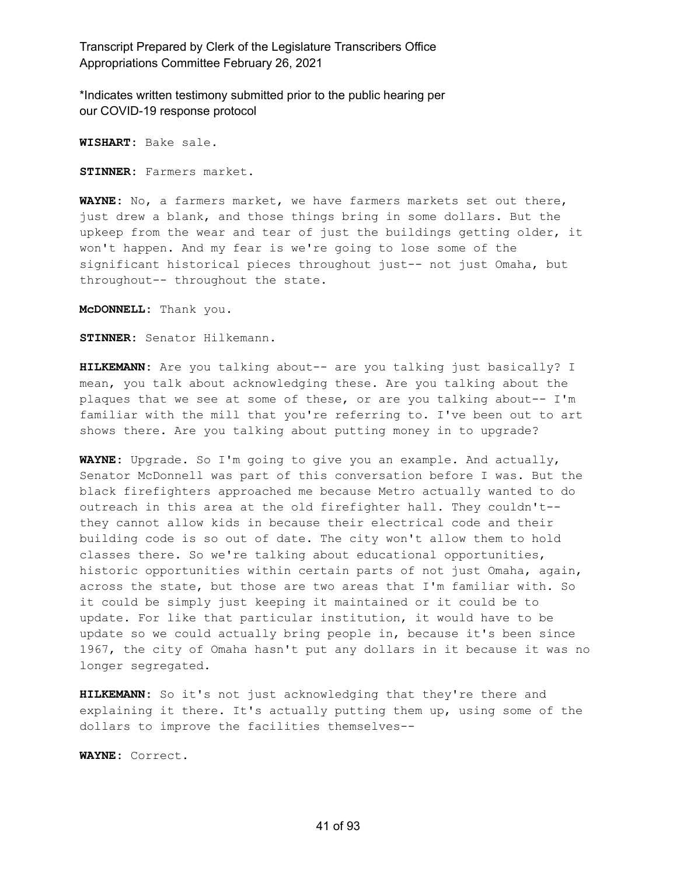\*Indicates written testimony submitted prior to the public hearing per our COVID-19 response protocol

**WISHART:** Bake sale.

**STINNER:** Farmers market.

**WAYNE:** No, a farmers market, we have farmers markets set out there, just drew a blank, and those things bring in some dollars. But the upkeep from the wear and tear of just the buildings getting older, it won't happen. And my fear is we're going to lose some of the significant historical pieces throughout just-- not just Omaha, but throughout-- throughout the state.

**McDONNELL:** Thank you.

**STINNER:** Senator Hilkemann.

**HILKEMANN:** Are you talking about-- are you talking just basically? I mean, you talk about acknowledging these. Are you talking about the plaques that we see at some of these, or are you talking about-- I'm familiar with the mill that you're referring to. I've been out to art shows there. Are you talking about putting money in to upgrade?

**WAYNE:** Upgrade. So I'm going to give you an example. And actually, Senator McDonnell was part of this conversation before I was. But the black firefighters approached me because Metro actually wanted to do outreach in this area at the old firefighter hall. They couldn't- they cannot allow kids in because their electrical code and their building code is so out of date. The city won't allow them to hold classes there. So we're talking about educational opportunities, historic opportunities within certain parts of not just Omaha, again, across the state, but those are two areas that I'm familiar with. So it could be simply just keeping it maintained or it could be to update. For like that particular institution, it would have to be update so we could actually bring people in, because it's been since 1967, the city of Omaha hasn't put any dollars in it because it was no longer segregated.

**HILKEMANN:** So it's not just acknowledging that they're there and explaining it there. It's actually putting them up, using some of the dollars to improve the facilities themselves--

**WAYNE:** Correct.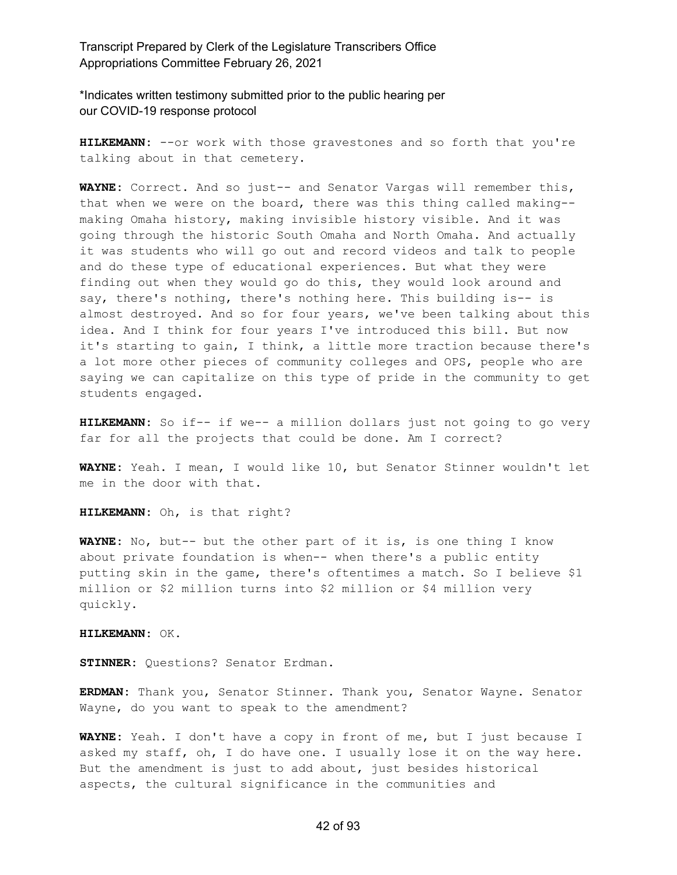\*Indicates written testimony submitted prior to the public hearing per our COVID-19 response protocol

**HILKEMANN:** --or work with those gravestones and so forth that you're talking about in that cemetery.

**WAYNE:** Correct. And so just-- and Senator Vargas will remember this, that when we were on the board, there was this thing called making- making Omaha history, making invisible history visible. And it was going through the historic South Omaha and North Omaha. And actually it was students who will go out and record videos and talk to people and do these type of educational experiences. But what they were finding out when they would go do this, they would look around and say, there's nothing, there's nothing here. This building is-- is almost destroyed. And so for four years, we've been talking about this idea. And I think for four years I've introduced this bill. But now it's starting to gain, I think, a little more traction because there's a lot more other pieces of community colleges and OPS, people who are saying we can capitalize on this type of pride in the community to get students engaged.

**HILKEMANN:** So if-- if we-- a million dollars just not going to go very far for all the projects that could be done. Am I correct?

**WAYNE:** Yeah. I mean, I would like 10, but Senator Stinner wouldn't let me in the door with that.

**HILKEMANN:** Oh, is that right?

**WAYNE:** No, but-- but the other part of it is, is one thing I know about private foundation is when-- when there's a public entity putting skin in the game, there's oftentimes a match. So I believe \$1 million or \$2 million turns into \$2 million or \$4 million very quickly.

**HILKEMANN:** OK.

**STINNER:** Questions? Senator Erdman.

**ERDMAN:** Thank you, Senator Stinner. Thank you, Senator Wayne. Senator Wayne, do you want to speak to the amendment?

**WAYNE:** Yeah. I don't have a copy in front of me, but I just because I asked my staff, oh, I do have one. I usually lose it on the way here. But the amendment is just to add about, just besides historical aspects, the cultural significance in the communities and

#### 42 of 93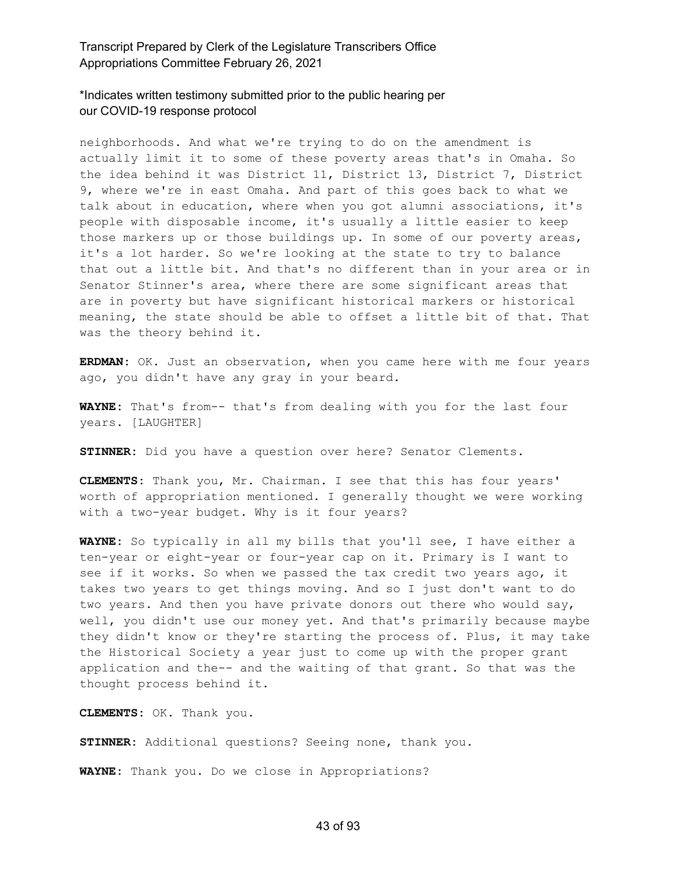\*Indicates written testimony submitted prior to the public hearing per our COVID-19 response protocol

neighborhoods. And what we're trying to do on the amendment is actually limit it to some of these poverty areas that's in Omaha. So the idea behind it was District 11, District 13, District 7, District 9, where we're in east Omaha. And part of this goes back to what we talk about in education, where when you got alumni associations, it's people with disposable income, it's usually a little easier to keep those markers up or those buildings up. In some of our poverty areas, it's a lot harder. So we're looking at the state to try to balance that out a little bit. And that's no different than in your area or in Senator Stinner's area, where there are some significant areas that are in poverty but have significant historical markers or historical meaning, the state should be able to offset a little bit of that. That was the theory behind it.

**ERDMAN:** OK. Just an observation, when you came here with me four years ago, you didn't have any gray in your beard.

**WAYNE:** That's from-- that's from dealing with you for the last four years. [LAUGHTER]

**STINNER:** Did you have a question over here? Senator Clements.

**CLEMENTS:** Thank you, Mr. Chairman. I see that this has four years' worth of appropriation mentioned. I generally thought we were working with a two-year budget. Why is it four years?

**WAYNE:** So typically in all my bills that you'll see, I have either a ten-year or eight-year or four-year cap on it. Primary is I want to see if it works. So when we passed the tax credit two years ago, it takes two years to get things moving. And so I just don't want to do two years. And then you have private donors out there who would say, well, you didn't use our money yet. And that's primarily because maybe they didn't know or they're starting the process of. Plus, it may take the Historical Society a year just to come up with the proper grant application and the-- and the waiting of that grant. So that was the thought process behind it.

**CLEMENTS:** OK. Thank you.

**STINNER:** Additional questions? Seeing none, thank you.

**WAYNE:** Thank you. Do we close in Appropriations?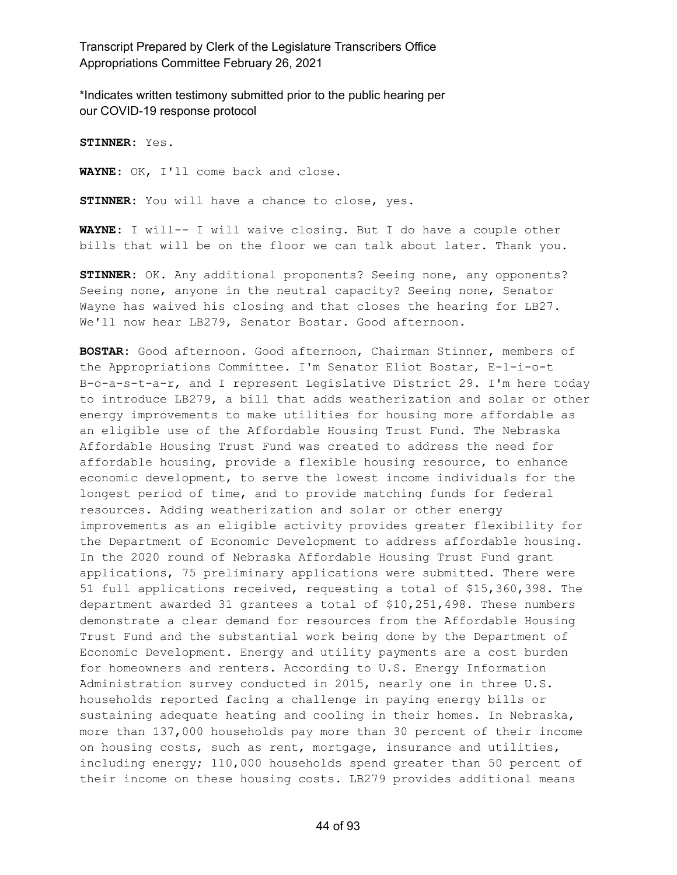\*Indicates written testimony submitted prior to the public hearing per our COVID-19 response protocol

**STINNER:** Yes.

**WAYNE:** OK, I'll come back and close.

**STINNER:** You will have a chance to close, yes.

**WAYNE:** I will-- I will waive closing. But I do have a couple other bills that will be on the floor we can talk about later. Thank you.

**STINNER:** OK. Any additional proponents? Seeing none, any opponents? Seeing none, anyone in the neutral capacity? Seeing none, Senator Wayne has waived his closing and that closes the hearing for LB27. We'll now hear LB279, Senator Bostar. Good afternoon.

**BOSTAR:** Good afternoon. Good afternoon, Chairman Stinner, members of the Appropriations Committee. I'm Senator Eliot Bostar, E-l-i-o-t B-o-a-s-t-a-r, and I represent Legislative District 29. I'm here today to introduce LB279, a bill that adds weatherization and solar or other energy improvements to make utilities for housing more affordable as an eligible use of the Affordable Housing Trust Fund. The Nebraska Affordable Housing Trust Fund was created to address the need for affordable housing, provide a flexible housing resource, to enhance economic development, to serve the lowest income individuals for the longest period of time, and to provide matching funds for federal resources. Adding weatherization and solar or other energy improvements as an eligible activity provides greater flexibility for the Department of Economic Development to address affordable housing. In the 2020 round of Nebraska Affordable Housing Trust Fund grant applications, 75 preliminary applications were submitted. There were 51 full applications received, requesting a total of \$15,360,398. The department awarded 31 grantees a total of \$10,251,498. These numbers demonstrate a clear demand for resources from the Affordable Housing Trust Fund and the substantial work being done by the Department of Economic Development. Energy and utility payments are a cost burden for homeowners and renters. According to U.S. Energy Information Administration survey conducted in 2015, nearly one in three U.S. households reported facing a challenge in paying energy bills or sustaining adequate heating and cooling in their homes. In Nebraska, more than 137,000 households pay more than 30 percent of their income on housing costs, such as rent, mortgage, insurance and utilities, including energy; 110,000 households spend greater than 50 percent of their income on these housing costs. LB279 provides additional means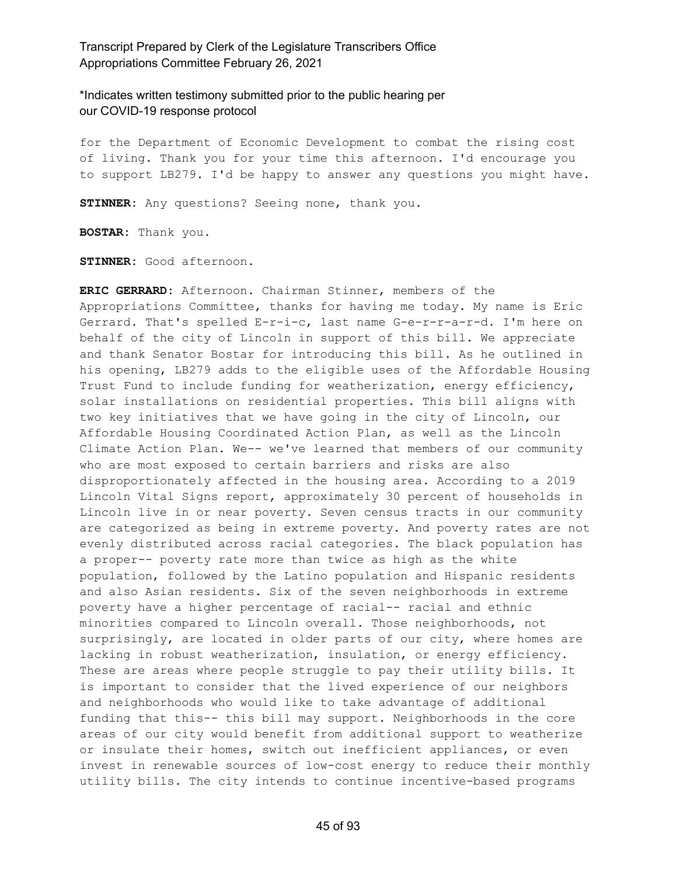\*Indicates written testimony submitted prior to the public hearing per our COVID-19 response protocol

for the Department of Economic Development to combat the rising cost of living. Thank you for your time this afternoon. I'd encourage you to support LB279. I'd be happy to answer any questions you might have.

**STINNER:** Any questions? Seeing none, thank you.

**BOSTAR:** Thank you.

**STINNER:** Good afternoon.

**ERIC GERRARD:** Afternoon. Chairman Stinner, members of the Appropriations Committee, thanks for having me today. My name is Eric Gerrard. That's spelled E-r-i-c, last name G-e-r-r-a-r-d. I'm here on behalf of the city of Lincoln in support of this bill. We appreciate and thank Senator Bostar for introducing this bill. As he outlined in his opening, LB279 adds to the eligible uses of the Affordable Housing Trust Fund to include funding for weatherization, energy efficiency, solar installations on residential properties. This bill aligns with two key initiatives that we have going in the city of Lincoln, our Affordable Housing Coordinated Action Plan, as well as the Lincoln Climate Action Plan. We-- we've learned that members of our community who are most exposed to certain barriers and risks are also disproportionately affected in the housing area. According to a 2019 Lincoln Vital Signs report, approximately 30 percent of households in Lincoln live in or near poverty. Seven census tracts in our community are categorized as being in extreme poverty. And poverty rates are not evenly distributed across racial categories. The black population has a proper-- poverty rate more than twice as high as the white population, followed by the Latino population and Hispanic residents and also Asian residents. Six of the seven neighborhoods in extreme poverty have a higher percentage of racial-- racial and ethnic minorities compared to Lincoln overall. Those neighborhoods, not surprisingly, are located in older parts of our city, where homes are lacking in robust weatherization, insulation, or energy efficiency. These are areas where people struggle to pay their utility bills. It is important to consider that the lived experience of our neighbors and neighborhoods who would like to take advantage of additional funding that this-- this bill may support. Neighborhoods in the core areas of our city would benefit from additional support to weatherize or insulate their homes, switch out inefficient appliances, or even invest in renewable sources of low-cost energy to reduce their monthly utility bills. The city intends to continue incentive-based programs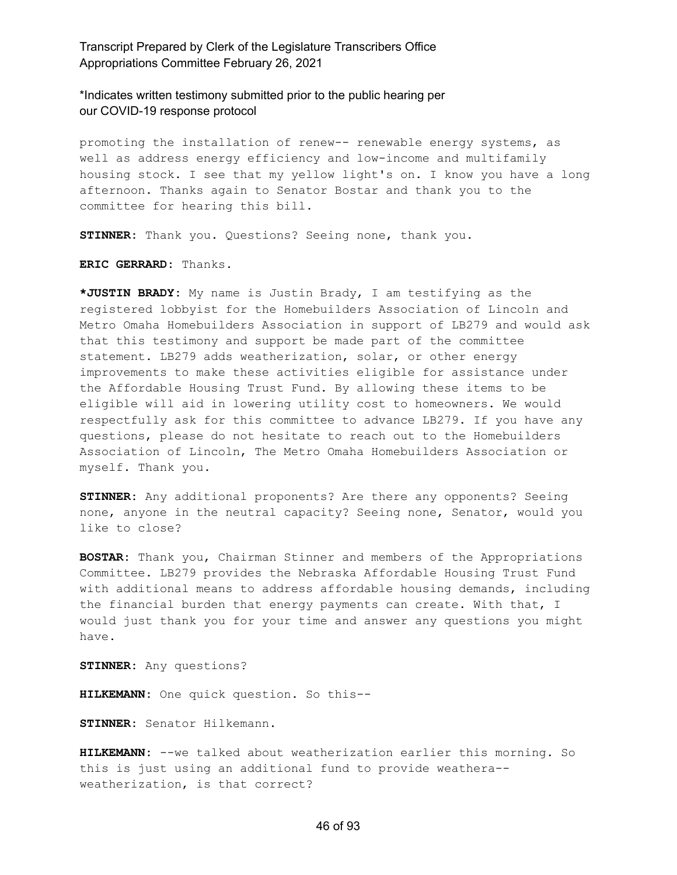\*Indicates written testimony submitted prior to the public hearing per our COVID-19 response protocol

promoting the installation of renew-- renewable energy systems, as well as address energy efficiency and low-income and multifamily housing stock. I see that my yellow light's on. I know you have a long afternoon. Thanks again to Senator Bostar and thank you to the committee for hearing this bill.

**STINNER:** Thank you. Questions? Seeing none, thank you.

**ERIC GERRARD:** Thanks.

**\*JUSTIN BRADY:** My name is Justin Brady, I am testifying as the registered lobbyist for the Homebuilders Association of Lincoln and Metro Omaha Homebuilders Association in support of LB279 and would ask that this testimony and support be made part of the committee statement. LB279 adds weatherization, solar, or other energy improvements to make these activities eligible for assistance under the Affordable Housing Trust Fund. By allowing these items to be eligible will aid in lowering utility cost to homeowners. We would respectfully ask for this committee to advance LB279. If you have any questions, please do not hesitate to reach out to the Homebuilders Association of Lincoln, The Metro Omaha Homebuilders Association or myself. Thank you.

**STINNER:** Any additional proponents? Are there any opponents? Seeing none, anyone in the neutral capacity? Seeing none, Senator, would you like to close?

**BOSTAR:** Thank you, Chairman Stinner and members of the Appropriations Committee. LB279 provides the Nebraska Affordable Housing Trust Fund with additional means to address affordable housing demands, including the financial burden that energy payments can create. With that, I would just thank you for your time and answer any questions you might have.

**STINNER:** Any questions?

**HILKEMANN:** One quick question. So this--

**STINNER:** Senator Hilkemann.

**HILKEMANN:** --we talked about weatherization earlier this morning. So this is just using an additional fund to provide weathera- weatherization, is that correct?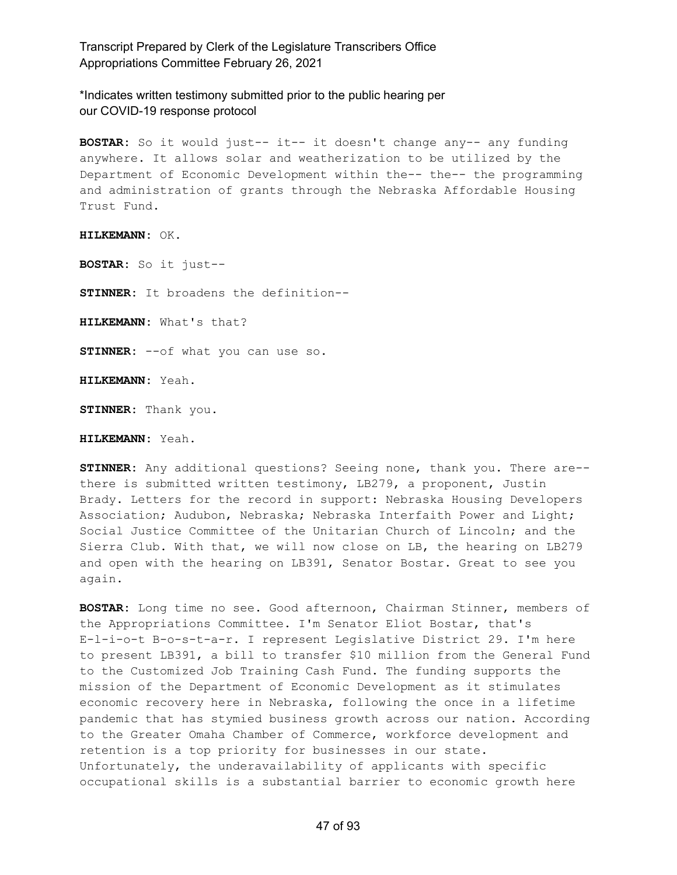\*Indicates written testimony submitted prior to the public hearing per our COVID-19 response protocol

**BOSTAR:** So it would just-- it-- it doesn't change any-- any funding anywhere. It allows solar and weatherization to be utilized by the Department of Economic Development within the-- the-- the programming and administration of grants through the Nebraska Affordable Housing Trust Fund.

**HILKEMANN:** OK.

**BOSTAR:** So it just--

**STINNER:** It broadens the definition--

**HILKEMANN:** What's that?

**STINNER:** --of what you can use so.

**HILKEMANN:** Yeah.

**STINNER:** Thank you.

**HILKEMANN:** Yeah.

**STINNER:** Any additional questions? Seeing none, thank you. There are- there is submitted written testimony, LB279, a proponent, Justin Brady. Letters for the record in support: Nebraska Housing Developers Association; Audubon, Nebraska; Nebraska Interfaith Power and Light; Social Justice Committee of the Unitarian Church of Lincoln; and the Sierra Club. With that, we will now close on LB, the hearing on LB279 and open with the hearing on LB391, Senator Bostar. Great to see you again.

**BOSTAR:** Long time no see. Good afternoon, Chairman Stinner, members of the Appropriations Committee. I'm Senator Eliot Bostar, that's E-l-i-o-t B-o-s-t-a-r. I represent Legislative District 29. I'm here to present LB391, a bill to transfer \$10 million from the General Fund to the Customized Job Training Cash Fund. The funding supports the mission of the Department of Economic Development as it stimulates economic recovery here in Nebraska, following the once in a lifetime pandemic that has stymied business growth across our nation. According to the Greater Omaha Chamber of Commerce, workforce development and retention is a top priority for businesses in our state. Unfortunately, the underavailability of applicants with specific occupational skills is a substantial barrier to economic growth here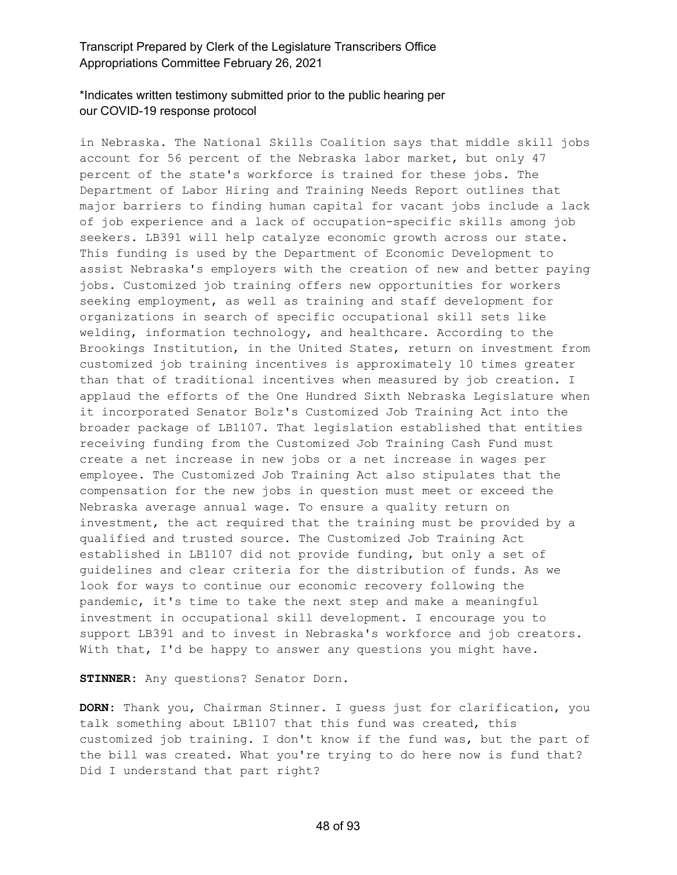# \*Indicates written testimony submitted prior to the public hearing per our COVID-19 response protocol

in Nebraska. The National Skills Coalition says that middle skill jobs account for 56 percent of the Nebraska labor market, but only 47 percent of the state's workforce is trained for these jobs. The Department of Labor Hiring and Training Needs Report outlines that major barriers to finding human capital for vacant jobs include a lack of job experience and a lack of occupation-specific skills among job seekers. LB391 will help catalyze economic growth across our state. This funding is used by the Department of Economic Development to assist Nebraska's employers with the creation of new and better paying jobs. Customized job training offers new opportunities for workers seeking employment, as well as training and staff development for organizations in search of specific occupational skill sets like welding, information technology, and healthcare. According to the Brookings Institution, in the United States, return on investment from customized job training incentives is approximately 10 times greater than that of traditional incentives when measured by job creation. I applaud the efforts of the One Hundred Sixth Nebraska Legislature when it incorporated Senator Bolz's Customized Job Training Act into the broader package of LB1107. That legislation established that entities receiving funding from the Customized Job Training Cash Fund must create a net increase in new jobs or a net increase in wages per employee. The Customized Job Training Act also stipulates that the compensation for the new jobs in question must meet or exceed the Nebraska average annual wage. To ensure a quality return on investment, the act required that the training must be provided by a qualified and trusted source. The Customized Job Training Act established in LB1107 did not provide funding, but only a set of guidelines and clear criteria for the distribution of funds. As we look for ways to continue our economic recovery following the pandemic, it's time to take the next step and make a meaningful investment in occupational skill development. I encourage you to support LB391 and to invest in Nebraska's workforce and job creators. With that, I'd be happy to answer any questions you might have.

**STINNER:** Any questions? Senator Dorn.

**DORN:** Thank you, Chairman Stinner. I guess just for clarification, you talk something about LB1107 that this fund was created, this customized job training. I don't know if the fund was, but the part of the bill was created. What you're trying to do here now is fund that? Did I understand that part right?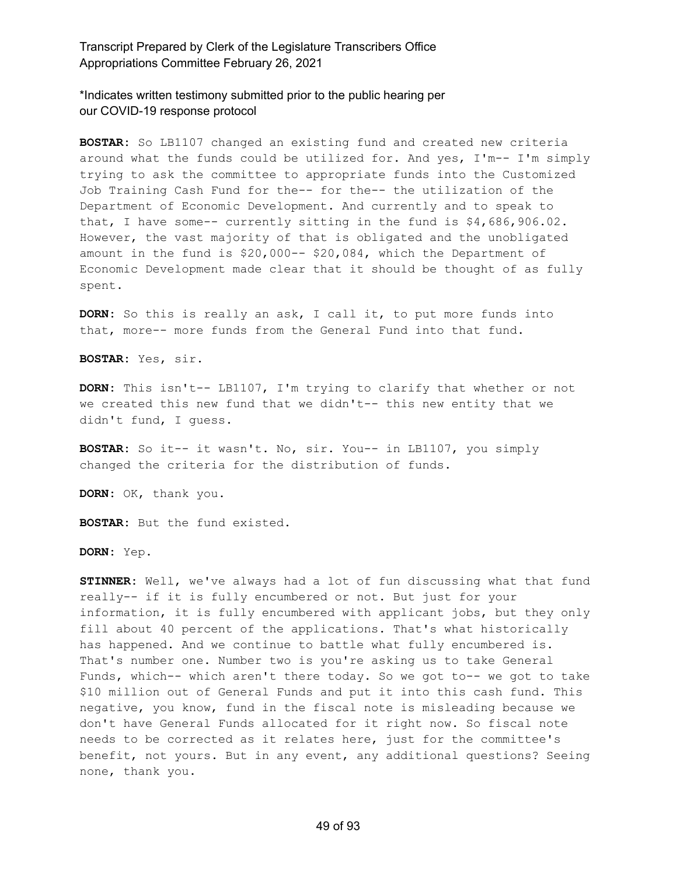\*Indicates written testimony submitted prior to the public hearing per our COVID-19 response protocol

**BOSTAR:** So LB1107 changed an existing fund and created new criteria around what the funds could be utilized for. And yes, I'm-- I'm simply trying to ask the committee to appropriate funds into the Customized Job Training Cash Fund for the-- for the-- the utilization of the Department of Economic Development. And currently and to speak to that, I have some-- currently sitting in the fund is \$4,686,906.02. However, the vast majority of that is obligated and the unobligated amount in the fund is \$20,000-- \$20,084, which the Department of Economic Development made clear that it should be thought of as fully spent.

**DORN:** So this is really an ask, I call it, to put more funds into that, more-- more funds from the General Fund into that fund.

**BOSTAR:** Yes, sir.

**DORN:** This isn't-- LB1107, I'm trying to clarify that whether or not we created this new fund that we didn't-- this new entity that we didn't fund, I guess.

**BOSTAR:** So it-- it wasn't. No, sir. You-- in LB1107, you simply changed the criteria for the distribution of funds.

**DORN:** OK, thank you.

**BOSTAR:** But the fund existed.

**DORN:** Yep.

**STINNER:** Well, we've always had a lot of fun discussing what that fund really-- if it is fully encumbered or not. But just for your information, it is fully encumbered with applicant jobs, but they only fill about 40 percent of the applications. That's what historically has happened. And we continue to battle what fully encumbered is. That's number one. Number two is you're asking us to take General Funds, which-- which aren't there today. So we got to-- we got to take \$10 million out of General Funds and put it into this cash fund. This negative, you know, fund in the fiscal note is misleading because we don't have General Funds allocated for it right now. So fiscal note needs to be corrected as it relates here, just for the committee's benefit, not yours. But in any event, any additional questions? Seeing none, thank you.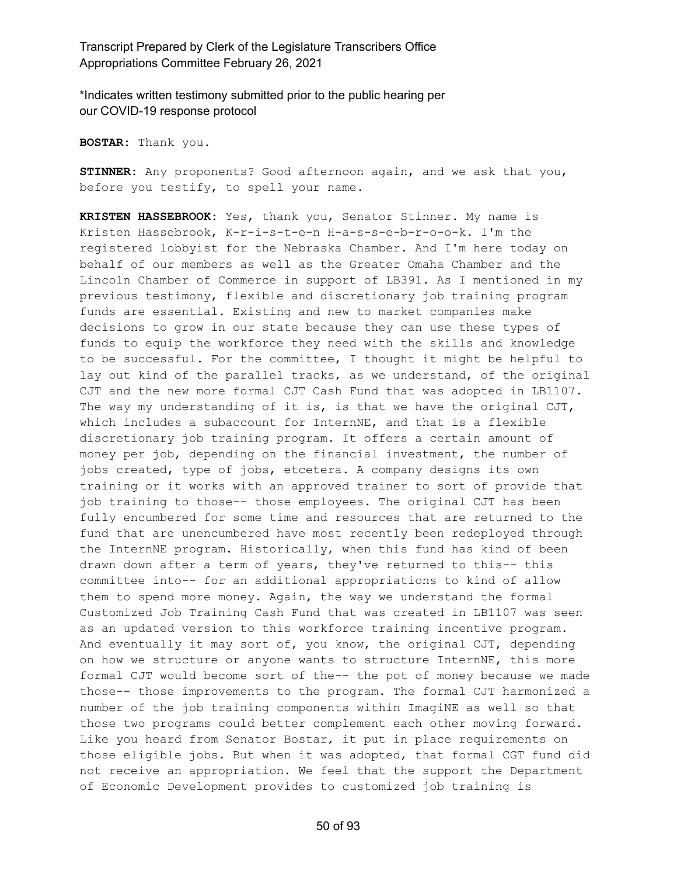\*Indicates written testimony submitted prior to the public hearing per our COVID-19 response protocol

**BOSTAR:** Thank you.

**STINNER:** Any proponents? Good afternoon again, and we ask that you, before you testify, to spell your name.

**KRISTEN HASSEBROOK:** Yes, thank you, Senator Stinner. My name is Kristen Hassebrook, K-r-i-s-t-e-n H-a-s-s-e-b-r-o-o-k. I'm the registered lobbyist for the Nebraska Chamber. And I'm here today on behalf of our members as well as the Greater Omaha Chamber and the Lincoln Chamber of Commerce in support of LB391. As I mentioned in my previous testimony, flexible and discretionary job training program funds are essential. Existing and new to market companies make decisions to grow in our state because they can use these types of funds to equip the workforce they need with the skills and knowledge to be successful. For the committee, I thought it might be helpful to lay out kind of the parallel tracks, as we understand, of the original CJT and the new more formal CJT Cash Fund that was adopted in LB1107. The way my understanding of it is, is that we have the original  $CJT$ , which includes a subaccount for InternNE, and that is a flexible discretionary job training program. It offers a certain amount of money per job, depending on the financial investment, the number of jobs created, type of jobs, etcetera. A company designs its own training or it works with an approved trainer to sort of provide that job training to those-- those employees. The original CJT has been fully encumbered for some time and resources that are returned to the fund that are unencumbered have most recently been redeployed through the InternNE program. Historically, when this fund has kind of been drawn down after a term of years, they've returned to this-- this committee into-- for an additional appropriations to kind of allow them to spend more money. Again, the way we understand the formal Customized Job Training Cash Fund that was created in LB1107 was seen as an updated version to this workforce training incentive program. And eventually it may sort of, you know, the original CJT, depending on how we structure or anyone wants to structure InternNE, this more formal CJT would become sort of the-- the pot of money because we made those-- those improvements to the program. The formal CJT harmonized a number of the job training components within ImagiNE as well so that those two programs could better complement each other moving forward. Like you heard from Senator Bostar, it put in place requirements on those eligible jobs. But when it was adopted, that formal CGT fund did not receive an appropriation. We feel that the support the Department of Economic Development provides to customized job training is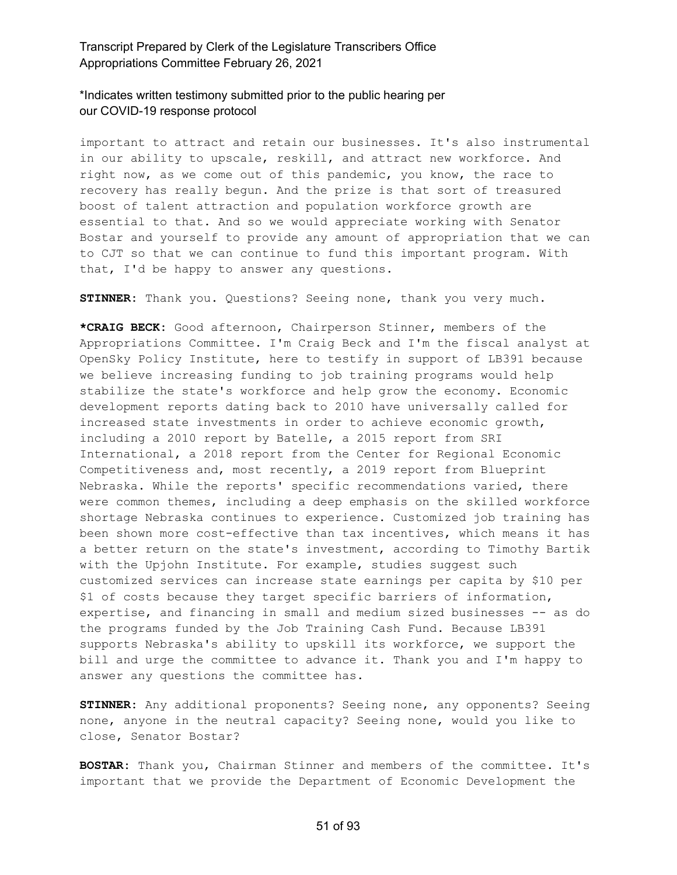\*Indicates written testimony submitted prior to the public hearing per our COVID-19 response protocol

important to attract and retain our businesses. It's also instrumental in our ability to upscale, reskill, and attract new workforce. And right now, as we come out of this pandemic, you know, the race to recovery has really begun. And the prize is that sort of treasured boost of talent attraction and population workforce growth are essential to that. And so we would appreciate working with Senator Bostar and yourself to provide any amount of appropriation that we can to CJT so that we can continue to fund this important program. With that, I'd be happy to answer any questions.

**STINNER:** Thank you. Questions? Seeing none, thank you very much.

**\*CRAIG BECK:** Good afternoon, Chairperson Stinner, members of the Appropriations Committee. I'm Craig Beck and I'm the fiscal analyst at OpenSky Policy Institute, here to testify in support of LB391 because we believe increasing funding to job training programs would help stabilize the state's workforce and help grow the economy. Economic development reports dating back to 2010 have universally called for increased state investments in order to achieve economic growth, including a 2010 report by Batelle, a 2015 report from SRI International, a 2018 report from the Center for Regional Economic Competitiveness and, most recently, a 2019 report from Blueprint Nebraska. While the reports' specific recommendations varied, there were common themes, including a deep emphasis on the skilled workforce shortage Nebraska continues to experience. Customized job training has been shown more cost-effective than tax incentives, which means it has a better return on the state's investment, according to Timothy Bartik with the Upjohn Institute. For example, studies suggest such customized services can increase state earnings per capita by \$10 per \$1 of costs because they target specific barriers of information, expertise, and financing in small and medium sized businesses -- as do the programs funded by the Job Training Cash Fund. Because LB391 supports Nebraska's ability to upskill its workforce, we support the bill and urge the committee to advance it. Thank you and I'm happy to answer any questions the committee has.

**STINNER:** Any additional proponents? Seeing none, any opponents? Seeing none, anyone in the neutral capacity? Seeing none, would you like to close, Senator Bostar?

**BOSTAR:** Thank you, Chairman Stinner and members of the committee. It's important that we provide the Department of Economic Development the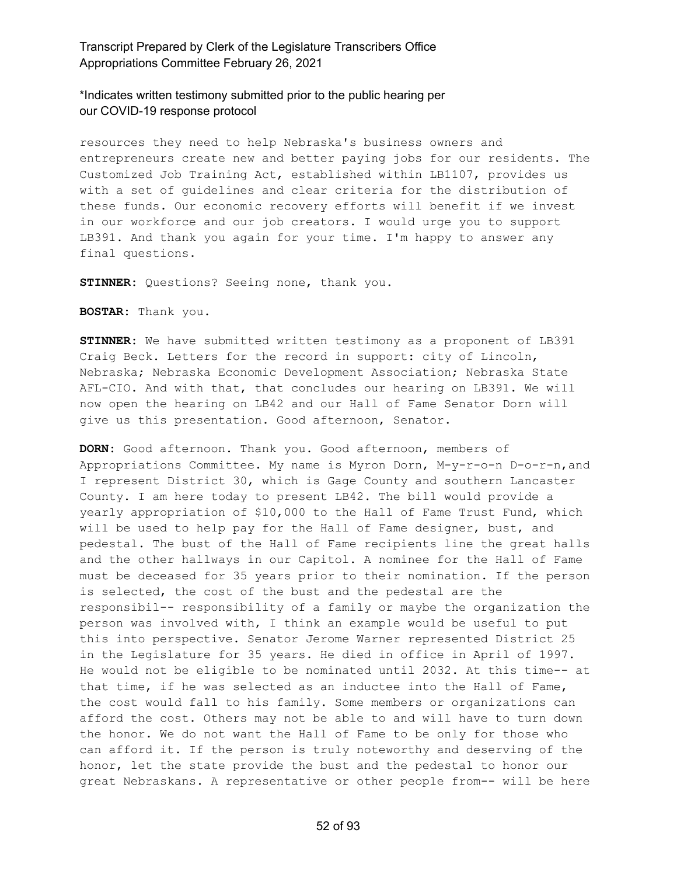\*Indicates written testimony submitted prior to the public hearing per our COVID-19 response protocol

resources they need to help Nebraska's business owners and entrepreneurs create new and better paying jobs for our residents. The Customized Job Training Act, established within LB1107, provides us with a set of guidelines and clear criteria for the distribution of these funds. Our economic recovery efforts will benefit if we invest in our workforce and our job creators. I would urge you to support LB391. And thank you again for your time. I'm happy to answer any final questions.

**STINNER:** Questions? Seeing none, thank you.

**BOSTAR:** Thank you.

**STINNER:** We have submitted written testimony as a proponent of LB391 Craig Beck. Letters for the record in support: city of Lincoln, Nebraska; Nebraska Economic Development Association; Nebraska State AFL-CIO. And with that, that concludes our hearing on LB391. We will now open the hearing on LB42 and our Hall of Fame Senator Dorn will give us this presentation. Good afternoon, Senator.

**DORN:** Good afternoon. Thank you. Good afternoon, members of Appropriations Committee. My name is Myron Dorn, M-y-r-o-n D-o-r-n,and I represent District 30, which is Gage County and southern Lancaster County. I am here today to present LB42. The bill would provide a yearly appropriation of \$10,000 to the Hall of Fame Trust Fund, which will be used to help pay for the Hall of Fame designer, bust, and pedestal. The bust of the Hall of Fame recipients line the great halls and the other hallways in our Capitol. A nominee for the Hall of Fame must be deceased for 35 years prior to their nomination. If the person is selected, the cost of the bust and the pedestal are the responsibil-- responsibility of a family or maybe the organization the person was involved with, I think an example would be useful to put this into perspective. Senator Jerome Warner represented District 25 in the Legislature for 35 years. He died in office in April of 1997. He would not be eligible to be nominated until 2032. At this time-- at that time, if he was selected as an inductee into the Hall of Fame, the cost would fall to his family. Some members or organizations can afford the cost. Others may not be able to and will have to turn down the honor. We do not want the Hall of Fame to be only for those who can afford it. If the person is truly noteworthy and deserving of the honor, let the state provide the bust and the pedestal to honor our great Nebraskans. A representative or other people from-- will be here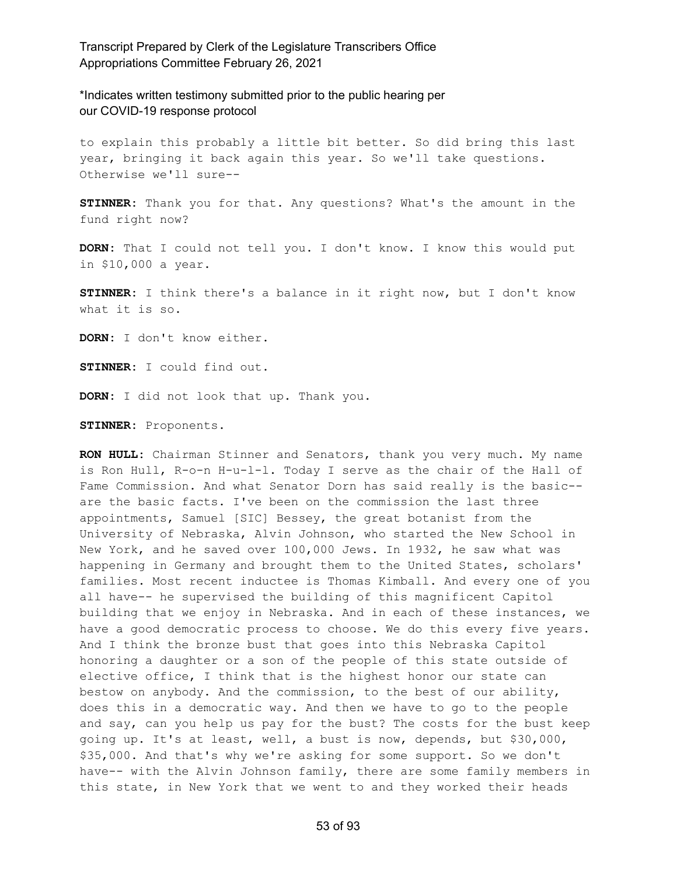\*Indicates written testimony submitted prior to the public hearing per our COVID-19 response protocol

to explain this probably a little bit better. So did bring this last year, bringing it back again this year. So we'll take questions. Otherwise we'll sure--

**STINNER:** Thank you for that. Any questions? What's the amount in the fund right now?

**DORN:** That I could not tell you. I don't know. I know this would put in \$10,000 a year.

**STINNER:** I think there's a balance in it right now, but I don't know what it is so.

**DORN:** I don't know either.

**STINNER:** I could find out.

**DORN:** I did not look that up. Thank you.

**STINNER:** Proponents.

**RON HULL:** Chairman Stinner and Senators, thank you very much. My name is Ron Hull, R-o-n H-u-l-l. Today I serve as the chair of the Hall of Fame Commission. And what Senator Dorn has said really is the basic- are the basic facts. I've been on the commission the last three appointments, Samuel [SIC] Bessey, the great botanist from the University of Nebraska, Alvin Johnson, who started the New School in New York, and he saved over 100,000 Jews. In 1932, he saw what was happening in Germany and brought them to the United States, scholars' families. Most recent inductee is Thomas Kimball. And every one of you all have-- he supervised the building of this magnificent Capitol building that we enjoy in Nebraska. And in each of these instances, we have a good democratic process to choose. We do this every five years. And I think the bronze bust that goes into this Nebraska Capitol honoring a daughter or a son of the people of this state outside of elective office, I think that is the highest honor our state can bestow on anybody. And the commission, to the best of our ability, does this in a democratic way. And then we have to go to the people and say, can you help us pay for the bust? The costs for the bust keep going up. It's at least, well, a bust is now, depends, but \$30,000, \$35,000. And that's why we're asking for some support. So we don't have-- with the Alvin Johnson family, there are some family members in this state, in New York that we went to and they worked their heads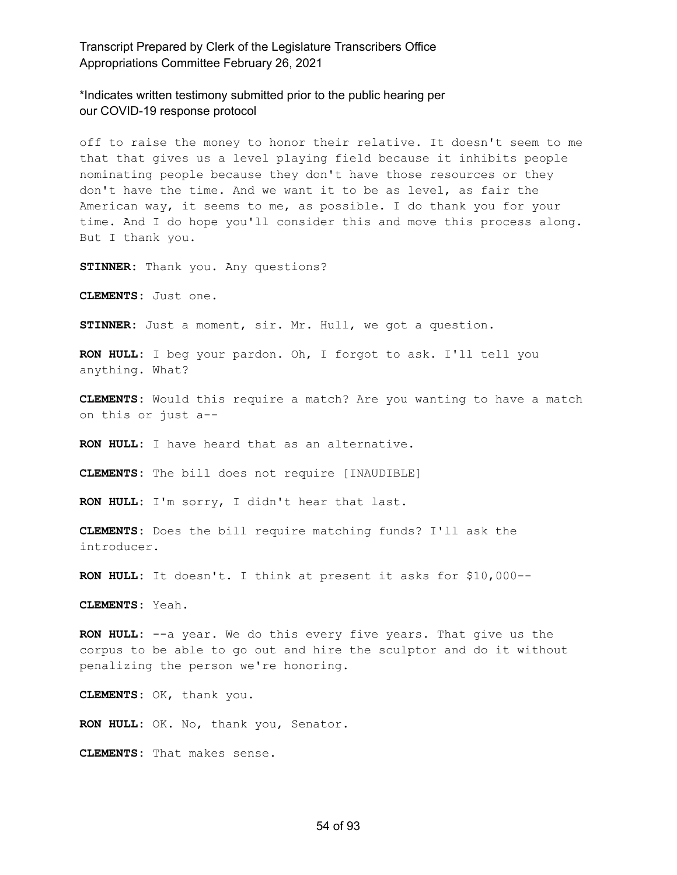\*Indicates written testimony submitted prior to the public hearing per our COVID-19 response protocol

off to raise the money to honor their relative. It doesn't seem to me that that gives us a level playing field because it inhibits people nominating people because they don't have those resources or they don't have the time. And we want it to be as level, as fair the American way, it seems to me, as possible. I do thank you for your time. And I do hope you'll consider this and move this process along. But I thank you.

**STINNER:** Thank you. Any questions?

**CLEMENTS:** Just one.

**STINNER:** Just a moment, sir. Mr. Hull, we got a question.

**RON HULL:** I beg your pardon. Oh, I forgot to ask. I'll tell you anything. What?

**CLEMENTS:** Would this require a match? Are you wanting to have a match on this or just a--

**RON HULL:** I have heard that as an alternative.

**CLEMENTS:** The bill does not require [INAUDIBLE]

**RON HULL:** I'm sorry, I didn't hear that last.

**CLEMENTS:** Does the bill require matching funds? I'll ask the introducer.

**RON HULL:** It doesn't. I think at present it asks for \$10,000--

**CLEMENTS:** Yeah.

**RON HULL:** --a year. We do this every five years. That give us the corpus to be able to go out and hire the sculptor and do it without penalizing the person we're honoring.

**CLEMENTS:** OK, thank you.

**RON HULL:** OK. No, thank you, Senator.

**CLEMENTS:** That makes sense.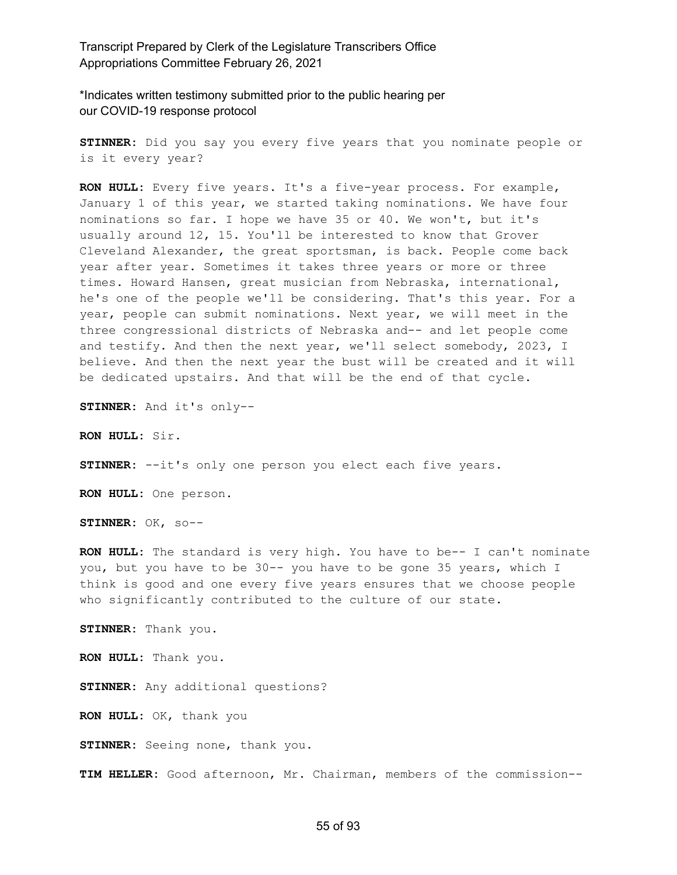\*Indicates written testimony submitted prior to the public hearing per our COVID-19 response protocol

**STINNER:** Did you say you every five years that you nominate people or is it every year?

**RON HULL:** Every five years. It's a five-year process. For example, January 1 of this year, we started taking nominations. We have four nominations so far. I hope we have 35 or 40. We won't, but it's usually around 12, 15. You'll be interested to know that Grover Cleveland Alexander, the great sportsman, is back. People come back year after year. Sometimes it takes three years or more or three times. Howard Hansen, great musician from Nebraska, international, he's one of the people we'll be considering. That's this year. For a year, people can submit nominations. Next year, we will meet in the three congressional districts of Nebraska and-- and let people come and testify. And then the next year, we'll select somebody, 2023, I believe. And then the next year the bust will be created and it will be dedicated upstairs. And that will be the end of that cycle.

**STINNER:** And it's only--

**RON HULL:** Sir.

**STINNER:** --it's only one person you elect each five years.

**RON HULL:** One person.

**STINNER:** OK, so--

**RON HULL:** The standard is very high. You have to be-- I can't nominate you, but you have to be 30-- you have to be gone 35 years, which I think is good and one every five years ensures that we choose people who significantly contributed to the culture of our state.

**STINNER:** Thank you.

**RON HULL:** Thank you.

**STINNER:** Any additional questions?

**RON HULL:** OK, thank you

**STINNER:** Seeing none, thank you.

**TIM HELLER:** Good afternoon, Mr. Chairman, members of the commission--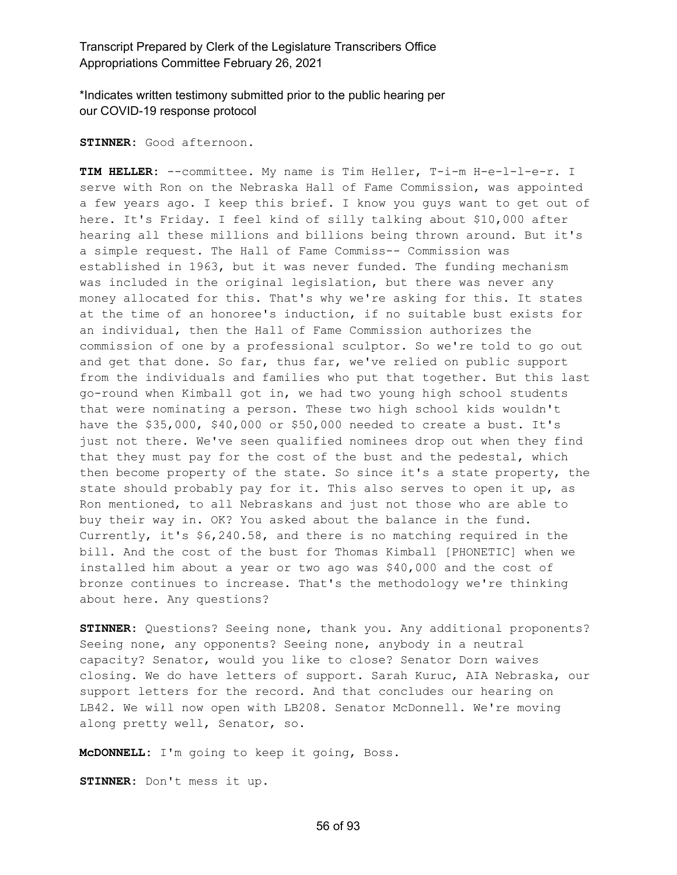\*Indicates written testimony submitted prior to the public hearing per our COVID-19 response protocol

**STINNER:** Good afternoon.

**TIM HELLER:** --committee. My name is Tim Heller, T-i-m H-e-l-l-e-r. I serve with Ron on the Nebraska Hall of Fame Commission, was appointed a few years ago. I keep this brief. I know you guys want to get out of here. It's Friday. I feel kind of silly talking about \$10,000 after hearing all these millions and billions being thrown around. But it's a simple request. The Hall of Fame Commiss-- Commission was established in 1963, but it was never funded. The funding mechanism was included in the original legislation, but there was never any money allocated for this. That's why we're asking for this. It states at the time of an honoree's induction, if no suitable bust exists for an individual, then the Hall of Fame Commission authorizes the commission of one by a professional sculptor. So we're told to go out and get that done. So far, thus far, we've relied on public support from the individuals and families who put that together. But this last go-round when Kimball got in, we had two young high school students that were nominating a person. These two high school kids wouldn't have the \$35,000, \$40,000 or \$50,000 needed to create a bust. It's just not there. We've seen qualified nominees drop out when they find that they must pay for the cost of the bust and the pedestal, which then become property of the state. So since it's a state property, the state should probably pay for it. This also serves to open it up, as Ron mentioned, to all Nebraskans and just not those who are able to buy their way in. OK? You asked about the balance in the fund. Currently, it's \$6,240.58, and there is no matching required in the bill. And the cost of the bust for Thomas Kimball [PHONETIC] when we installed him about a year or two ago was \$40,000 and the cost of bronze continues to increase. That's the methodology we're thinking about here. Any questions?

**STINNER:** Questions? Seeing none, thank you. Any additional proponents? Seeing none, any opponents? Seeing none, anybody in a neutral capacity? Senator, would you like to close? Senator Dorn waives closing. We do have letters of support. Sarah Kuruc, AIA Nebraska, our support letters for the record. And that concludes our hearing on LB42. We will now open with LB208. Senator McDonnell. We're moving along pretty well, Senator, so.

**McDONNELL:** I'm going to keep it going, Boss.

**STINNER:** Don't mess it up.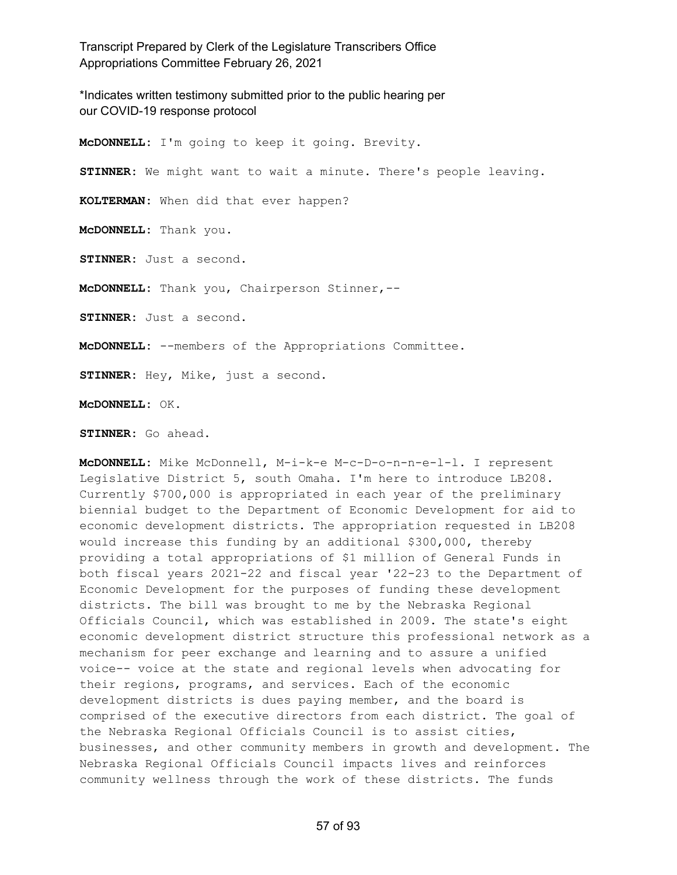\*Indicates written testimony submitted prior to the public hearing per our COVID-19 response protocol

**McDONNELL:** I'm going to keep it going. Brevity. **STINNER:** We might want to wait a minute. There's people leaving. **KOLTERMAN:** When did that ever happen? **McDONNELL:** Thank you. **STINNER:** Just a second. **McDONNELL:** Thank you, Chairperson Stinner,-- **STINNER:** Just a second. **McDONNELL:** --members of the Appropriations Committee. **STINNER:** Hey, Mike, just a second.

**McDONNELL:** OK.

**STINNER:** Go ahead.

**McDONNELL:** Mike McDonnell, M-i-k-e M-c-D-o-n-n-e-l-l. I represent Legislative District 5, south Omaha. I'm here to introduce LB208. Currently \$700,000 is appropriated in each year of the preliminary biennial budget to the Department of Economic Development for aid to economic development districts. The appropriation requested in LB208 would increase this funding by an additional \$300,000, thereby providing a total appropriations of \$1 million of General Funds in both fiscal years 2021-22 and fiscal year '22-23 to the Department of Economic Development for the purposes of funding these development districts. The bill was brought to me by the Nebraska Regional Officials Council, which was established in 2009. The state's eight economic development district structure this professional network as a mechanism for peer exchange and learning and to assure a unified voice-- voice at the state and regional levels when advocating for their regions, programs, and services. Each of the economic development districts is dues paying member, and the board is comprised of the executive directors from each district. The goal of the Nebraska Regional Officials Council is to assist cities, businesses, and other community members in growth and development. The Nebraska Regional Officials Council impacts lives and reinforces community wellness through the work of these districts. The funds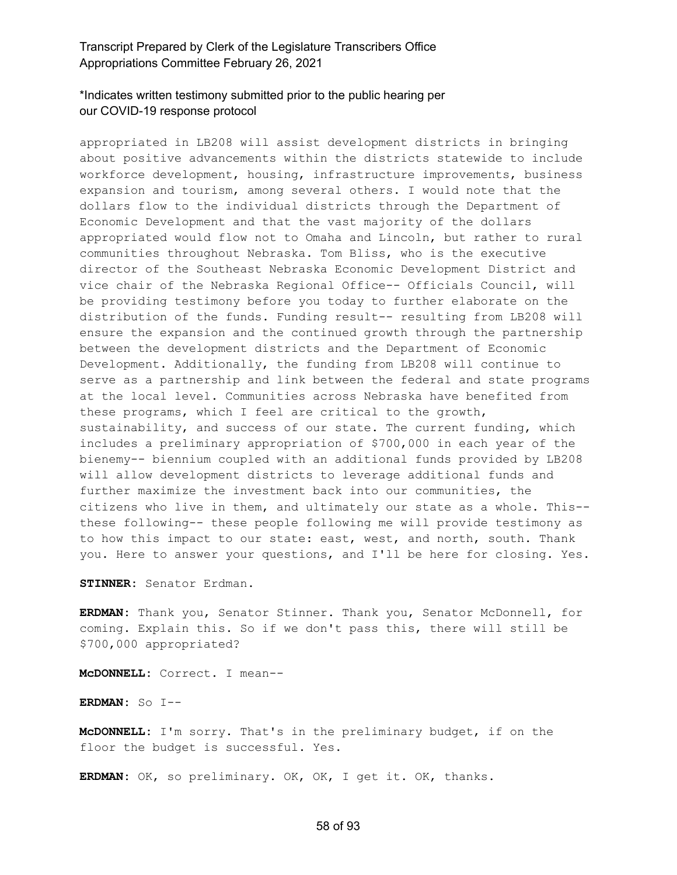# \*Indicates written testimony submitted prior to the public hearing per our COVID-19 response protocol

appropriated in LB208 will assist development districts in bringing about positive advancements within the districts statewide to include workforce development, housing, infrastructure improvements, business expansion and tourism, among several others. I would note that the dollars flow to the individual districts through the Department of Economic Development and that the vast majority of the dollars appropriated would flow not to Omaha and Lincoln, but rather to rural communities throughout Nebraska. Tom Bliss, who is the executive director of the Southeast Nebraska Economic Development District and vice chair of the Nebraska Regional Office-- Officials Council, will be providing testimony before you today to further elaborate on the distribution of the funds. Funding result-- resulting from LB208 will ensure the expansion and the continued growth through the partnership between the development districts and the Department of Economic Development. Additionally, the funding from LB208 will continue to serve as a partnership and link between the federal and state programs at the local level. Communities across Nebraska have benefited from these programs, which I feel are critical to the growth, sustainability, and success of our state. The current funding, which includes a preliminary appropriation of \$700,000 in each year of the bienemy-- biennium coupled with an additional funds provided by LB208 will allow development districts to leverage additional funds and further maximize the investment back into our communities, the citizens who live in them, and ultimately our state as a whole. This- these following-- these people following me will provide testimony as to how this impact to our state: east, west, and north, south. Thank you. Here to answer your questions, and I'll be here for closing. Yes.

**STINNER:** Senator Erdman.

**ERDMAN:** Thank you, Senator Stinner. Thank you, Senator McDonnell, for coming. Explain this. So if we don't pass this, there will still be \$700,000 appropriated?

**McDONNELL:** Correct. I mean--

**ERDMAN:** So I--

**McDONNELL:** I'm sorry. That's in the preliminary budget, if on the floor the budget is successful. Yes.

**ERDMAN:** OK, so preliminary. OK, OK, I get it. OK, thanks.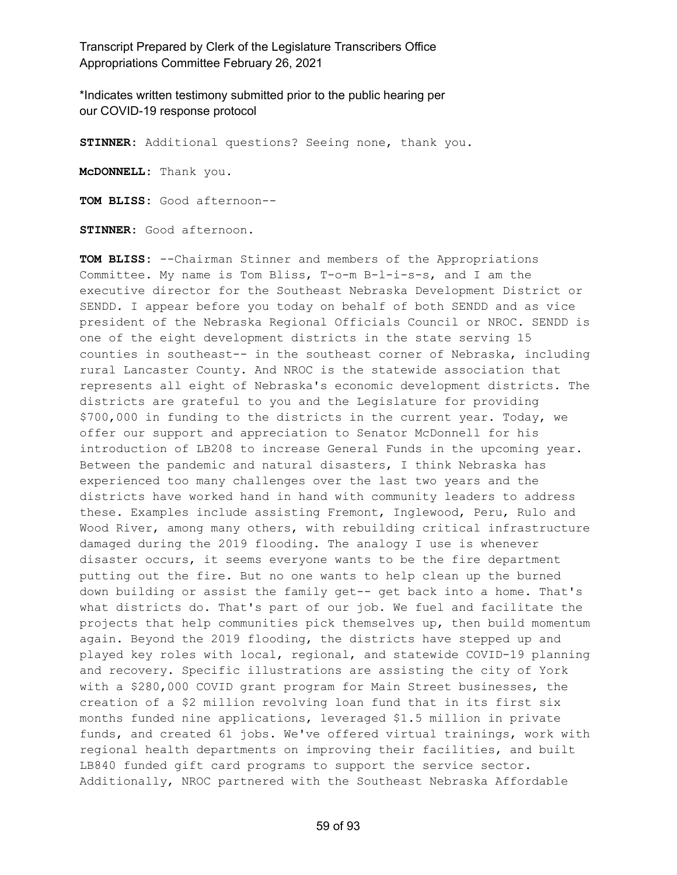\*Indicates written testimony submitted prior to the public hearing per our COVID-19 response protocol

**STINNER:** Additional questions? Seeing none, thank you.

**McDONNELL:** Thank you.

**TOM BLISS:** Good afternoon--

**STINNER:** Good afternoon.

**TOM BLISS:** --Chairman Stinner and members of the Appropriations Committee. My name is Tom Bliss, T-o-m B-l-i-s-s, and I am the executive director for the Southeast Nebraska Development District or SENDD. I appear before you today on behalf of both SENDD and as vice president of the Nebraska Regional Officials Council or NROC. SENDD is one of the eight development districts in the state serving 15 counties in southeast-- in the southeast corner of Nebraska, including rural Lancaster County. And NROC is the statewide association that represents all eight of Nebraska's economic development districts. The districts are grateful to you and the Legislature for providing \$700,000 in funding to the districts in the current year. Today, we offer our support and appreciation to Senator McDonnell for his introduction of LB208 to increase General Funds in the upcoming year. Between the pandemic and natural disasters, I think Nebraska has experienced too many challenges over the last two years and the districts have worked hand in hand with community leaders to address these. Examples include assisting Fremont, Inglewood, Peru, Rulo and Wood River, among many others, with rebuilding critical infrastructure damaged during the 2019 flooding. The analogy I use is whenever disaster occurs, it seems everyone wants to be the fire department putting out the fire. But no one wants to help clean up the burned down building or assist the family get-- get back into a home. That's what districts do. That's part of our job. We fuel and facilitate the projects that help communities pick themselves up, then build momentum again. Beyond the 2019 flooding, the districts have stepped up and played key roles with local, regional, and statewide COVID-19 planning and recovery. Specific illustrations are assisting the city of York with a \$280,000 COVID grant program for Main Street businesses, the creation of a \$2 million revolving loan fund that in its first six months funded nine applications, leveraged \$1.5 million in private funds, and created 61 jobs. We've offered virtual trainings, work with regional health departments on improving their facilities, and built LB840 funded gift card programs to support the service sector. Additionally, NROC partnered with the Southeast Nebraska Affordable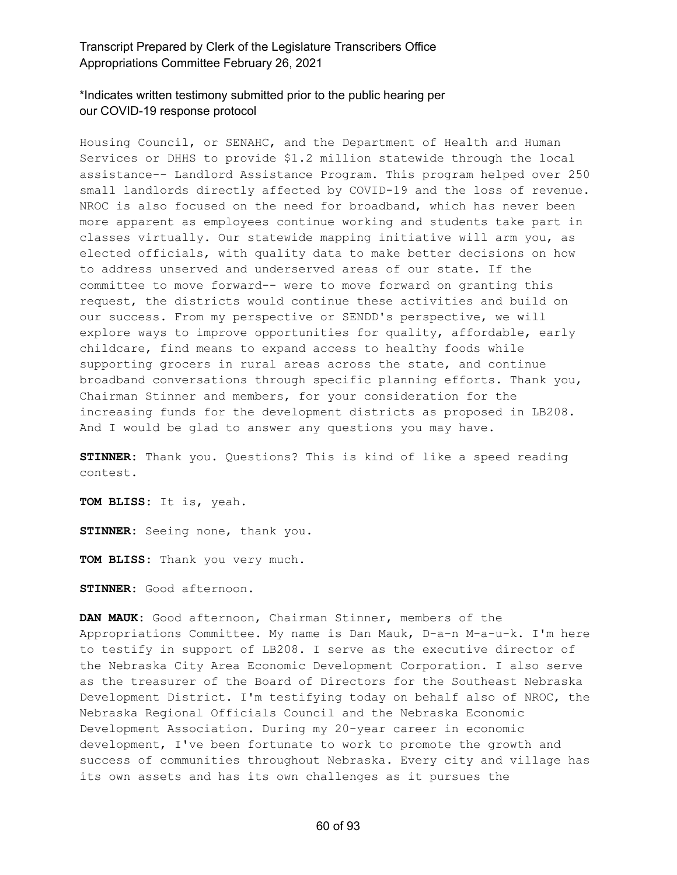# \*Indicates written testimony submitted prior to the public hearing per our COVID-19 response protocol

Housing Council, or SENAHC, and the Department of Health and Human Services or DHHS to provide \$1.2 million statewide through the local assistance-- Landlord Assistance Program. This program helped over 250 small landlords directly affected by COVID-19 and the loss of revenue. NROC is also focused on the need for broadband, which has never been more apparent as employees continue working and students take part in classes virtually. Our statewide mapping initiative will arm you, as elected officials, with quality data to make better decisions on how to address unserved and underserved areas of our state. If the committee to move forward-- were to move forward on granting this request, the districts would continue these activities and build on our success. From my perspective or SENDD's perspective, we will explore ways to improve opportunities for quality, affordable, early childcare, find means to expand access to healthy foods while supporting grocers in rural areas across the state, and continue broadband conversations through specific planning efforts. Thank you, Chairman Stinner and members, for your consideration for the increasing funds for the development districts as proposed in LB208. And I would be glad to answer any questions you may have.

**STINNER:** Thank you. Questions? This is kind of like a speed reading contest.

**TOM BLISS:** It is, yeah.

**STINNER:** Seeing none, thank you.

**TOM BLISS:** Thank you very much.

**STINNER:** Good afternoon.

**DAN MAUK:** Good afternoon, Chairman Stinner, members of the Appropriations Committee. My name is Dan Mauk, D-a-n M-a-u-k. I'm here to testify in support of LB208. I serve as the executive director of the Nebraska City Area Economic Development Corporation. I also serve as the treasurer of the Board of Directors for the Southeast Nebraska Development District. I'm testifying today on behalf also of NROC, the Nebraska Regional Officials Council and the Nebraska Economic Development Association. During my 20-year career in economic development, I've been fortunate to work to promote the growth and success of communities throughout Nebraska. Every city and village has its own assets and has its own challenges as it pursues the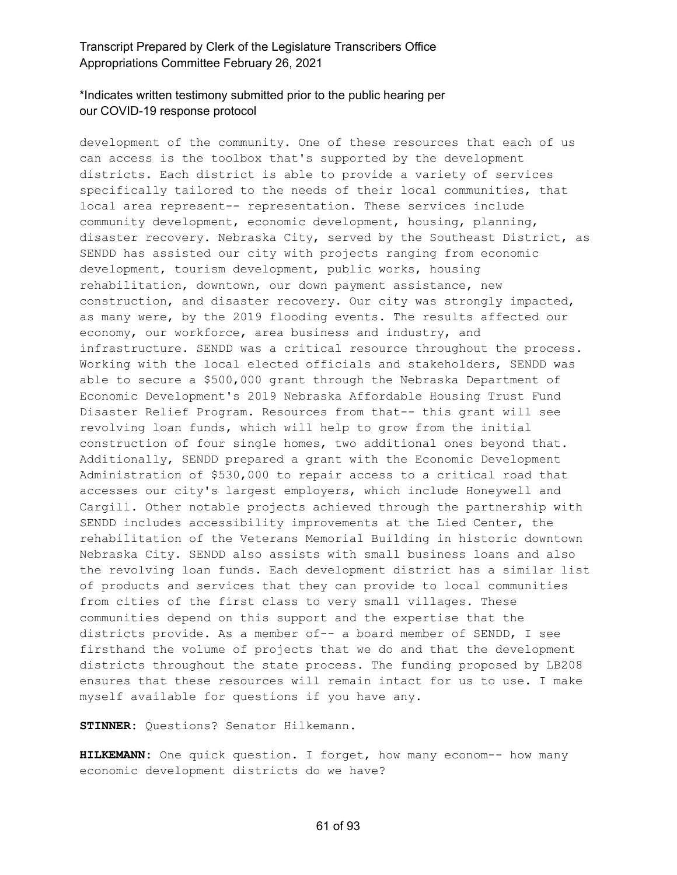## \*Indicates written testimony submitted prior to the public hearing per our COVID-19 response protocol

development of the community. One of these resources that each of us can access is the toolbox that's supported by the development districts. Each district is able to provide a variety of services specifically tailored to the needs of their local communities, that local area represent-- representation. These services include community development, economic development, housing, planning, disaster recovery. Nebraska City, served by the Southeast District, as SENDD has assisted our city with projects ranging from economic development, tourism development, public works, housing rehabilitation, downtown, our down payment assistance, new construction, and disaster recovery. Our city was strongly impacted, as many were, by the 2019 flooding events. The results affected our economy, our workforce, area business and industry, and infrastructure. SENDD was a critical resource throughout the process. Working with the local elected officials and stakeholders, SENDD was able to secure a \$500,000 grant through the Nebraska Department of Economic Development's 2019 Nebraska Affordable Housing Trust Fund Disaster Relief Program. Resources from that-- this grant will see revolving loan funds, which will help to grow from the initial construction of four single homes, two additional ones beyond that. Additionally, SENDD prepared a grant with the Economic Development Administration of \$530,000 to repair access to a critical road that accesses our city's largest employers, which include Honeywell and Cargill. Other notable projects achieved through the partnership with SENDD includes accessibility improvements at the Lied Center, the rehabilitation of the Veterans Memorial Building in historic downtown Nebraska City. SENDD also assists with small business loans and also the revolving loan funds. Each development district has a similar list of products and services that they can provide to local communities from cities of the first class to very small villages. These communities depend on this support and the expertise that the districts provide. As a member of-- a board member of SENDD, I see firsthand the volume of projects that we do and that the development districts throughout the state process. The funding proposed by LB208 ensures that these resources will remain intact for us to use. I make myself available for questions if you have any.

**STINNER:** Questions? Senator Hilkemann.

**HILKEMANN:** One quick question. I forget, how many econom-- how many economic development districts do we have?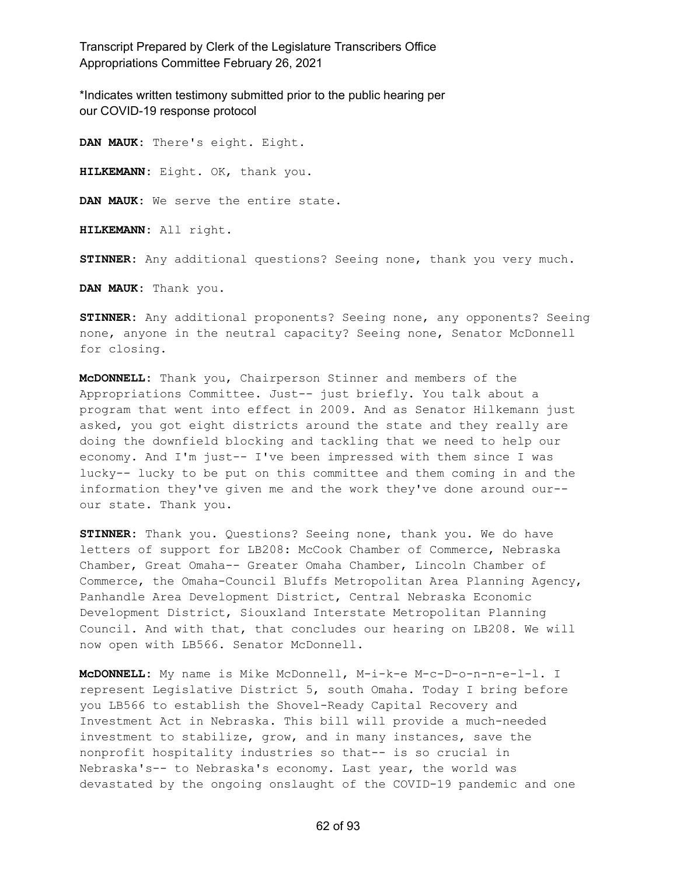\*Indicates written testimony submitted prior to the public hearing per our COVID-19 response protocol

**DAN MAUK:** There's eight. Eight. **HILKEMANN:** Eight. OK, thank you. **DAN MAUK:** We serve the entire state. **HILKEMANN:** All right. **STINNER:** Any additional questions? Seeing none, thank you very much. **DAN MAUK:** Thank you.

**STINNER:** Any additional proponents? Seeing none, any opponents? Seeing none, anyone in the neutral capacity? Seeing none, Senator McDonnell for closing.

**McDONNELL:** Thank you, Chairperson Stinner and members of the Appropriations Committee. Just-- just briefly. You talk about a program that went into effect in 2009. And as Senator Hilkemann just asked, you got eight districts around the state and they really are doing the downfield blocking and tackling that we need to help our economy. And I'm just-- I've been impressed with them since I was lucky-- lucky to be put on this committee and them coming in and the information they've given me and the work they've done around our- our state. Thank you.

**STINNER:** Thank you. Questions? Seeing none, thank you. We do have letters of support for LB208: McCook Chamber of Commerce, Nebraska Chamber, Great Omaha-- Greater Omaha Chamber, Lincoln Chamber of Commerce, the Omaha-Council Bluffs Metropolitan Area Planning Agency, Panhandle Area Development District, Central Nebraska Economic Development District, Siouxland Interstate Metropolitan Planning Council. And with that, that concludes our hearing on LB208. We will now open with LB566. Senator McDonnell.

**McDONNELL:** My name is Mike McDonnell, M-i-k-e M-c-D-o-n-n-e-l-l. I represent Legislative District 5, south Omaha. Today I bring before you LB566 to establish the Shovel-Ready Capital Recovery and Investment Act in Nebraska. This bill will provide a much-needed investment to stabilize, grow, and in many instances, save the nonprofit hospitality industries so that-- is so crucial in Nebraska's-- to Nebraska's economy. Last year, the world was devastated by the ongoing onslaught of the COVID-19 pandemic and one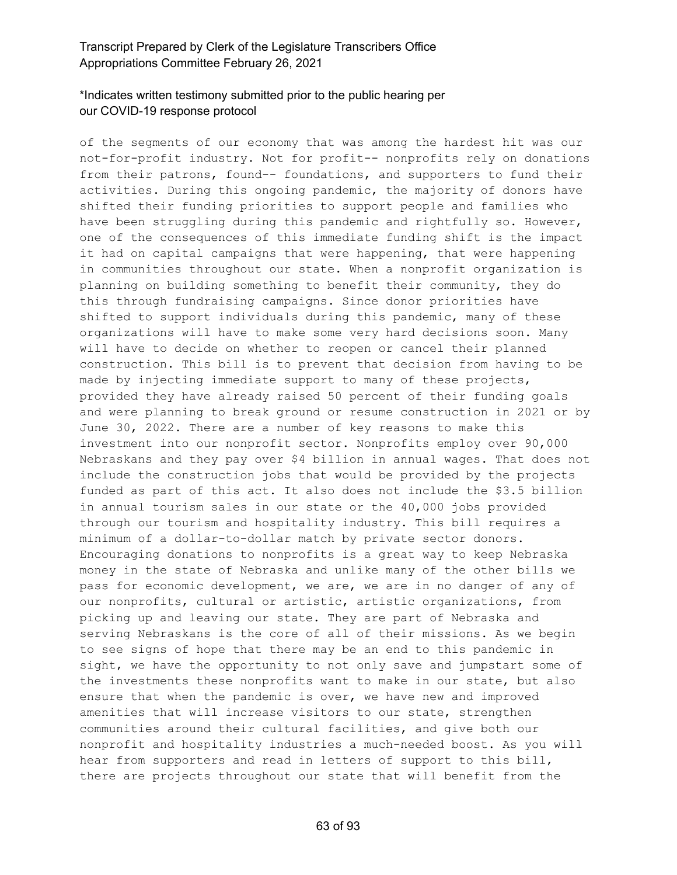# \*Indicates written testimony submitted prior to the public hearing per our COVID-19 response protocol

of the segments of our economy that was among the hardest hit was our not-for-profit industry. Not for profit-- nonprofits rely on donations from their patrons, found-- foundations, and supporters to fund their activities. During this ongoing pandemic, the majority of donors have shifted their funding priorities to support people and families who have been struggling during this pandemic and rightfully so. However, one of the consequences of this immediate funding shift is the impact it had on capital campaigns that were happening, that were happening in communities throughout our state. When a nonprofit organization is planning on building something to benefit their community, they do this through fundraising campaigns. Since donor priorities have shifted to support individuals during this pandemic, many of these organizations will have to make some very hard decisions soon. Many will have to decide on whether to reopen or cancel their planned construction. This bill is to prevent that decision from having to be made by injecting immediate support to many of these projects, provided they have already raised 50 percent of their funding goals and were planning to break ground or resume construction in 2021 or by June 30, 2022. There are a number of key reasons to make this investment into our nonprofit sector. Nonprofits employ over 90,000 Nebraskans and they pay over \$4 billion in annual wages. That does not include the construction jobs that would be provided by the projects funded as part of this act. It also does not include the \$3.5 billion in annual tourism sales in our state or the 40,000 jobs provided through our tourism and hospitality industry. This bill requires a minimum of a dollar-to-dollar match by private sector donors. Encouraging donations to nonprofits is a great way to keep Nebraska money in the state of Nebraska and unlike many of the other bills we pass for economic development, we are, we are in no danger of any of our nonprofits, cultural or artistic, artistic organizations, from picking up and leaving our state. They are part of Nebraska and serving Nebraskans is the core of all of their missions. As we begin to see signs of hope that there may be an end to this pandemic in sight, we have the opportunity to not only save and jumpstart some of the investments these nonprofits want to make in our state, but also ensure that when the pandemic is over, we have new and improved amenities that will increase visitors to our state, strengthen communities around their cultural facilities, and give both our nonprofit and hospitality industries a much-needed boost. As you will hear from supporters and read in letters of support to this bill, there are projects throughout our state that will benefit from the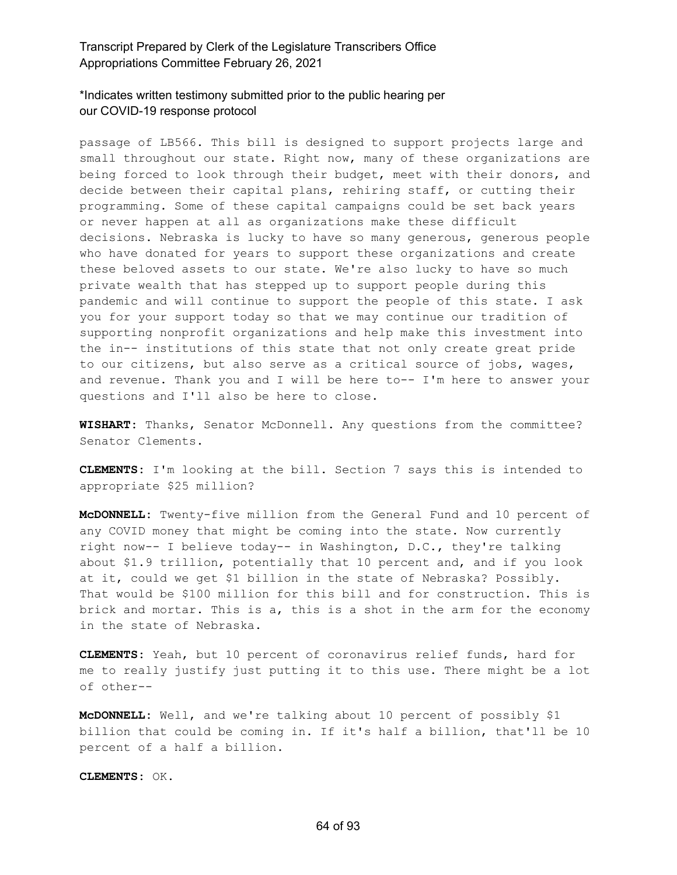\*Indicates written testimony submitted prior to the public hearing per our COVID-19 response protocol

passage of LB566. This bill is designed to support projects large and small throughout our state. Right now, many of these organizations are being forced to look through their budget, meet with their donors, and decide between their capital plans, rehiring staff, or cutting their programming. Some of these capital campaigns could be set back years or never happen at all as organizations make these difficult decisions. Nebraska is lucky to have so many generous, generous people who have donated for years to support these organizations and create these beloved assets to our state. We're also lucky to have so much private wealth that has stepped up to support people during this pandemic and will continue to support the people of this state. I ask you for your support today so that we may continue our tradition of supporting nonprofit organizations and help make this investment into the in-- institutions of this state that not only create great pride to our citizens, but also serve as a critical source of jobs, wages, and revenue. Thank you and I will be here to-- I'm here to answer your questions and I'll also be here to close.

**WISHART:** Thanks, Senator McDonnell. Any questions from the committee? Senator Clements.

**CLEMENTS:** I'm looking at the bill. Section 7 says this is intended to appropriate \$25 million?

**McDONNELL:** Twenty-five million from the General Fund and 10 percent of any COVID money that might be coming into the state. Now currently right now-- I believe today-- in Washington, D.C., they're talking about \$1.9 trillion, potentially that 10 percent and, and if you look at it, could we get \$1 billion in the state of Nebraska? Possibly. That would be \$100 million for this bill and for construction. This is brick and mortar. This is a, this is a shot in the arm for the economy in the state of Nebraska.

**CLEMENTS:** Yeah, but 10 percent of coronavirus relief funds, hard for me to really justify just putting it to this use. There might be a lot of other--

**McDONNELL:** Well, and we're talking about 10 percent of possibly \$1 billion that could be coming in. If it's half a billion, that'll be 10 percent of a half a billion.

**CLEMENTS:** OK.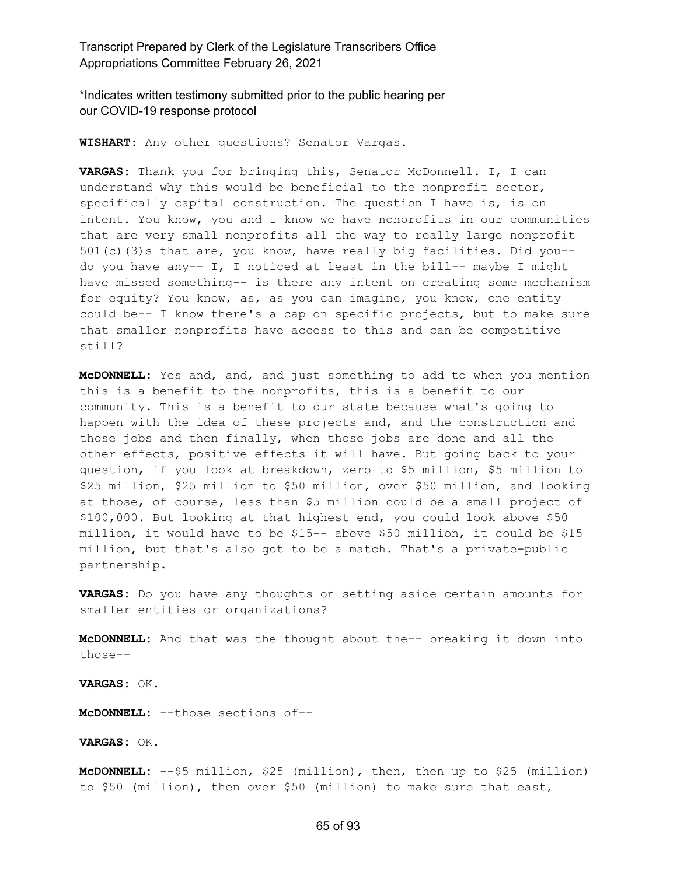\*Indicates written testimony submitted prior to the public hearing per our COVID-19 response protocol

**WISHART:** Any other questions? Senator Vargas.

**VARGAS:** Thank you for bringing this, Senator McDonnell. I, I can understand why this would be beneficial to the nonprofit sector, specifically capital construction. The question I have is, is on intent. You know, you and I know we have nonprofits in our communities that are very small nonprofits all the way to really large nonprofit 501(c)(3)s that are, you know, have really big facilities. Did you- do you have any-- I, I noticed at least in the bill-- maybe I might have missed something-- is there any intent on creating some mechanism for equity? You know, as, as you can imagine, you know, one entity could be-- I know there's a cap on specific projects, but to make sure that smaller nonprofits have access to this and can be competitive still?

**McDONNELL:** Yes and, and, and just something to add to when you mention this is a benefit to the nonprofits, this is a benefit to our community. This is a benefit to our state because what's going to happen with the idea of these projects and, and the construction and those jobs and then finally, when those jobs are done and all the other effects, positive effects it will have. But going back to your question, if you look at breakdown, zero to \$5 million, \$5 million to \$25 million, \$25 million to \$50 million, over \$50 million, and looking at those, of course, less than \$5 million could be a small project of \$100,000. But looking at that highest end, you could look above \$50 million, it would have to be \$15-- above \$50 million, it could be \$15 million, but that's also got to be a match. That's a private-public partnership.

**VARGAS:** Do you have any thoughts on setting aside certain amounts for smaller entities or organizations?

**McDONNELL:** And that was the thought about the-- breaking it down into those--

**VARGAS:** OK.

**McDONNELL:** --those sections of--

**VARGAS:** OK.

**McDONNELL:** --\$5 million, \$25 (million), then, then up to \$25 (million) to \$50 (million), then over \$50 (million) to make sure that east,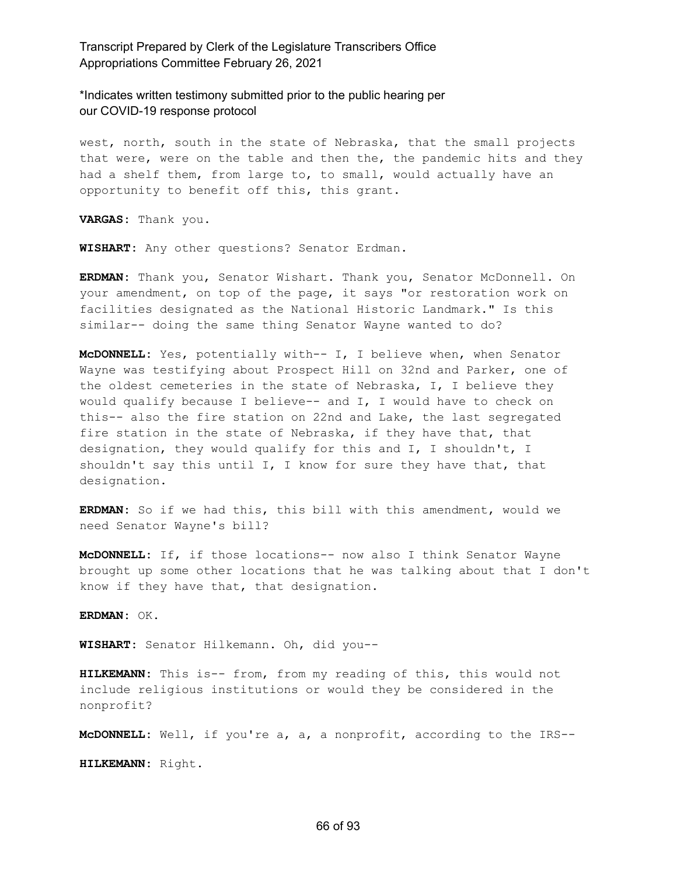\*Indicates written testimony submitted prior to the public hearing per our COVID-19 response protocol

west, north, south in the state of Nebraska, that the small projects that were, were on the table and then the, the pandemic hits and they had a shelf them, from large to, to small, would actually have an opportunity to benefit off this, this grant.

**VARGAS:** Thank you.

**WISHART:** Any other questions? Senator Erdman.

**ERDMAN:** Thank you, Senator Wishart. Thank you, Senator McDonnell. On your amendment, on top of the page, it says "or restoration work on facilities designated as the National Historic Landmark." Is this similar-- doing the same thing Senator Wayne wanted to do?

**McDONNELL:** Yes, potentially with-- I, I believe when, when Senator Wayne was testifying about Prospect Hill on 32nd and Parker, one of the oldest cemeteries in the state of Nebraska, I, I believe they would qualify because I believe-- and I, I would have to check on this-- also the fire station on 22nd and Lake, the last segregated fire station in the state of Nebraska, if they have that, that designation, they would qualify for this and I, I shouldn't, I shouldn't say this until I, I know for sure they have that, that designation.

**ERDMAN:** So if we had this, this bill with this amendment, would we need Senator Wayne's bill?

**McDONNELL:** If, if those locations-- now also I think Senator Wayne brought up some other locations that he was talking about that I don't know if they have that, that designation.

**ERDMAN:** OK.

**WISHART:** Senator Hilkemann. Oh, did you--

**HILKEMANN:** This is-- from, from my reading of this, this would not include religious institutions or would they be considered in the nonprofit?

**McDONNELL:** Well, if you're a, a, a nonprofit, according to the IRS--

**HILKEMANN:** Right.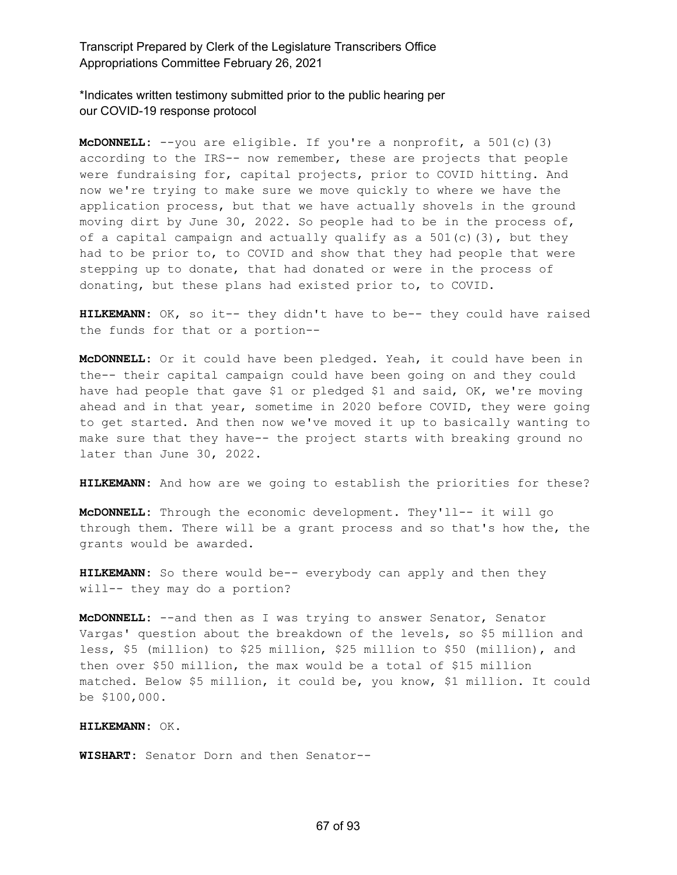\*Indicates written testimony submitted prior to the public hearing per our COVID-19 response protocol

**McDONNELL:** --you are eligible. If you're a nonprofit, a 501(c)(3) according to the IRS-- now remember, these are projects that people were fundraising for, capital projects, prior to COVID hitting. And now we're trying to make sure we move quickly to where we have the application process, but that we have actually shovels in the ground moving dirt by June 30, 2022. So people had to be in the process of, of a capital campaign and actually qualify as a 501(c)(3), but they had to be prior to, to COVID and show that they had people that were stepping up to donate, that had donated or were in the process of donating, but these plans had existed prior to, to COVID.

**HILKEMANN:** OK, so it-- they didn't have to be-- they could have raised the funds for that or a portion--

**McDONNELL:** Or it could have been pledged. Yeah, it could have been in the-- their capital campaign could have been going on and they could have had people that gave \$1 or pledged \$1 and said, OK, we're moving ahead and in that year, sometime in 2020 before COVID, they were going to get started. And then now we've moved it up to basically wanting to make sure that they have-- the project starts with breaking ground no later than June 30, 2022.

**HILKEMANN:** And how are we going to establish the priorities for these?

**McDONNELL:** Through the economic development. They'll-- it will go through them. There will be a grant process and so that's how the, the grants would be awarded.

**HILKEMANN:** So there would be-- everybody can apply and then they will-- they may do a portion?

**McDONNELL:** --and then as I was trying to answer Senator, Senator Vargas' question about the breakdown of the levels, so \$5 million and less, \$5 (million) to \$25 million, \$25 million to \$50 (million), and then over \$50 million, the max would be a total of \$15 million matched. Below \$5 million, it could be, you know, \$1 million. It could be \$100,000.

#### **HILKEMANN:** OK.

**WISHART:** Senator Dorn and then Senator--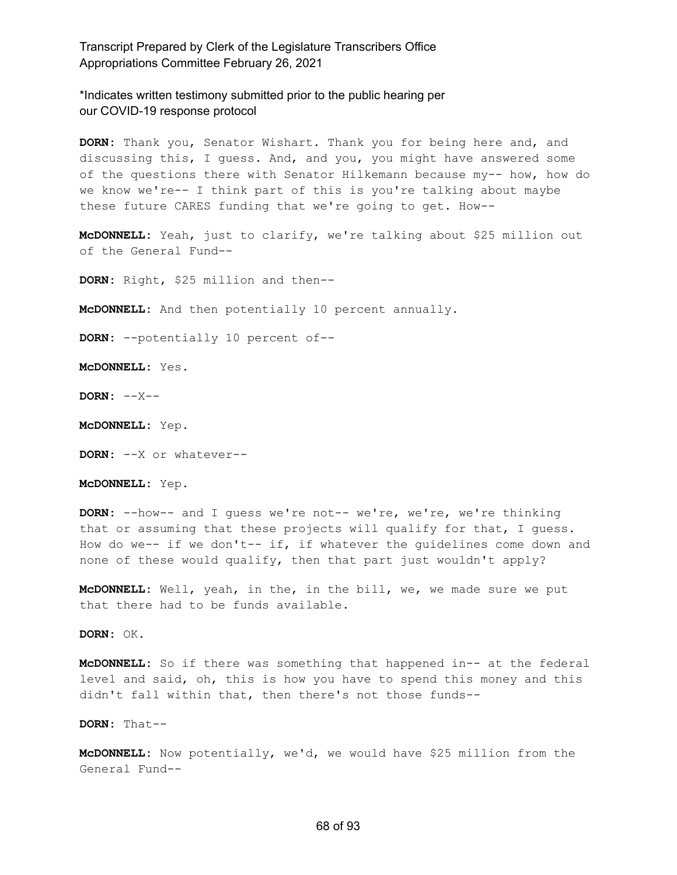\*Indicates written testimony submitted prior to the public hearing per our COVID-19 response protocol

**DORN:** Thank you, Senator Wishart. Thank you for being here and, and discussing this, I guess. And, and you, you might have answered some of the questions there with Senator Hilkemann because my-- how, how do we know we're-- I think part of this is you're talking about maybe these future CARES funding that we're going to get. How--

**McDONNELL:** Yeah, just to clarify, we're talking about \$25 million out of the General Fund--

**DORN:** Right, \$25 million and then--

**McDONNELL:** And then potentially 10 percent annually.

**DORN:** --potentially 10 percent of--

**McDONNELL:** Yes.

**DORN:** --X--

**McDONNELL:** Yep.

**DORN:** --X or whatever--

**McDONNELL:** Yep.

**DORN:** --how-- and I guess we're not-- we're, we're, we're thinking that or assuming that these projects will qualify for that, I guess. How do we-- if we don't-- if, if whatever the guidelines come down and none of these would qualify, then that part just wouldn't apply?

**McDONNELL:** Well, yeah, in the, in the bill, we, we made sure we put that there had to be funds available.

**DORN:** OK.

**McDONNELL:** So if there was something that happened in-- at the federal level and said, oh, this is how you have to spend this money and this didn't fall within that, then there's not those funds--

**DORN:** That--

**McDONNELL:** Now potentially, we'd, we would have \$25 million from the General Fund--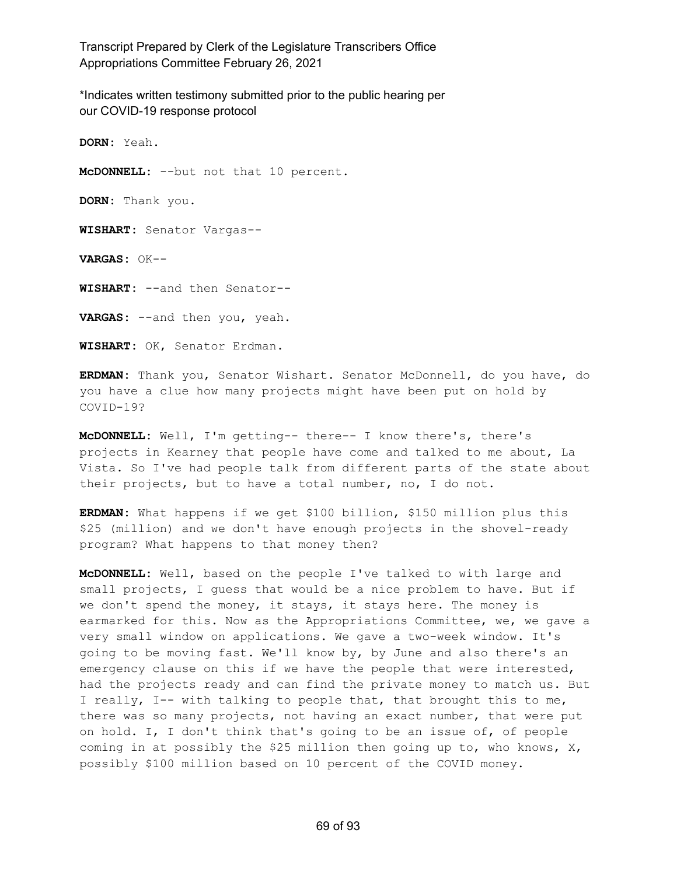\*Indicates written testimony submitted prior to the public hearing per our COVID-19 response protocol

**DORN:** Yeah. **McDONNELL:** --but not that 10 percent. **DORN:** Thank you. **WISHART:** Senator Vargas-- **VARGAS:** OK-- **WISHART:** --and then Senator-- **VARGAS:** --and then you, yeah. **WISHART:** OK, Senator Erdman.

**ERDMAN:** Thank you, Senator Wishart. Senator McDonnell, do you have, do you have a clue how many projects might have been put on hold by COVID-19?

**McDONNELL:** Well, I'm getting-- there-- I know there's, there's projects in Kearney that people have come and talked to me about, La Vista. So I've had people talk from different parts of the state about their projects, but to have a total number, no, I do not.

**ERDMAN:** What happens if we get \$100 billion, \$150 million plus this \$25 (million) and we don't have enough projects in the shovel-ready program? What happens to that money then?

**McDONNELL:** Well, based on the people I've talked to with large and small projects, I guess that would be a nice problem to have. But if we don't spend the money, it stays, it stays here. The money is earmarked for this. Now as the Appropriations Committee, we, we gave a very small window on applications. We gave a two-week window. It's going to be moving fast. We'll know by, by June and also there's an emergency clause on this if we have the people that were interested, had the projects ready and can find the private money to match us. But I really, I-- with talking to people that, that brought this to me, there was so many projects, not having an exact number, that were put on hold. I, I don't think that's going to be an issue of, of people coming in at possibly the \$25 million then going up to, who knows, X, possibly \$100 million based on 10 percent of the COVID money.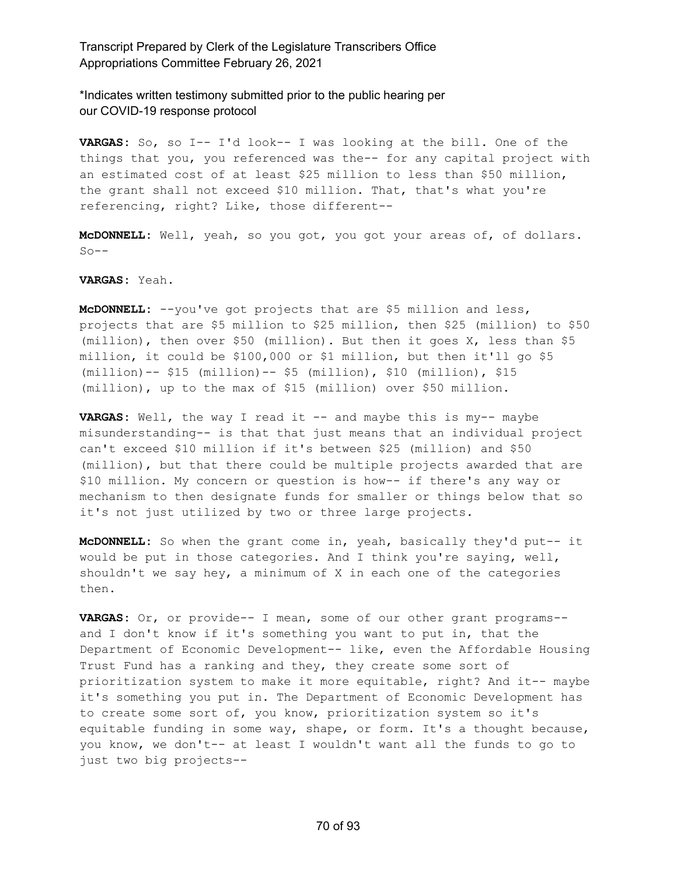\*Indicates written testimony submitted prior to the public hearing per our COVID-19 response protocol

**VARGAS:** So, so I-- I'd look-- I was looking at the bill. One of the things that you, you referenced was the-- for any capital project with an estimated cost of at least \$25 million to less than \$50 million, the grant shall not exceed \$10 million. That, that's what you're referencing, right? Like, those different--

**McDONNELL:** Well, yeah, so you got, you got your areas of, of dollars.  $S_0$ --

**VARGAS:** Yeah.

**McDONNELL:** --you've got projects that are \$5 million and less, projects that are \$5 million to \$25 million, then \$25 (million) to \$50 (million), then over \$50 (million). But then it goes X, less than \$5 million, it could be \$100,000 or \$1 million, but then it'll go \$5 (million)-- \$15 (million)-- \$5 (million), \$10 (million), \$15 (million), up to the max of \$15 (million) over \$50 million.

**VARGAS:** Well, the way I read it -- and maybe this is my-- maybe misunderstanding-- is that that just means that an individual project can't exceed \$10 million if it's between \$25 (million) and \$50 (million), but that there could be multiple projects awarded that are \$10 million. My concern or question is how-- if there's any way or mechanism to then designate funds for smaller or things below that so it's not just utilized by two or three large projects.

**McDONNELL:** So when the grant come in, yeah, basically they'd put-- it would be put in those categories. And I think you're saying, well, shouldn't we say hey, a minimum of X in each one of the categories then.

**VARGAS:** Or, or provide-- I mean, some of our other grant programs- and I don't know if it's something you want to put in, that the Department of Economic Development-- like, even the Affordable Housing Trust Fund has a ranking and they, they create some sort of prioritization system to make it more equitable, right? And it-- maybe it's something you put in. The Department of Economic Development has to create some sort of, you know, prioritization system so it's equitable funding in some way, shape, or form. It's a thought because, you know, we don't-- at least I wouldn't want all the funds to go to just two big projects--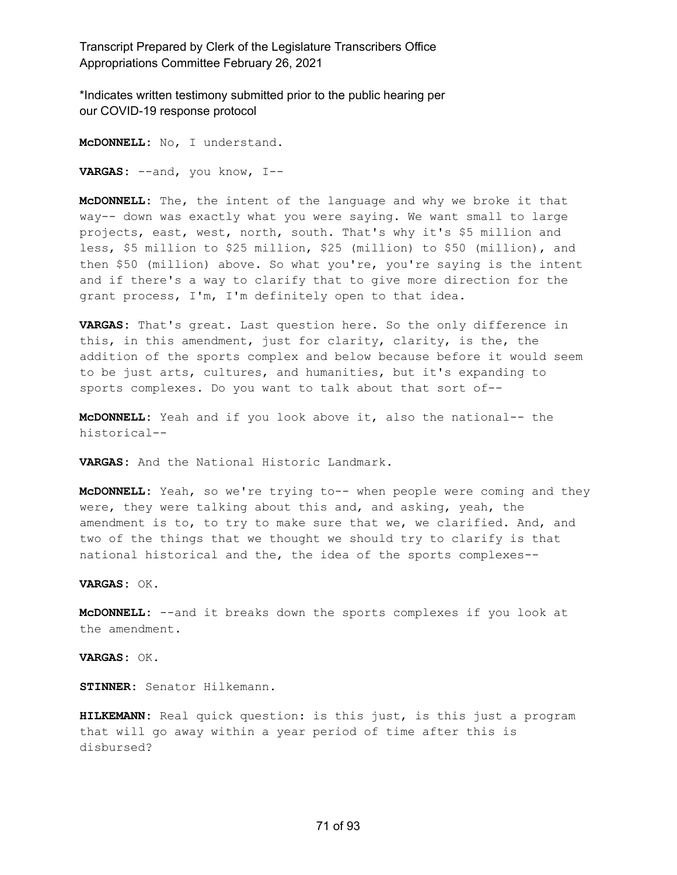\*Indicates written testimony submitted prior to the public hearing per our COVID-19 response protocol

**McDONNELL:** No, I understand. **VARGAS:** --and, you know, I--

**McDONNELL:** The, the intent of the language and why we broke it that way-- down was exactly what you were saying. We want small to large projects, east, west, north, south. That's why it's \$5 million and less, \$5 million to \$25 million, \$25 (million) to \$50 (million), and then \$50 (million) above. So what you're, you're saying is the intent and if there's a way to clarify that to give more direction for the grant process, I'm, I'm definitely open to that idea.

**VARGAS:** That's great. Last question here. So the only difference in this, in this amendment, just for clarity, clarity, is the, the addition of the sports complex and below because before it would seem to be just arts, cultures, and humanities, but it's expanding to sports complexes. Do you want to talk about that sort of--

**McDONNELL:** Yeah and if you look above it, also the national-- the historical--

**VARGAS:** And the National Historic Landmark.

**McDONNELL:** Yeah, so we're trying to-- when people were coming and they were, they were talking about this and, and asking, yeah, the amendment is to, to try to make sure that we, we clarified. And, and two of the things that we thought we should try to clarify is that national historical and the, the idea of the sports complexes--

**VARGAS:** OK.

**McDONNELL:** --and it breaks down the sports complexes if you look at the amendment.

**VARGAS:** OK.

**STINNER:** Senator Hilkemann.

**HILKEMANN:** Real quick question: is this just, is this just a program that will go away within a year period of time after this is disbursed?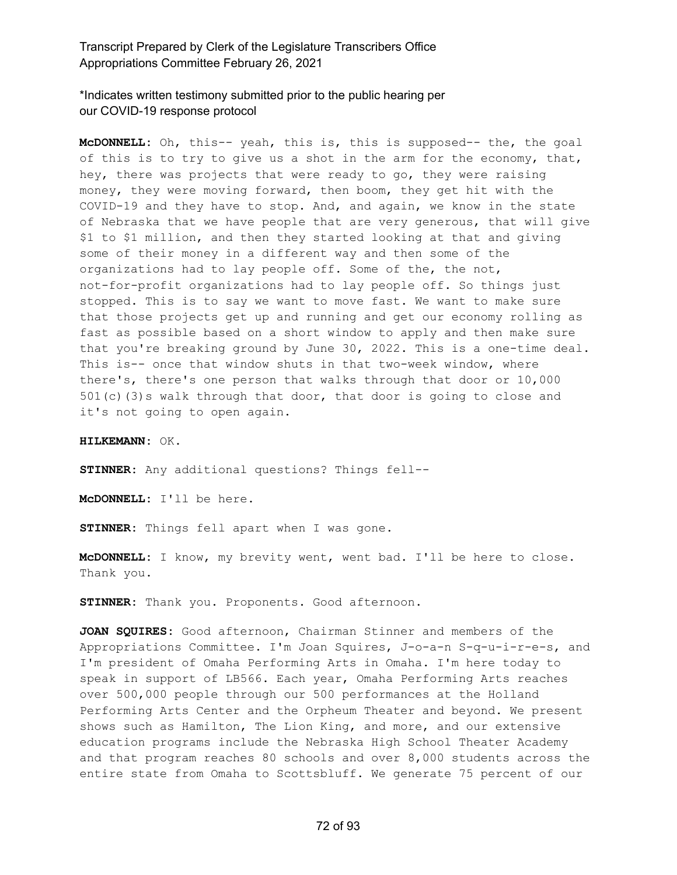\*Indicates written testimony submitted prior to the public hearing per our COVID-19 response protocol

**McDONNELL:** Oh, this-- yeah, this is, this is supposed-- the, the goal of this is to try to give us a shot in the arm for the economy, that, hey, there was projects that were ready to go, they were raising money, they were moving forward, then boom, they get hit with the COVID-19 and they have to stop. And, and again, we know in the state of Nebraska that we have people that are very generous, that will give \$1 to \$1 million, and then they started looking at that and giving some of their money in a different way and then some of the organizations had to lay people off. Some of the, the not, not-for-profit organizations had to lay people off. So things just stopped. This is to say we want to move fast. We want to make sure that those projects get up and running and get our economy rolling as fast as possible based on a short window to apply and then make sure that you're breaking ground by June 30, 2022. This is a one-time deal. This is-- once that window shuts in that two-week window, where there's, there's one person that walks through that door or 10,000 501(c)(3)s walk through that door, that door is going to close and it's not going to open again.

**HILKEMANN:** OK.

**STINNER:** Any additional questions? Things fell--

**McDONNELL:** I'll be here.

**STINNER:** Things fell apart when I was gone.

**McDONNELL:** I know, my brevity went, went bad. I'll be here to close. Thank you.

**STINNER:** Thank you. Proponents. Good afternoon.

**JOAN SQUIRES:** Good afternoon, Chairman Stinner and members of the Appropriations Committee. I'm Joan Squires, J-o-a-n S-q-u-i-r-e-s, and I'm president of Omaha Performing Arts in Omaha. I'm here today to speak in support of LB566. Each year, Omaha Performing Arts reaches over 500,000 people through our 500 performances at the Holland Performing Arts Center and the Orpheum Theater and beyond. We present shows such as Hamilton, The Lion King, and more, and our extensive education programs include the Nebraska High School Theater Academy and that program reaches 80 schools and over 8,000 students across the entire state from Omaha to Scottsbluff. We generate 75 percent of our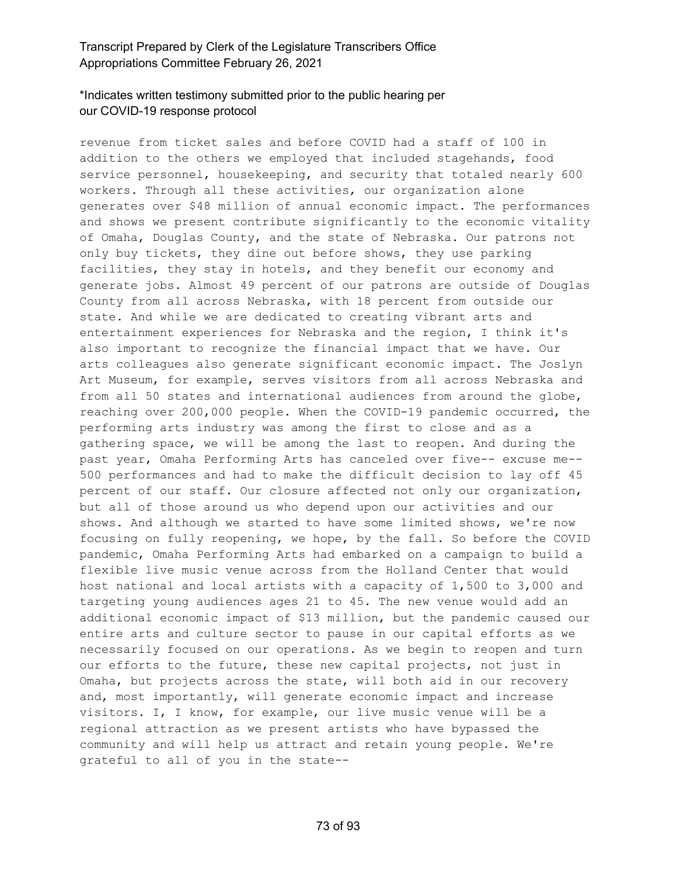### \*Indicates written testimony submitted prior to the public hearing per our COVID-19 response protocol

revenue from ticket sales and before COVID had a staff of 100 in addition to the others we employed that included stagehands, food service personnel, housekeeping, and security that totaled nearly 600 workers. Through all these activities, our organization alone generates over \$48 million of annual economic impact. The performances and shows we present contribute significantly to the economic vitality of Omaha, Douglas County, and the state of Nebraska. Our patrons not only buy tickets, they dine out before shows, they use parking facilities, they stay in hotels, and they benefit our economy and generate jobs. Almost 49 percent of our patrons are outside of Douglas County from all across Nebraska, with 18 percent from outside our state. And while we are dedicated to creating vibrant arts and entertainment experiences for Nebraska and the region, I think it's also important to recognize the financial impact that we have. Our arts colleagues also generate significant economic impact. The Joslyn Art Museum, for example, serves visitors from all across Nebraska and from all 50 states and international audiences from around the globe, reaching over 200,000 people. When the COVID-19 pandemic occurred, the performing arts industry was among the first to close and as a gathering space, we will be among the last to reopen. And during the past year, Omaha Performing Arts has canceled over five-- excuse me-- 500 performances and had to make the difficult decision to lay off 45 percent of our staff. Our closure affected not only our organization, but all of those around us who depend upon our activities and our shows. And although we started to have some limited shows, we're now focusing on fully reopening, we hope, by the fall. So before the COVID pandemic, Omaha Performing Arts had embarked on a campaign to build a flexible live music venue across from the Holland Center that would host national and local artists with a capacity of 1,500 to 3,000 and targeting young audiences ages 21 to 45. The new venue would add an additional economic impact of \$13 million, but the pandemic caused our entire arts and culture sector to pause in our capital efforts as we necessarily focused on our operations. As we begin to reopen and turn our efforts to the future, these new capital projects, not just in Omaha, but projects across the state, will both aid in our recovery and, most importantly, will generate economic impact and increase visitors. I, I know, for example, our live music venue will be a regional attraction as we present artists who have bypassed the community and will help us attract and retain young people. We're grateful to all of you in the state--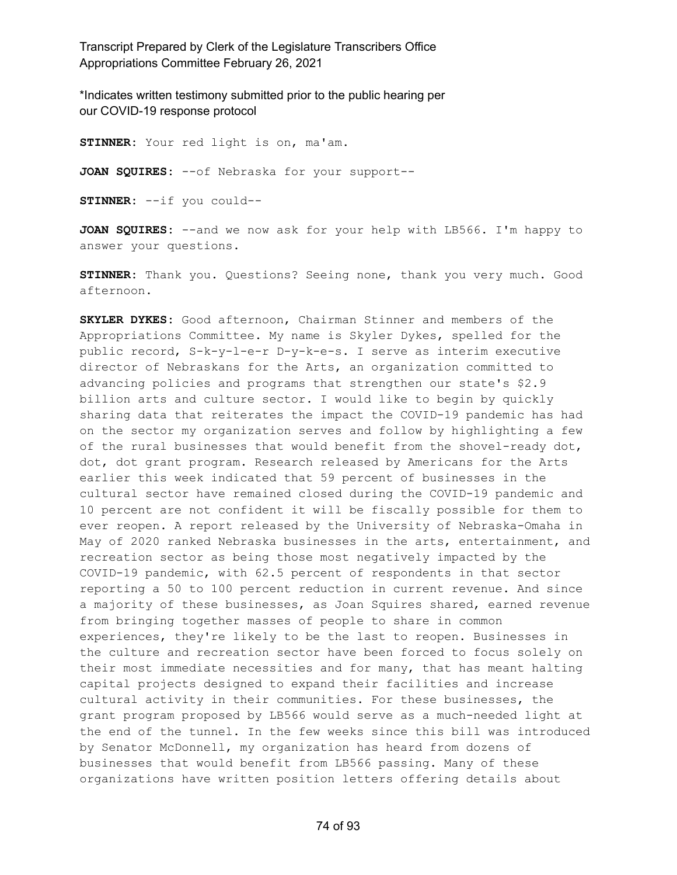\*Indicates written testimony submitted prior to the public hearing per our COVID-19 response protocol

**STINNER:** Your red light is on, ma'am. **JOAN SQUIRES:** --of Nebraska for your support-- **STINNER:** --if you could--

**JOAN SQUIRES:** --and we now ask for your help with LB566. I'm happy to answer your questions.

**STINNER:** Thank you. Questions? Seeing none, thank you very much. Good afternoon.

**SKYLER DYKES:** Good afternoon, Chairman Stinner and members of the Appropriations Committee. My name is Skyler Dykes, spelled for the public record, S-k-y-l-e-r D-y-k-e-s. I serve as interim executive director of Nebraskans for the Arts, an organization committed to advancing policies and programs that strengthen our state's \$2.9 billion arts and culture sector. I would like to begin by quickly sharing data that reiterates the impact the COVID-19 pandemic has had on the sector my organization serves and follow by highlighting a few of the rural businesses that would benefit from the shovel-ready dot, dot, dot grant program. Research released by Americans for the Arts earlier this week indicated that 59 percent of businesses in the cultural sector have remained closed during the COVID-19 pandemic and 10 percent are not confident it will be fiscally possible for them to ever reopen. A report released by the University of Nebraska-Omaha in May of 2020 ranked Nebraska businesses in the arts, entertainment, and recreation sector as being those most negatively impacted by the COVID-19 pandemic, with 62.5 percent of respondents in that sector reporting a 50 to 100 percent reduction in current revenue. And since a majority of these businesses, as Joan Squires shared, earned revenue from bringing together masses of people to share in common experiences, they're likely to be the last to reopen. Businesses in the culture and recreation sector have been forced to focus solely on their most immediate necessities and for many, that has meant halting capital projects designed to expand their facilities and increase cultural activity in their communities. For these businesses, the grant program proposed by LB566 would serve as a much-needed light at the end of the tunnel. In the few weeks since this bill was introduced by Senator McDonnell, my organization has heard from dozens of businesses that would benefit from LB566 passing. Many of these organizations have written position letters offering details about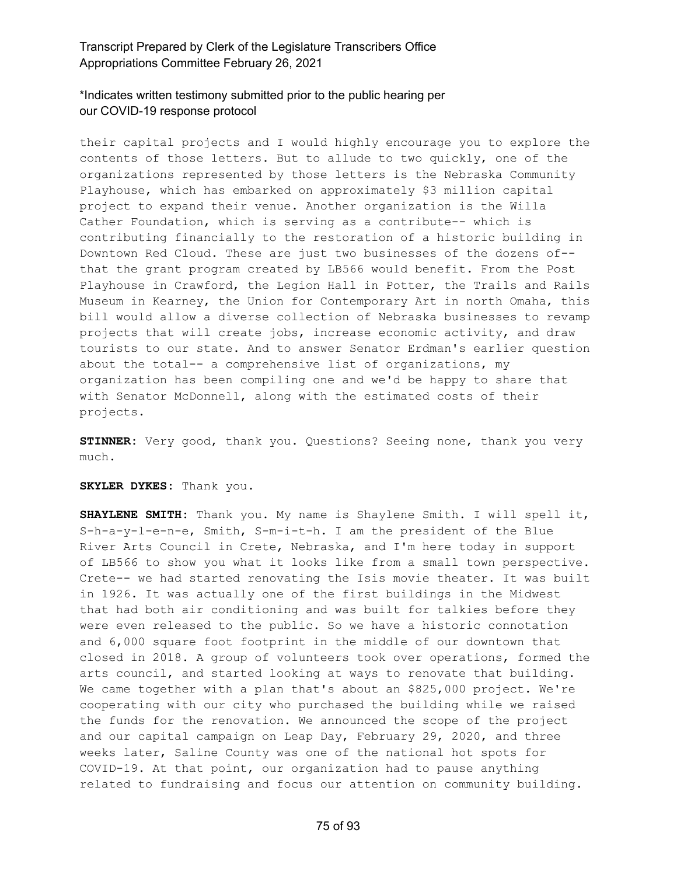## \*Indicates written testimony submitted prior to the public hearing per our COVID-19 response protocol

their capital projects and I would highly encourage you to explore the contents of those letters. But to allude to two quickly, one of the organizations represented by those letters is the Nebraska Community Playhouse, which has embarked on approximately \$3 million capital project to expand their venue. Another organization is the Willa Cather Foundation, which is serving as a contribute-- which is contributing financially to the restoration of a historic building in Downtown Red Cloud. These are just two businesses of the dozens of- that the grant program created by LB566 would benefit. From the Post Playhouse in Crawford, the Legion Hall in Potter, the Trails and Rails Museum in Kearney, the Union for Contemporary Art in north Omaha, this bill would allow a diverse collection of Nebraska businesses to revamp projects that will create jobs, increase economic activity, and draw tourists to our state. And to answer Senator Erdman's earlier question about the total-- a comprehensive list of organizations, my organization has been compiling one and we'd be happy to share that with Senator McDonnell, along with the estimated costs of their projects.

**STINNER:** Very good, thank you. Questions? Seeing none, thank you very much.

### **SKYLER DYKES:** Thank you.

**SHAYLENE SMITH:** Thank you. My name is Shaylene Smith. I will spell it, S-h-a-y-l-e-n-e, Smith, S-m-i-t-h. I am the president of the Blue River Arts Council in Crete, Nebraska, and I'm here today in support of LB566 to show you what it looks like from a small town perspective. Crete-- we had started renovating the Isis movie theater. It was built in 1926. It was actually one of the first buildings in the Midwest that had both air conditioning and was built for talkies before they were even released to the public. So we have a historic connotation and 6,000 square foot footprint in the middle of our downtown that closed in 2018. A group of volunteers took over operations, formed the arts council, and started looking at ways to renovate that building. We came together with a plan that's about an \$825,000 project. We're cooperating with our city who purchased the building while we raised the funds for the renovation. We announced the scope of the project and our capital campaign on Leap Day, February 29, 2020, and three weeks later, Saline County was one of the national hot spots for COVID-19. At that point, our organization had to pause anything related to fundraising and focus our attention on community building.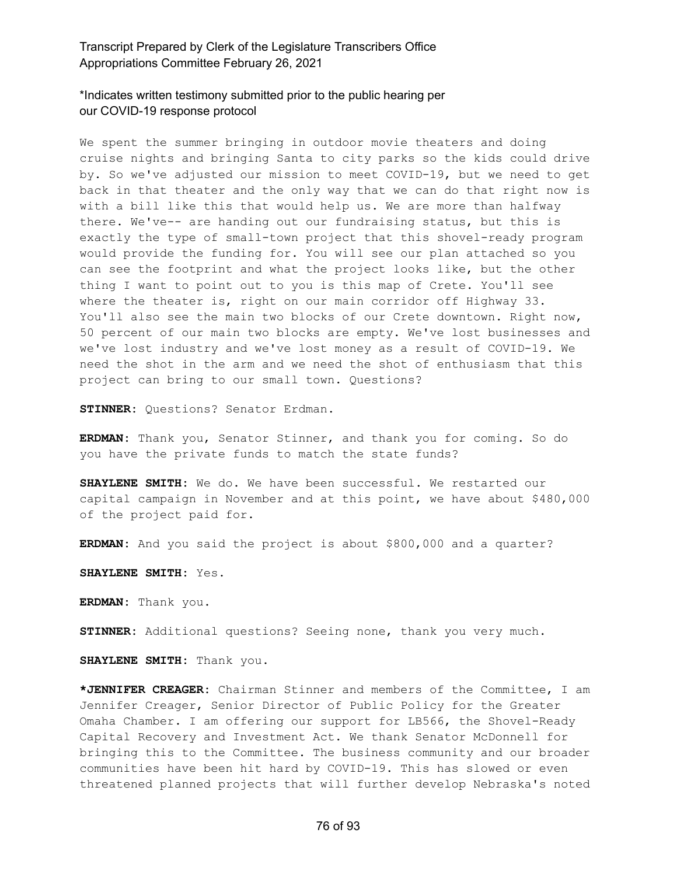### \*Indicates written testimony submitted prior to the public hearing per our COVID-19 response protocol

We spent the summer bringing in outdoor movie theaters and doing cruise nights and bringing Santa to city parks so the kids could drive by. So we've adjusted our mission to meet COVID-19, but we need to get back in that theater and the only way that we can do that right now is with a bill like this that would help us. We are more than halfway there. We've-- are handing out our fundraising status, but this is exactly the type of small-town project that this shovel-ready program would provide the funding for. You will see our plan attached so you can see the footprint and what the project looks like, but the other thing I want to point out to you is this map of Crete. You'll see where the theater is, right on our main corridor off Highway 33. You'll also see the main two blocks of our Crete downtown. Right now, 50 percent of our main two blocks are empty. We've lost businesses and we've lost industry and we've lost money as a result of COVID-19. We need the shot in the arm and we need the shot of enthusiasm that this project can bring to our small town. Questions?

**STINNER:** Questions? Senator Erdman.

**ERDMAN:** Thank you, Senator Stinner, and thank you for coming. So do you have the private funds to match the state funds?

**SHAYLENE SMITH:** We do. We have been successful. We restarted our capital campaign in November and at this point, we have about \$480,000 of the project paid for.

**ERDMAN:** And you said the project is about \$800,000 and a quarter?

**SHAYLENE SMITH:** Yes.

**ERDMAN:** Thank you.

**STINNER:** Additional questions? Seeing none, thank you very much.

**SHAYLENE SMITH:** Thank you.

**\*JENNIFER CREAGER:** Chairman Stinner and members of the Committee, I am Jennifer Creager, Senior Director of Public Policy for the Greater Omaha Chamber. I am offering our support for LB566, the Shovel-Ready Capital Recovery and Investment Act. We thank Senator McDonnell for bringing this to the Committee. The business community and our broader communities have been hit hard by COVID-19. This has slowed or even threatened planned projects that will further develop Nebraska's noted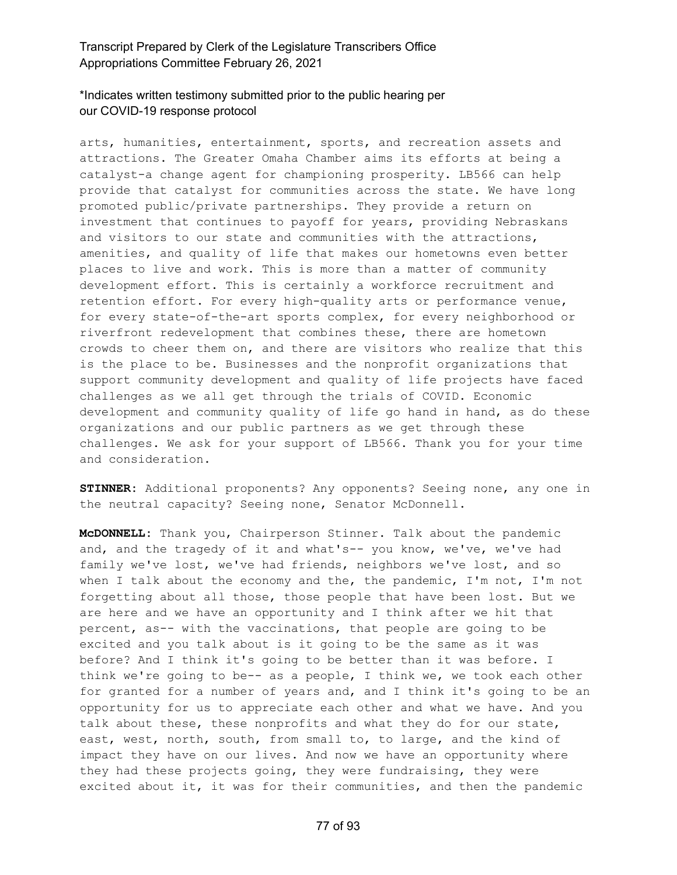## \*Indicates written testimony submitted prior to the public hearing per our COVID-19 response protocol

arts, humanities, entertainment, sports, and recreation assets and attractions. The Greater Omaha Chamber aims its efforts at being a catalyst-a change agent for championing prosperity. LB566 can help provide that catalyst for communities across the state. We have long promoted public/private partnerships. They provide a return on investment that continues to payoff for years, providing Nebraskans and visitors to our state and communities with the attractions, amenities, and quality of life that makes our hometowns even better places to live and work. This is more than a matter of community development effort. This is certainly a workforce recruitment and retention effort. For every high-quality arts or performance venue, for every state-of-the-art sports complex, for every neighborhood or riverfront redevelopment that combines these, there are hometown crowds to cheer them on, and there are visitors who realize that this is the place to be. Businesses and the nonprofit organizations that support community development and quality of life projects have faced challenges as we all get through the trials of COVID. Economic development and community quality of life go hand in hand, as do these organizations and our public partners as we get through these challenges. We ask for your support of LB566. Thank you for your time and consideration.

**STINNER:** Additional proponents? Any opponents? Seeing none, any one in the neutral capacity? Seeing none, Senator McDonnell.

**McDONNELL:** Thank you, Chairperson Stinner. Talk about the pandemic and, and the tragedy of it and what's-- you know, we've, we've had family we've lost, we've had friends, neighbors we've lost, and so when I talk about the economy and the, the pandemic, I'm not, I'm not forgetting about all those, those people that have been lost. But we are here and we have an opportunity and I think after we hit that percent, as-- with the vaccinations, that people are going to be excited and you talk about is it going to be the same as it was before? And I think it's going to be better than it was before. I think we're going to be-- as a people, I think we, we took each other for granted for a number of years and, and I think it's going to be an opportunity for us to appreciate each other and what we have. And you talk about these, these nonprofits and what they do for our state, east, west, north, south, from small to, to large, and the kind of impact they have on our lives. And now we have an opportunity where they had these projects going, they were fundraising, they were excited about it, it was for their communities, and then the pandemic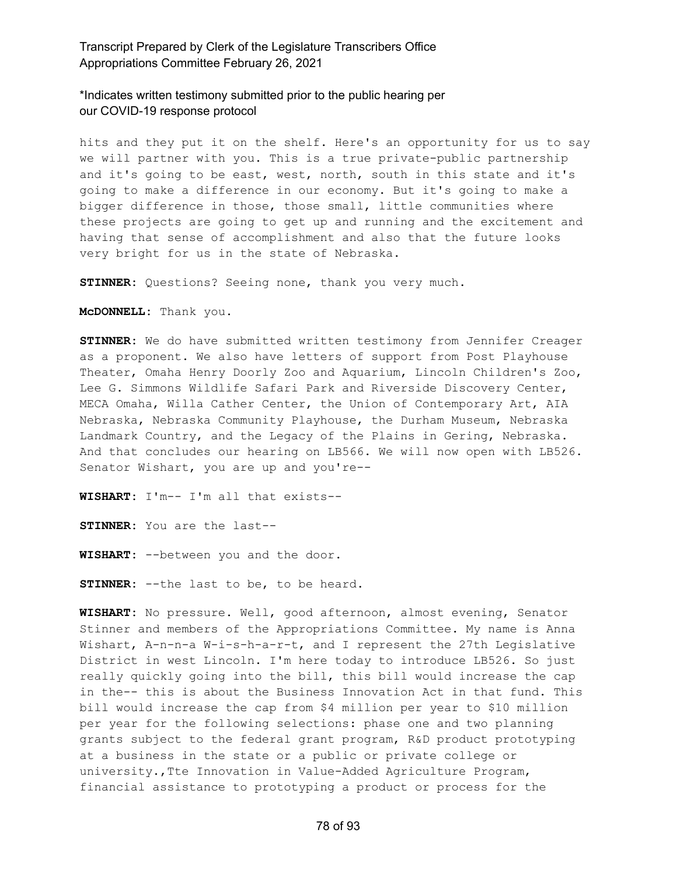### \*Indicates written testimony submitted prior to the public hearing per our COVID-19 response protocol

hits and they put it on the shelf. Here's an opportunity for us to say we will partner with you. This is a true private-public partnership and it's going to be east, west, north, south in this state and it's going to make a difference in our economy. But it's going to make a bigger difference in those, those small, little communities where these projects are going to get up and running and the excitement and having that sense of accomplishment and also that the future looks very bright for us in the state of Nebraska.

**STINNER:** Questions? Seeing none, thank you very much.

**McDONNELL:** Thank you.

**STINNER:** We do have submitted written testimony from Jennifer Creager as a proponent. We also have letters of support from Post Playhouse Theater, Omaha Henry Doorly Zoo and Aquarium, Lincoln Children's Zoo, Lee G. Simmons Wildlife Safari Park and Riverside Discovery Center, MECA Omaha, Willa Cather Center, the Union of Contemporary Art, AIA Nebraska, Nebraska Community Playhouse, the Durham Museum, Nebraska Landmark Country, and the Legacy of the Plains in Gering, Nebraska. And that concludes our hearing on LB566. We will now open with LB526. Senator Wishart, you are up and you're--

**WISHART:** I'm-- I'm all that exists--

**STINNER:** You are the last--

**WISHART:** --between you and the door.

**STINNER:** --the last to be, to be heard.

**WISHART:** No pressure. Well, good afternoon, almost evening, Senator Stinner and members of the Appropriations Committee. My name is Anna Wishart, A-n-n-a W-i-s-h-a-r-t, and I represent the 27th Legislative District in west Lincoln. I'm here today to introduce LB526. So just really quickly going into the bill, this bill would increase the cap in the-- this is about the Business Innovation Act in that fund. This bill would increase the cap from \$4 million per year to \$10 million per year for the following selections: phase one and two planning grants subject to the federal grant program, R&D product prototyping at a business in the state or a public or private college or university.,Tte Innovation in Value-Added Agriculture Program, financial assistance to prototyping a product or process for the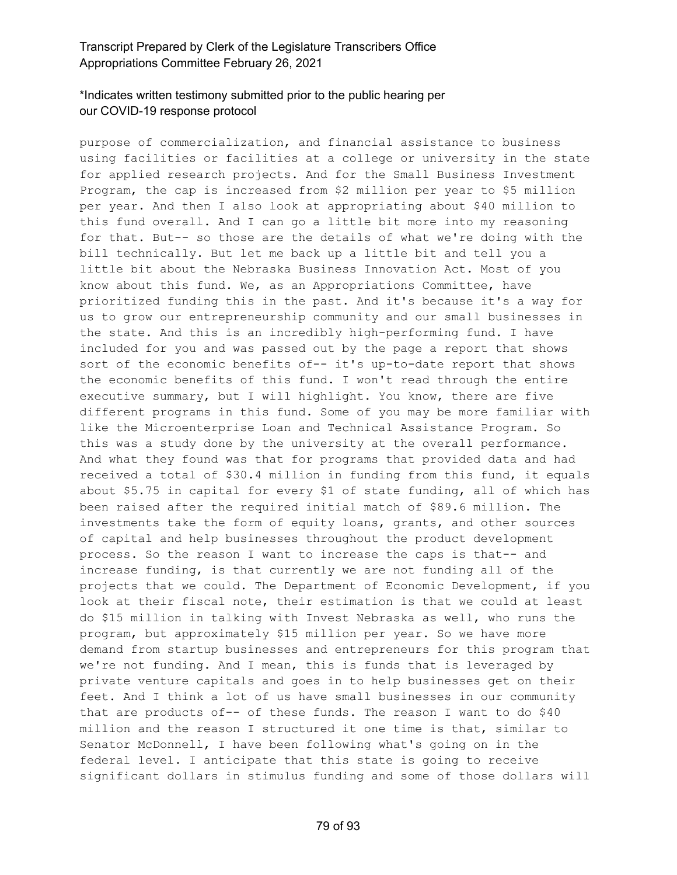## \*Indicates written testimony submitted prior to the public hearing per our COVID-19 response protocol

purpose of commercialization, and financial assistance to business using facilities or facilities at a college or university in the state for applied research projects. And for the Small Business Investment Program, the cap is increased from \$2 million per year to \$5 million per year. And then I also look at appropriating about \$40 million to this fund overall. And I can go a little bit more into my reasoning for that. But-- so those are the details of what we're doing with the bill technically. But let me back up a little bit and tell you a little bit about the Nebraska Business Innovation Act. Most of you know about this fund. We, as an Appropriations Committee, have prioritized funding this in the past. And it's because it's a way for us to grow our entrepreneurship community and our small businesses in the state. And this is an incredibly high-performing fund. I have included for you and was passed out by the page a report that shows sort of the economic benefits of-- it's up-to-date report that shows the economic benefits of this fund. I won't read through the entire executive summary, but I will highlight. You know, there are five different programs in this fund. Some of you may be more familiar with like the Microenterprise Loan and Technical Assistance Program. So this was a study done by the university at the overall performance. And what they found was that for programs that provided data and had received a total of \$30.4 million in funding from this fund, it equals about \$5.75 in capital for every \$1 of state funding, all of which has been raised after the required initial match of \$89.6 million. The investments take the form of equity loans, grants, and other sources of capital and help businesses throughout the product development process. So the reason I want to increase the caps is that-- and increase funding, is that currently we are not funding all of the projects that we could. The Department of Economic Development, if you look at their fiscal note, their estimation is that we could at least do \$15 million in talking with Invest Nebraska as well, who runs the program, but approximately \$15 million per year. So we have more demand from startup businesses and entrepreneurs for this program that we're not funding. And I mean, this is funds that is leveraged by private venture capitals and goes in to help businesses get on their feet. And I think a lot of us have small businesses in our community that are products of-- of these funds. The reason I want to do \$40 million and the reason I structured it one time is that, similar to Senator McDonnell, I have been following what's going on in the federal level. I anticipate that this state is going to receive significant dollars in stimulus funding and some of those dollars will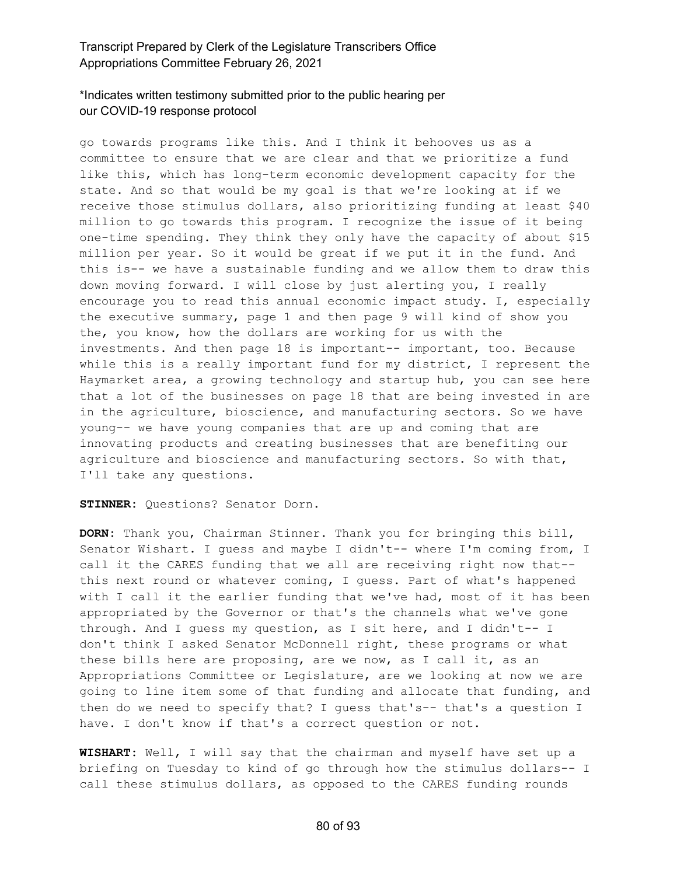## \*Indicates written testimony submitted prior to the public hearing per our COVID-19 response protocol

go towards programs like this. And I think it behooves us as a committee to ensure that we are clear and that we prioritize a fund like this, which has long-term economic development capacity for the state. And so that would be my goal is that we're looking at if we receive those stimulus dollars, also prioritizing funding at least \$40 million to go towards this program. I recognize the issue of it being one-time spending. They think they only have the capacity of about \$15 million per year. So it would be great if we put it in the fund. And this is-- we have a sustainable funding and we allow them to draw this down moving forward. I will close by just alerting you, I really encourage you to read this annual economic impact study. I, especially the executive summary, page 1 and then page 9 will kind of show you the, you know, how the dollars are working for us with the investments. And then page 18 is important-- important, too. Because while this is a really important fund for my district, I represent the Haymarket area, a growing technology and startup hub, you can see here that a lot of the businesses on page 18 that are being invested in are in the agriculture, bioscience, and manufacturing sectors. So we have young-- we have young companies that are up and coming that are innovating products and creating businesses that are benefiting our agriculture and bioscience and manufacturing sectors. So with that, I'll take any questions.

### **STINNER:** Questions? Senator Dorn.

**DORN:** Thank you, Chairman Stinner. Thank you for bringing this bill, Senator Wishart. I guess and maybe I didn't-- where I'm coming from, I call it the CARES funding that we all are receiving right now that- this next round or whatever coming, I guess. Part of what's happened with I call it the earlier funding that we've had, most of it has been appropriated by the Governor or that's the channels what we've gone through. And I guess my question, as I sit here, and I didn't-- I don't think I asked Senator McDonnell right, these programs or what these bills here are proposing, are we now, as I call it, as an Appropriations Committee or Legislature, are we looking at now we are going to line item some of that funding and allocate that funding, and then do we need to specify that? I guess that's-- that's a question I have. I don't know if that's a correct question or not.

**WISHART:** Well, I will say that the chairman and myself have set up a briefing on Tuesday to kind of go through how the stimulus dollars-- I call these stimulus dollars, as opposed to the CARES funding rounds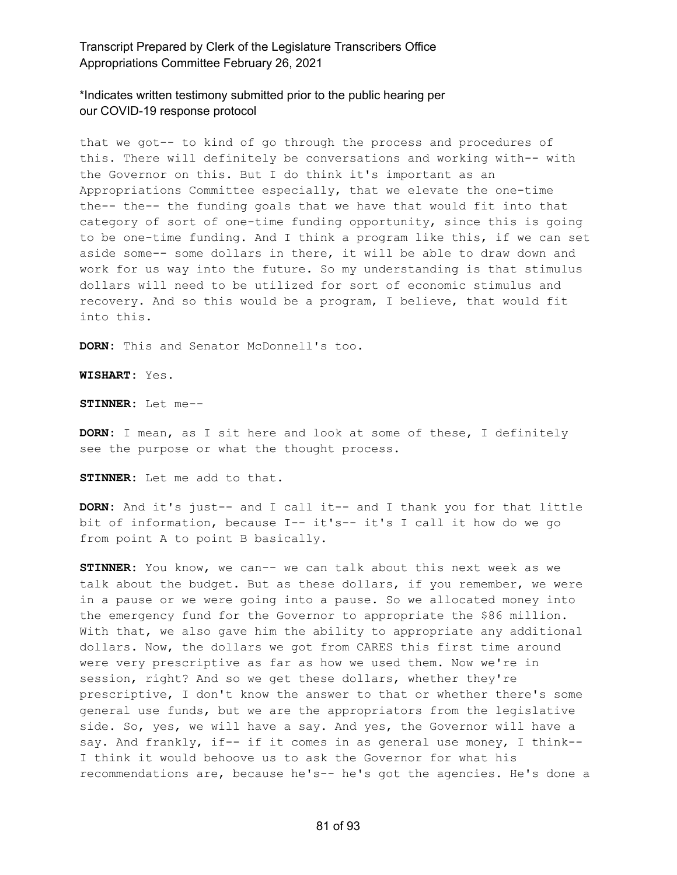\*Indicates written testimony submitted prior to the public hearing per our COVID-19 response protocol

that we got-- to kind of go through the process and procedures of this. There will definitely be conversations and working with-- with the Governor on this. But I do think it's important as an Appropriations Committee especially, that we elevate the one-time the-- the-- the funding goals that we have that would fit into that category of sort of one-time funding opportunity, since this is going to be one-time funding. And I think a program like this, if we can set aside some-- some dollars in there, it will be able to draw down and work for us way into the future. So my understanding is that stimulus dollars will need to be utilized for sort of economic stimulus and recovery. And so this would be a program, I believe, that would fit into this.

**DORN:** This and Senator McDonnell's too.

**WISHART:** Yes.

**STINNER:** Let me--

**DORN:** I mean, as I sit here and look at some of these, I definitely see the purpose or what the thought process.

**STINNER:** Let me add to that.

**DORN:** And it's just-- and I call it-- and I thank you for that little bit of information, because I-- it's-- it's I call it how do we go from point A to point B basically.

**STINNER:** You know, we can-- we can talk about this next week as we talk about the budget. But as these dollars, if you remember, we were in a pause or we were going into a pause. So we allocated money into the emergency fund for the Governor to appropriate the \$86 million. With that, we also gave him the ability to appropriate any additional dollars. Now, the dollars we got from CARES this first time around were very prescriptive as far as how we used them. Now we're in session, right? And so we get these dollars, whether they're prescriptive, I don't know the answer to that or whether there's some general use funds, but we are the appropriators from the legislative side. So, yes, we will have a say. And yes, the Governor will have a say. And frankly, if-- if it comes in as general use money, I think--I think it would behoove us to ask the Governor for what his recommendations are, because he's-- he's got the agencies. He's done a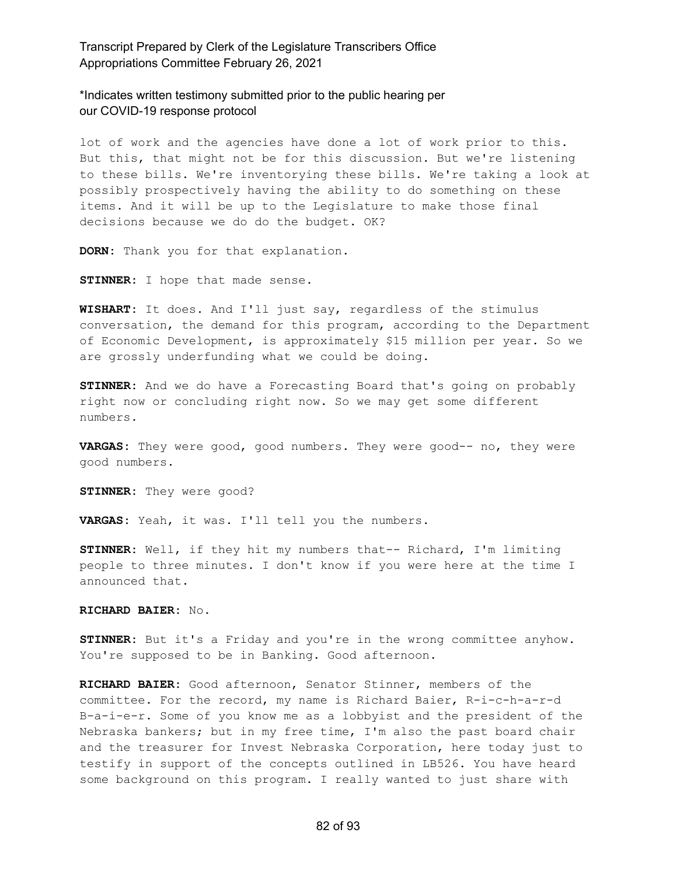\*Indicates written testimony submitted prior to the public hearing per our COVID-19 response protocol

lot of work and the agencies have done a lot of work prior to this. But this, that might not be for this discussion. But we're listening to these bills. We're inventorying these bills. We're taking a look at possibly prospectively having the ability to do something on these items. And it will be up to the Legislature to make those final decisions because we do do the budget. OK?

**DORN:** Thank you for that explanation.

**STINNER:** I hope that made sense.

**WISHART:** It does. And I'll just say, regardless of the stimulus conversation, the demand for this program, according to the Department of Economic Development, is approximately \$15 million per year. So we are grossly underfunding what we could be doing.

**STINNER:** And we do have a Forecasting Board that's going on probably right now or concluding right now. So we may get some different numbers.

**VARGAS:** They were good, good numbers. They were good-- no, they were good numbers.

**STINNER:** They were good?

**VARGAS:** Yeah, it was. I'll tell you the numbers.

**STINNER:** Well, if they hit my numbers that-- Richard, I'm limiting people to three minutes. I don't know if you were here at the time I announced that.

#### **RICHARD BAIER:** No.

**STINNER:** But it's a Friday and you're in the wrong committee anyhow. You're supposed to be in Banking. Good afternoon.

**RICHARD BAIER:** Good afternoon, Senator Stinner, members of the committee. For the record, my name is Richard Baier, R-i-c-h-a-r-d B-a-i-e-r. Some of you know me as a lobbyist and the president of the Nebraska bankers; but in my free time, I'm also the past board chair and the treasurer for Invest Nebraska Corporation, here today just to testify in support of the concepts outlined in LB526. You have heard some background on this program. I really wanted to just share with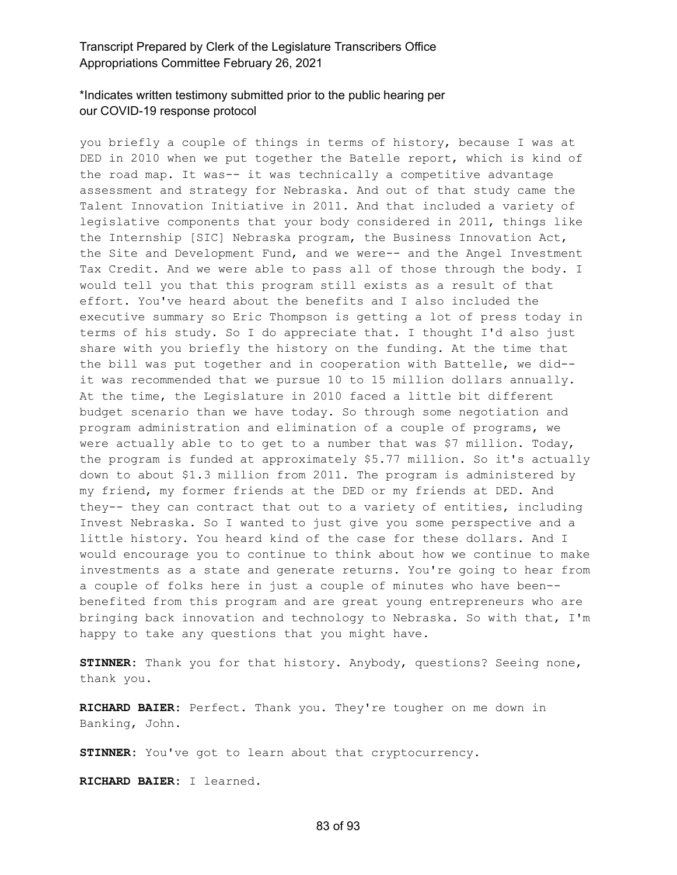## \*Indicates written testimony submitted prior to the public hearing per our COVID-19 response protocol

you briefly a couple of things in terms of history, because I was at DED in 2010 when we put together the Batelle report, which is kind of the road map. It was-- it was technically a competitive advantage assessment and strategy for Nebraska. And out of that study came the Talent Innovation Initiative in 2011. And that included a variety of legislative components that your body considered in 2011, things like the Internship [SIC] Nebraska program, the Business Innovation Act, the Site and Development Fund, and we were-- and the Angel Investment Tax Credit. And we were able to pass all of those through the body. I would tell you that this program still exists as a result of that effort. You've heard about the benefits and I also included the executive summary so Eric Thompson is getting a lot of press today in terms of his study. So I do appreciate that. I thought I'd also just share with you briefly the history on the funding. At the time that the bill was put together and in cooperation with Battelle, we did- it was recommended that we pursue 10 to 15 million dollars annually. At the time, the Legislature in 2010 faced a little bit different budget scenario than we have today. So through some negotiation and program administration and elimination of a couple of programs, we were actually able to to get to a number that was \$7 million. Today, the program is funded at approximately \$5.77 million. So it's actually down to about \$1.3 million from 2011. The program is administered by my friend, my former friends at the DED or my friends at DED. And they-- they can contract that out to a variety of entities, including Invest Nebraska. So I wanted to just give you some perspective and a little history. You heard kind of the case for these dollars. And I would encourage you to continue to think about how we continue to make investments as a state and generate returns. You're going to hear from a couple of folks here in just a couple of minutes who have been- benefited from this program and are great young entrepreneurs who are bringing back innovation and technology to Nebraska. So with that, I'm happy to take any questions that you might have.

**STINNER:** Thank you for that history. Anybody, questions? Seeing none, thank you.

**RICHARD BAIER:** Perfect. Thank you. They're tougher on me down in Banking, John.

**STINNER:** You've got to learn about that cryptocurrency.

**RICHARD BAIER:** I learned.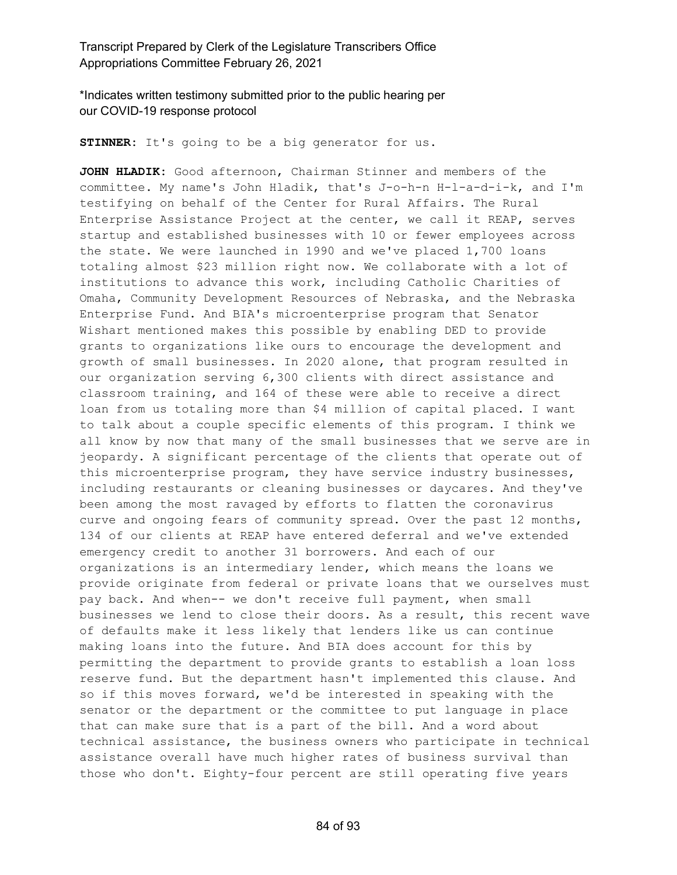\*Indicates written testimony submitted prior to the public hearing per our COVID-19 response protocol

**STINNER:** It's going to be a big generator for us.

**JOHN HLADIK:** Good afternoon, Chairman Stinner and members of the committee. My name's John Hladik, that's J-o-h-n H-l-a-d-i-k, and I'm testifying on behalf of the Center for Rural Affairs. The Rural Enterprise Assistance Project at the center, we call it REAP, serves startup and established businesses with 10 or fewer employees across the state. We were launched in 1990 and we've placed 1,700 loans totaling almost \$23 million right now. We collaborate with a lot of institutions to advance this work, including Catholic Charities of Omaha, Community Development Resources of Nebraska, and the Nebraska Enterprise Fund. And BIA's microenterprise program that Senator Wishart mentioned makes this possible by enabling DED to provide grants to organizations like ours to encourage the development and growth of small businesses. In 2020 alone, that program resulted in our organization serving 6,300 clients with direct assistance and classroom training, and 164 of these were able to receive a direct loan from us totaling more than \$4 million of capital placed. I want to talk about a couple specific elements of this program. I think we all know by now that many of the small businesses that we serve are in jeopardy. A significant percentage of the clients that operate out of this microenterprise program, they have service industry businesses, including restaurants or cleaning businesses or daycares. And they've been among the most ravaged by efforts to flatten the coronavirus curve and ongoing fears of community spread. Over the past 12 months, 134 of our clients at REAP have entered deferral and we've extended emergency credit to another 31 borrowers. And each of our organizations is an intermediary lender, which means the loans we provide originate from federal or private loans that we ourselves must pay back. And when-- we don't receive full payment, when small businesses we lend to close their doors. As a result, this recent wave of defaults make it less likely that lenders like us can continue making loans into the future. And BIA does account for this by permitting the department to provide grants to establish a loan loss reserve fund. But the department hasn't implemented this clause. And so if this moves forward, we'd be interested in speaking with the senator or the department or the committee to put language in place that can make sure that is a part of the bill. And a word about technical assistance, the business owners who participate in technical assistance overall have much higher rates of business survival than those who don't. Eighty-four percent are still operating five years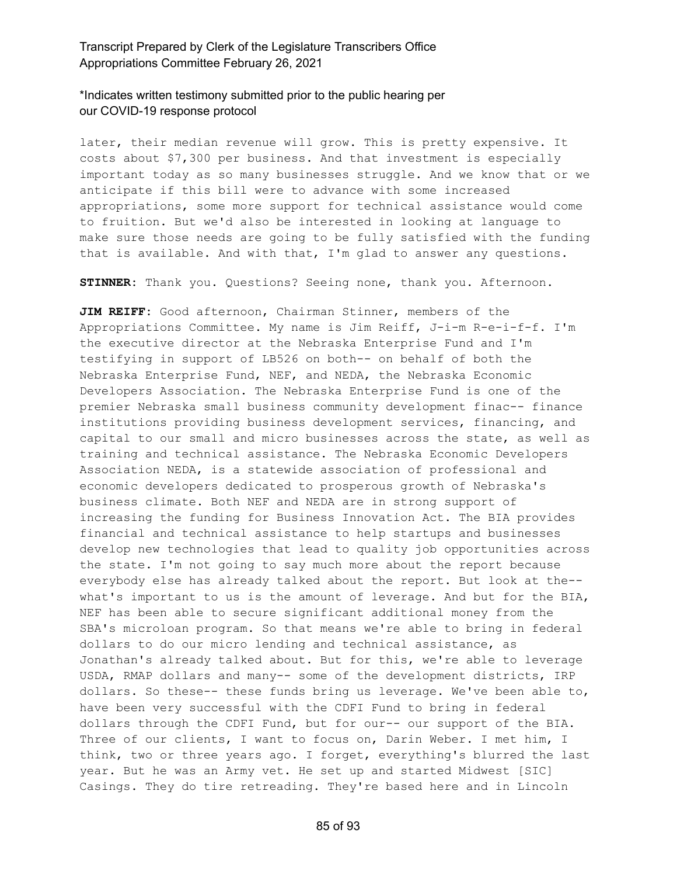### \*Indicates written testimony submitted prior to the public hearing per our COVID-19 response protocol

later, their median revenue will grow. This is pretty expensive. It costs about \$7,300 per business. And that investment is especially important today as so many businesses struggle. And we know that or we anticipate if this bill were to advance with some increased appropriations, some more support for technical assistance would come to fruition. But we'd also be interested in looking at language to make sure those needs are going to be fully satisfied with the funding that is available. And with that, I'm glad to answer any questions.

**STINNER:** Thank you. Questions? Seeing none, thank you. Afternoon.

**JIM REIFF:** Good afternoon, Chairman Stinner, members of the Appropriations Committee. My name is Jim Reiff, J-i-m R-e-i-f-f. I'm the executive director at the Nebraska Enterprise Fund and I'm testifying in support of LB526 on both-- on behalf of both the Nebraska Enterprise Fund, NEF, and NEDA, the Nebraska Economic Developers Association. The Nebraska Enterprise Fund is one of the premier Nebraska small business community development finac-- finance institutions providing business development services, financing, and capital to our small and micro businesses across the state, as well as training and technical assistance. The Nebraska Economic Developers Association NEDA, is a statewide association of professional and economic developers dedicated to prosperous growth of Nebraska's business climate. Both NEF and NEDA are in strong support of increasing the funding for Business Innovation Act. The BIA provides financial and technical assistance to help startups and businesses develop new technologies that lead to quality job opportunities across the state. I'm not going to say much more about the report because everybody else has already talked about the report. But look at the- what's important to us is the amount of leverage. And but for the BIA, NEF has been able to secure significant additional money from the SBA's microloan program. So that means we're able to bring in federal dollars to do our micro lending and technical assistance, as Jonathan's already talked about. But for this, we're able to leverage USDA, RMAP dollars and many-- some of the development districts, IRP dollars. So these-- these funds bring us leverage. We've been able to, have been very successful with the CDFI Fund to bring in federal dollars through the CDFI Fund, but for our-- our support of the BIA. Three of our clients, I want to focus on, Darin Weber. I met him, I think, two or three years ago. I forget, everything's blurred the last year. But he was an Army vet. He set up and started Midwest [SIC] Casings. They do tire retreading. They're based here and in Lincoln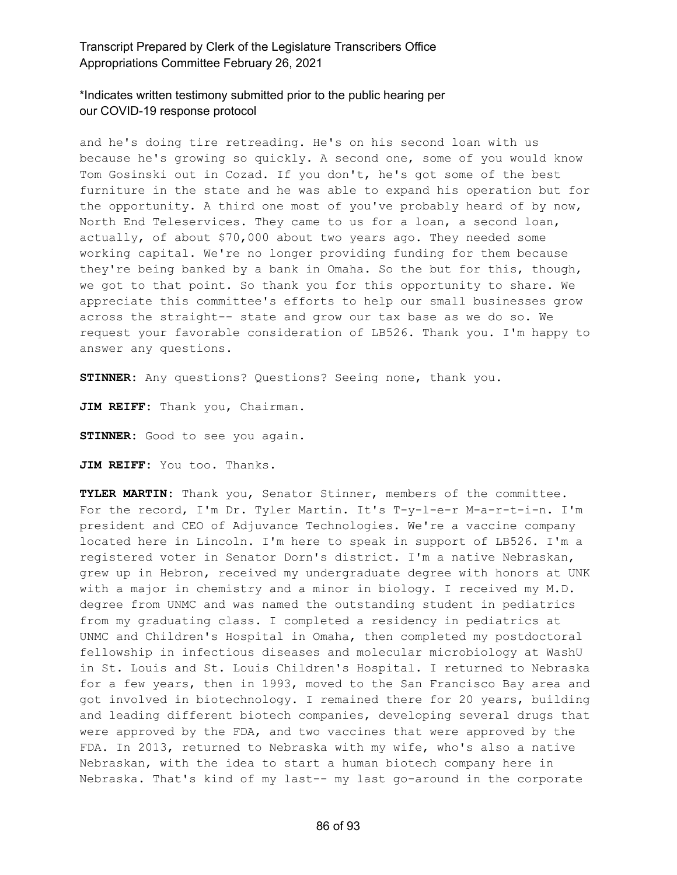## \*Indicates written testimony submitted prior to the public hearing per our COVID-19 response protocol

and he's doing tire retreading. He's on his second loan with us because he's growing so quickly. A second one, some of you would know Tom Gosinski out in Cozad. If you don't, he's got some of the best furniture in the state and he was able to expand his operation but for the opportunity. A third one most of you've probably heard of by now, North End Teleservices. They came to us for a loan, a second loan, actually, of about \$70,000 about two years ago. They needed some working capital. We're no longer providing funding for them because they're being banked by a bank in Omaha. So the but for this, though, we got to that point. So thank you for this opportunity to share. We appreciate this committee's efforts to help our small businesses grow across the straight-- state and grow our tax base as we do so. We request your favorable consideration of LB526. Thank you. I'm happy to answer any questions.

**STINNER:** Any questions? Questions? Seeing none, thank you.

**JIM REIFF:** Thank you, Chairman.

**STINNER:** Good to see you again.

**JIM REIFF:** You too. Thanks.

**TYLER MARTIN:** Thank you, Senator Stinner, members of the committee. For the record, I'm Dr. Tyler Martin. It's T-y-l-e-r M-a-r-t-i-n. I'm president and CEO of Adjuvance Technologies. We're a vaccine company located here in Lincoln. I'm here to speak in support of LB526. I'm a registered voter in Senator Dorn's district. I'm a native Nebraskan, grew up in Hebron, received my undergraduate degree with honors at UNK with a major in chemistry and a minor in biology. I received my M.D. degree from UNMC and was named the outstanding student in pediatrics from my graduating class. I completed a residency in pediatrics at UNMC and Children's Hospital in Omaha, then completed my postdoctoral fellowship in infectious diseases and molecular microbiology at WashU in St. Louis and St. Louis Children's Hospital. I returned to Nebraska for a few years, then in 1993, moved to the San Francisco Bay area and got involved in biotechnology. I remained there for 20 years, building and leading different biotech companies, developing several drugs that were approved by the FDA, and two vaccines that were approved by the FDA. In 2013, returned to Nebraska with my wife, who's also a native Nebraskan, with the idea to start a human biotech company here in Nebraska. That's kind of my last-- my last go-around in the corporate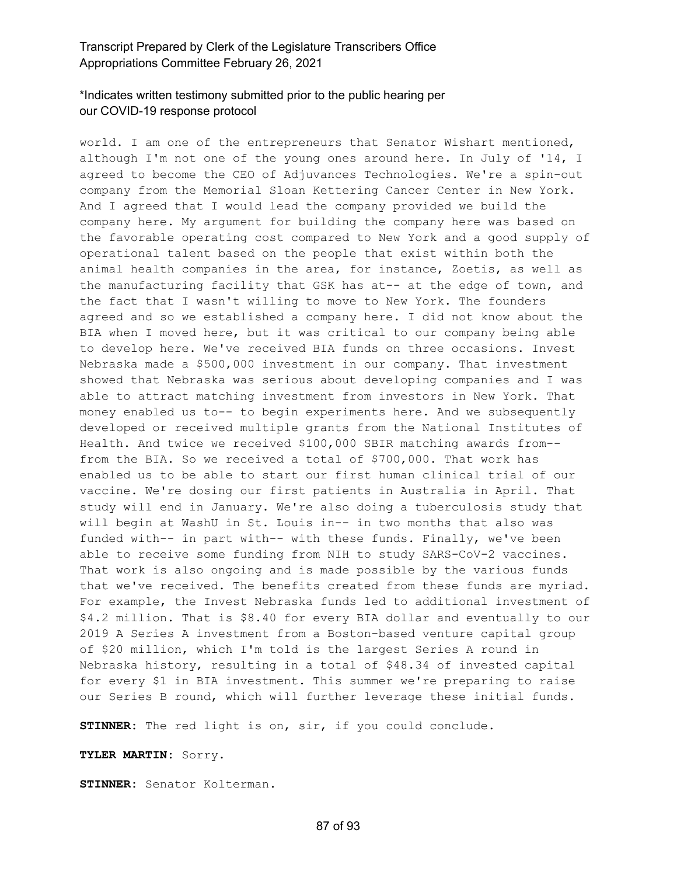### \*Indicates written testimony submitted prior to the public hearing per our COVID-19 response protocol

world. I am one of the entrepreneurs that Senator Wishart mentioned, although I'm not one of the young ones around here. In July of '14, I agreed to become the CEO of Adjuvances Technologies. We're a spin-out company from the Memorial Sloan Kettering Cancer Center in New York. And I agreed that I would lead the company provided we build the company here. My argument for building the company here was based on the favorable operating cost compared to New York and a good supply of operational talent based on the people that exist within both the animal health companies in the area, for instance, Zoetis, as well as the manufacturing facility that GSK has at-- at the edge of town, and the fact that I wasn't willing to move to New York. The founders agreed and so we established a company here. I did not know about the BIA when I moved here, but it was critical to our company being able to develop here. We've received BIA funds on three occasions. Invest Nebraska made a \$500,000 investment in our company. That investment showed that Nebraska was serious about developing companies and I was able to attract matching investment from investors in New York. That money enabled us to-- to begin experiments here. And we subsequently developed or received multiple grants from the National Institutes of Health. And twice we received \$100,000 SBIR matching awards from- from the BIA. So we received a total of \$700,000. That work has enabled us to be able to start our first human clinical trial of our vaccine. We're dosing our first patients in Australia in April. That study will end in January. We're also doing a tuberculosis study that will begin at WashU in St. Louis in-- in two months that also was funded with-- in part with-- with these funds. Finally, we've been able to receive some funding from NIH to study SARS-CoV-2 vaccines. That work is also ongoing and is made possible by the various funds that we've received. The benefits created from these funds are myriad. For example, the Invest Nebraska funds led to additional investment of \$4.2 million. That is \$8.40 for every BIA dollar and eventually to our 2019 A Series A investment from a Boston-based venture capital group of \$20 million, which I'm told is the largest Series A round in Nebraska history, resulting in a total of \$48.34 of invested capital for every \$1 in BIA investment. This summer we're preparing to raise our Series B round, which will further leverage these initial funds.

**STINNER:** The red light is on, sir, if you could conclude.

**TYLER MARTIN:** Sorry.

**STINNER:** Senator Kolterman.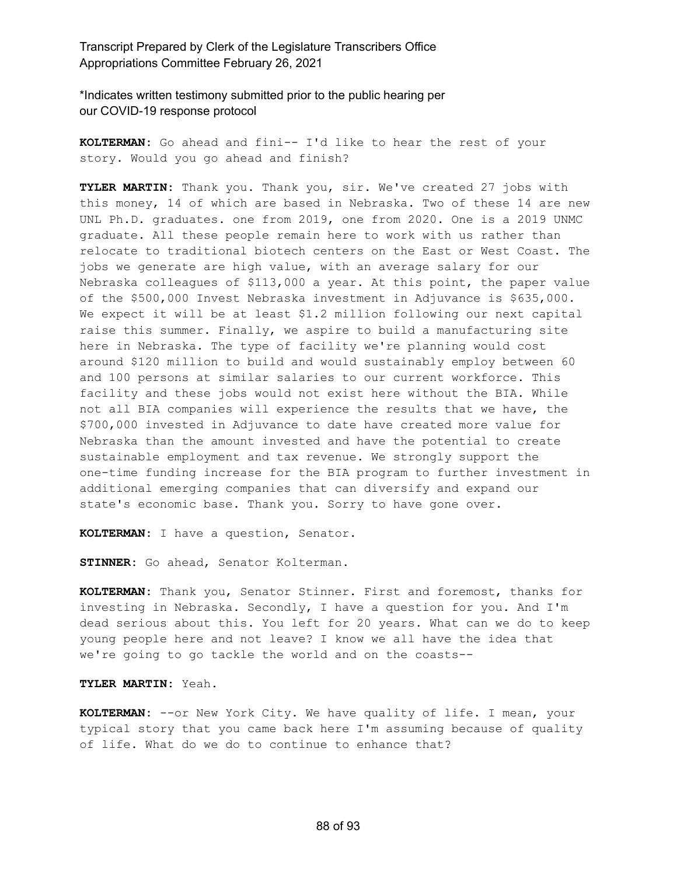\*Indicates written testimony submitted prior to the public hearing per our COVID-19 response protocol

**KOLTERMAN:** Go ahead and fini-- I'd like to hear the rest of your story. Would you go ahead and finish?

**TYLER MARTIN:** Thank you. Thank you, sir. We've created 27 jobs with this money, 14 of which are based in Nebraska. Two of these 14 are new UNL Ph.D. graduates. one from 2019, one from 2020. One is a 2019 UNMC graduate. All these people remain here to work with us rather than relocate to traditional biotech centers on the East or West Coast. The jobs we generate are high value, with an average salary for our Nebraska colleagues of \$113,000 a year. At this point, the paper value of the \$500,000 Invest Nebraska investment in Adjuvance is \$635,000. We expect it will be at least \$1.2 million following our next capital raise this summer. Finally, we aspire to build a manufacturing site here in Nebraska. The type of facility we're planning would cost around \$120 million to build and would sustainably employ between 60 and 100 persons at similar salaries to our current workforce. This facility and these jobs would not exist here without the BIA. While not all BIA companies will experience the results that we have, the \$700,000 invested in Adjuvance to date have created more value for Nebraska than the amount invested and have the potential to create sustainable employment and tax revenue. We strongly support the one-time funding increase for the BIA program to further investment in additional emerging companies that can diversify and expand our state's economic base. Thank you. Sorry to have gone over.

**KOLTERMAN:** I have a question, Senator.

**STINNER:** Go ahead, Senator Kolterman.

**KOLTERMAN:** Thank you, Senator Stinner. First and foremost, thanks for investing in Nebraska. Secondly, I have a question for you. And I'm dead serious about this. You left for 20 years. What can we do to keep young people here and not leave? I know we all have the idea that we're going to go tackle the world and on the coasts--

**TYLER MARTIN:** Yeah.

**KOLTERMAN:** --or New York City. We have quality of life. I mean, your typical story that you came back here I'm assuming because of quality of life. What do we do to continue to enhance that?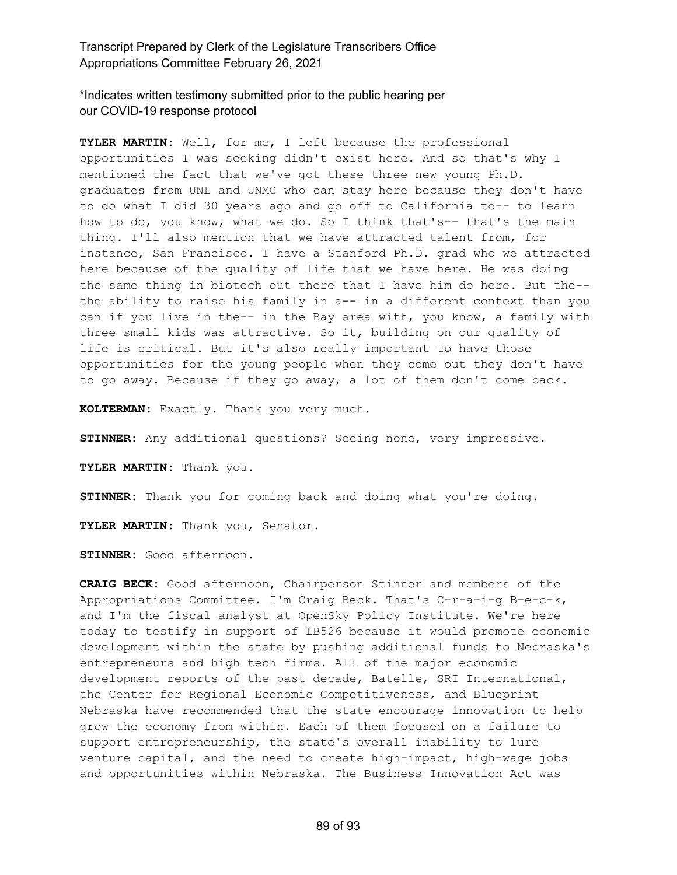\*Indicates written testimony submitted prior to the public hearing per our COVID-19 response protocol

**TYLER MARTIN:** Well, for me, I left because the professional opportunities I was seeking didn't exist here. And so that's why I mentioned the fact that we've got these three new young Ph.D. graduates from UNL and UNMC who can stay here because they don't have to do what I did 30 years ago and go off to California to-- to learn how to do, you know, what we do. So I think that's-- that's the main thing. I'll also mention that we have attracted talent from, for instance, San Francisco. I have a Stanford Ph.D. grad who we attracted here because of the quality of life that we have here. He was doing the same thing in biotech out there that I have him do here. But the- the ability to raise his family in a-- in a different context than you can if you live in the-- in the Bay area with, you know, a family with three small kids was attractive. So it, building on our quality of life is critical. But it's also really important to have those opportunities for the young people when they come out they don't have to go away. Because if they go away, a lot of them don't come back.

**KOLTERMAN:** Exactly. Thank you very much.

**STINNER:** Any additional questions? Seeing none, very impressive.

**TYLER MARTIN:** Thank you.

**STINNER:** Thank you for coming back and doing what you're doing.

**TYLER MARTIN:** Thank you, Senator.

**STINNER:** Good afternoon.

**CRAIG BECK:** Good afternoon, Chairperson Stinner and members of the Appropriations Committee. I'm Craig Beck. That's C-r-a-i-g B-e-c-k, and I'm the fiscal analyst at OpenSky Policy Institute. We're here today to testify in support of LB526 because it would promote economic development within the state by pushing additional funds to Nebraska's entrepreneurs and high tech firms. All of the major economic development reports of the past decade, Batelle, SRI International, the Center for Regional Economic Competitiveness, and Blueprint Nebraska have recommended that the state encourage innovation to help grow the economy from within. Each of them focused on a failure to support entrepreneurship, the state's overall inability to lure venture capital, and the need to create high-impact, high-wage jobs and opportunities within Nebraska. The Business Innovation Act was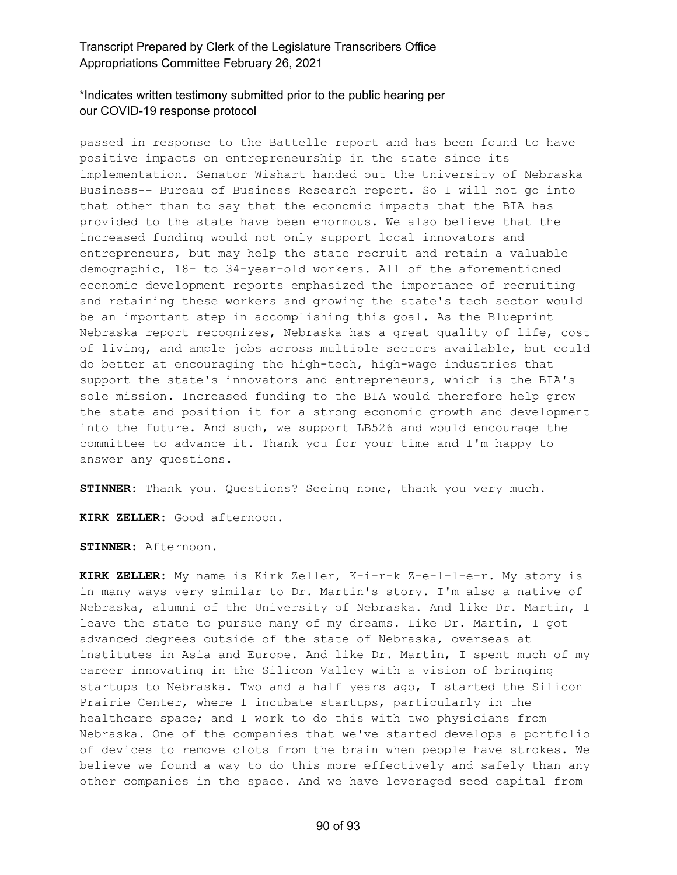### \*Indicates written testimony submitted prior to the public hearing per our COVID-19 response protocol

passed in response to the Battelle report and has been found to have positive impacts on entrepreneurship in the state since its implementation. Senator Wishart handed out the University of Nebraska Business-- Bureau of Business Research report. So I will not go into that other than to say that the economic impacts that the BIA has provided to the state have been enormous. We also believe that the increased funding would not only support local innovators and entrepreneurs, but may help the state recruit and retain a valuable demographic, 18- to 34-year-old workers. All of the aforementioned economic development reports emphasized the importance of recruiting and retaining these workers and growing the state's tech sector would be an important step in accomplishing this goal. As the Blueprint Nebraska report recognizes, Nebraska has a great quality of life, cost of living, and ample jobs across multiple sectors available, but could do better at encouraging the high-tech, high-wage industries that support the state's innovators and entrepreneurs, which is the BIA's sole mission. Increased funding to the BIA would therefore help grow the state and position it for a strong economic growth and development into the future. And such, we support LB526 and would encourage the committee to advance it. Thank you for your time and I'm happy to answer any questions.

**STINNER:** Thank you. Questions? Seeing none, thank you very much.

**KIRK ZELLER:** Good afternoon.

**STINNER:** Afternoon.

**KIRK ZELLER:** My name is Kirk Zeller, K-i-r-k Z-e-l-l-e-r. My story is in many ways very similar to Dr. Martin's story. I'm also a native of Nebraska, alumni of the University of Nebraska. And like Dr. Martin, I leave the state to pursue many of my dreams. Like Dr. Martin, I got advanced degrees outside of the state of Nebraska, overseas at institutes in Asia and Europe. And like Dr. Martin, I spent much of my career innovating in the Silicon Valley with a vision of bringing startups to Nebraska. Two and a half years ago, I started the Silicon Prairie Center, where I incubate startups, particularly in the healthcare space; and I work to do this with two physicians from Nebraska. One of the companies that we've started develops a portfolio of devices to remove clots from the brain when people have strokes. We believe we found a way to do this more effectively and safely than any other companies in the space. And we have leveraged seed capital from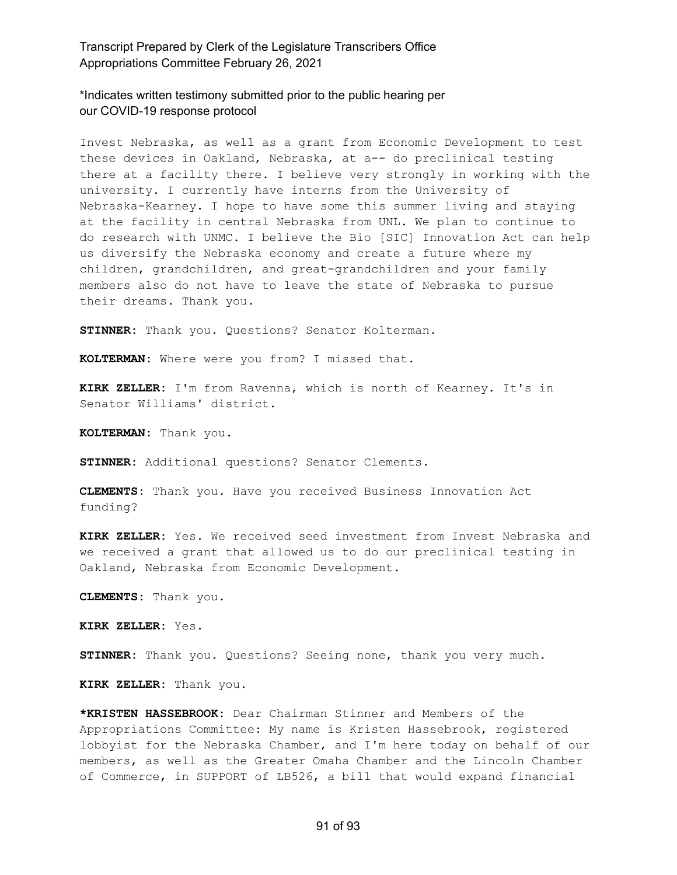\*Indicates written testimony submitted prior to the public hearing per our COVID-19 response protocol

Invest Nebraska, as well as a grant from Economic Development to test these devices in Oakland, Nebraska, at a-- do preclinical testing there at a facility there. I believe very strongly in working with the university. I currently have interns from the University of Nebraska-Kearney. I hope to have some this summer living and staying at the facility in central Nebraska from UNL. We plan to continue to do research with UNMC. I believe the Bio [SIC] Innovation Act can help us diversify the Nebraska economy and create a future where my children, grandchildren, and great-grandchildren and your family members also do not have to leave the state of Nebraska to pursue their dreams. Thank you.

**STINNER:** Thank you. Questions? Senator Kolterman.

**KOLTERMAN:** Where were you from? I missed that.

**KIRK ZELLER:** I'm from Ravenna, which is north of Kearney. It's in Senator Williams' district.

**KOLTERMAN:** Thank you.

**STINNER:** Additional questions? Senator Clements.

**CLEMENTS:** Thank you. Have you received Business Innovation Act funding?

**KIRK ZELLER:** Yes. We received seed investment from Invest Nebraska and we received a grant that allowed us to do our preclinical testing in Oakland, Nebraska from Economic Development.

**CLEMENTS:** Thank you.

**KIRK ZELLER:** Yes.

**STINNER:** Thank you. Questions? Seeing none, thank you very much.

**KIRK ZELLER:** Thank you.

**\*KRISTEN HASSEBROOK:** Dear Chairman Stinner and Members of the Appropriations Committee: My name is Kristen Hassebrook, registered lobbyist for the Nebraska Chamber, and I'm here today on behalf of our members, as well as the Greater Omaha Chamber and the Lincoln Chamber of Commerce, in SUPPORT of LB526, a bill that would expand financial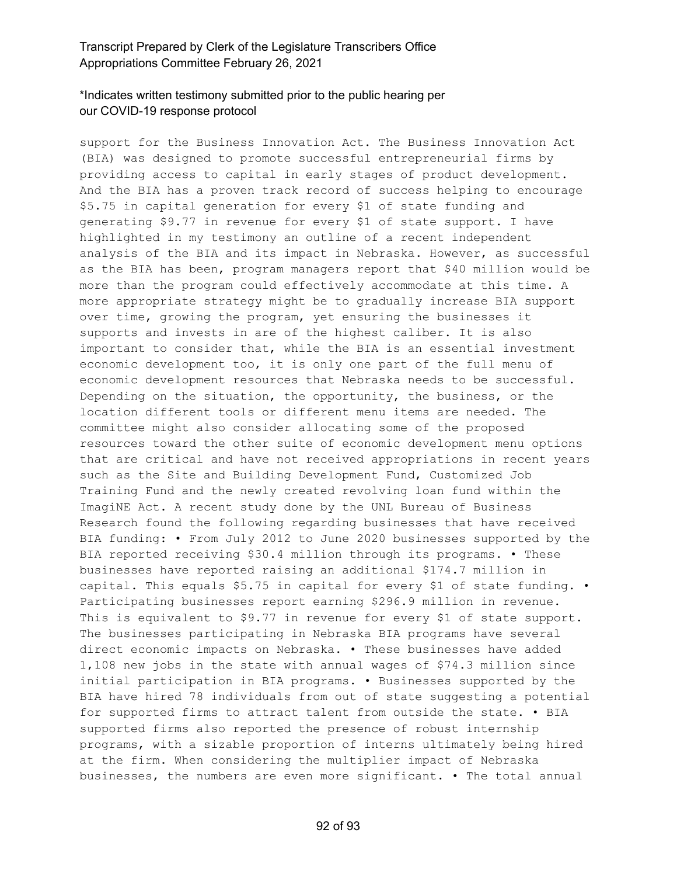## \*Indicates written testimony submitted prior to the public hearing per our COVID-19 response protocol

support for the Business Innovation Act. The Business Innovation Act (BIA) was designed to promote successful entrepreneurial firms by providing access to capital in early stages of product development. And the BIA has a proven track record of success helping to encourage \$5.75 in capital generation for every \$1 of state funding and generating \$9.77 in revenue for every \$1 of state support. I have highlighted in my testimony an outline of a recent independent analysis of the BIA and its impact in Nebraska. However, as successful as the BIA has been, program managers report that \$40 million would be more than the program could effectively accommodate at this time. A more appropriate strategy might be to gradually increase BIA support over time, growing the program, yet ensuring the businesses it supports and invests in are of the highest caliber. It is also important to consider that, while the BIA is an essential investment economic development too, it is only one part of the full menu of economic development resources that Nebraska needs to be successful. Depending on the situation, the opportunity, the business, or the location different tools or different menu items are needed. The committee might also consider allocating some of the proposed resources toward the other suite of economic development menu options that are critical and have not received appropriations in recent years such as the Site and Building Development Fund, Customized Job Training Fund and the newly created revolving loan fund within the ImagiNE Act. A recent study done by the UNL Bureau of Business Research found the following regarding businesses that have received BIA funding: • From July 2012 to June 2020 businesses supported by the BIA reported receiving \$30.4 million through its programs. • These businesses have reported raising an additional \$174.7 million in capital. This equals \$5.75 in capital for every \$1 of state funding. • Participating businesses report earning \$296.9 million in revenue. This is equivalent to \$9.77 in revenue for every \$1 of state support. The businesses participating in Nebraska BIA programs have several direct economic impacts on Nebraska. • These businesses have added 1,108 new jobs in the state with annual wages of \$74.3 million since initial participation in BIA programs. • Businesses supported by the BIA have hired 78 individuals from out of state suggesting a potential for supported firms to attract talent from outside the state. • BIA supported firms also reported the presence of robust internship programs, with a sizable proportion of interns ultimately being hired at the firm. When considering the multiplier impact of Nebraska businesses, the numbers are even more significant. • The total annual